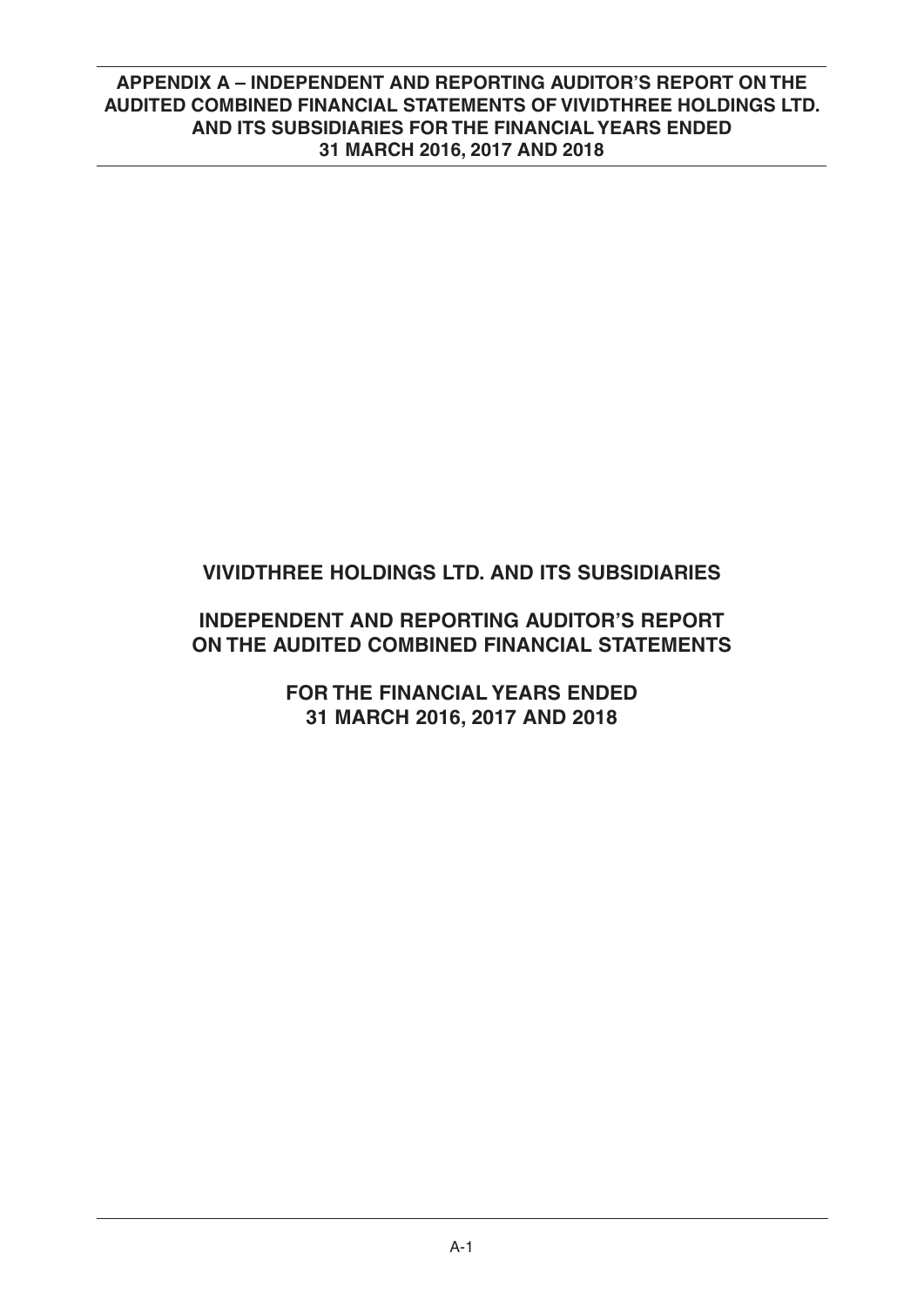# **VIVIDTHREE HOLDINGS LTD. AND ITS SUBSIDIARIES**

# **INDEPENDENT AND REPORTING AUDITOR'S REPORT ON THE AUDITED COMBINED FINANCIAL STATEMENTS**

**FOR THE FINANCIAL YEARS ENDED 31 MARCH 2016, 2017 AND 2018**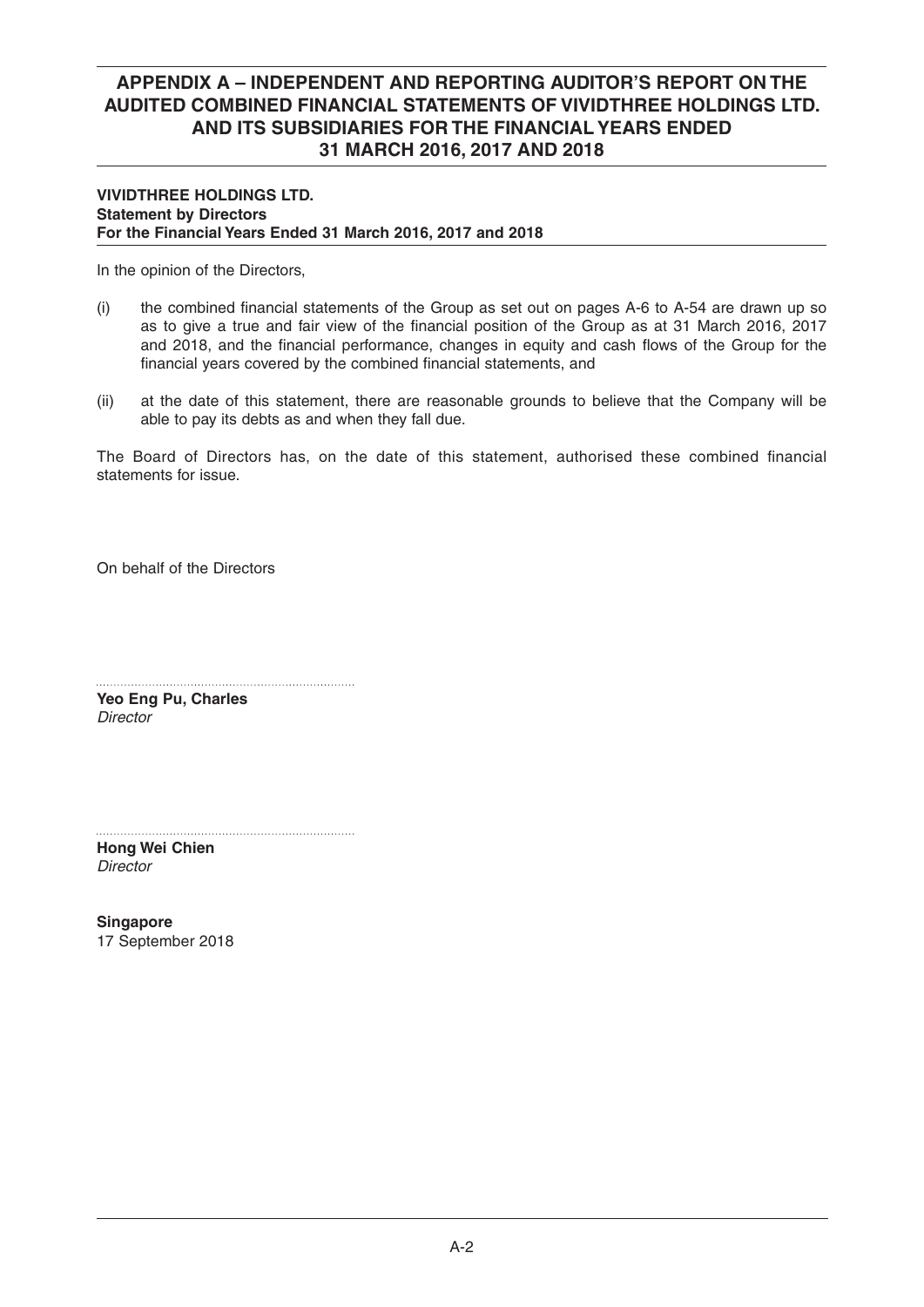### **VIVIDTHREE HOLDINGS LTD. Statement by Directors For the Financial Years Ended 31 March 2016, 2017 and 2018**

In the opinion of the Directors,

- $(i)$  the combined financial statements of the Group as set out on pages A-6 to A-54 are drawn up so as to give a true and fair view of the financial position of the Group as at 31 March 2016, 2017 and 2018, and the financial performance, changes in equity and cash flows of the Group for the financial years covered by the combined financial statements, and
- (ii) at the date of this statement, there are reasonable grounds to believe that the Company will be able to pay its debts as and when they fall due.

The Board of Directors has, on the date of this statement, authorised these combined financial statements for issue.

On behalf of the Directors

**Yeo Eng Pu, Charles** *Director*

**Hong Wei Chien** *Director*

**Singapore**  17 September 2018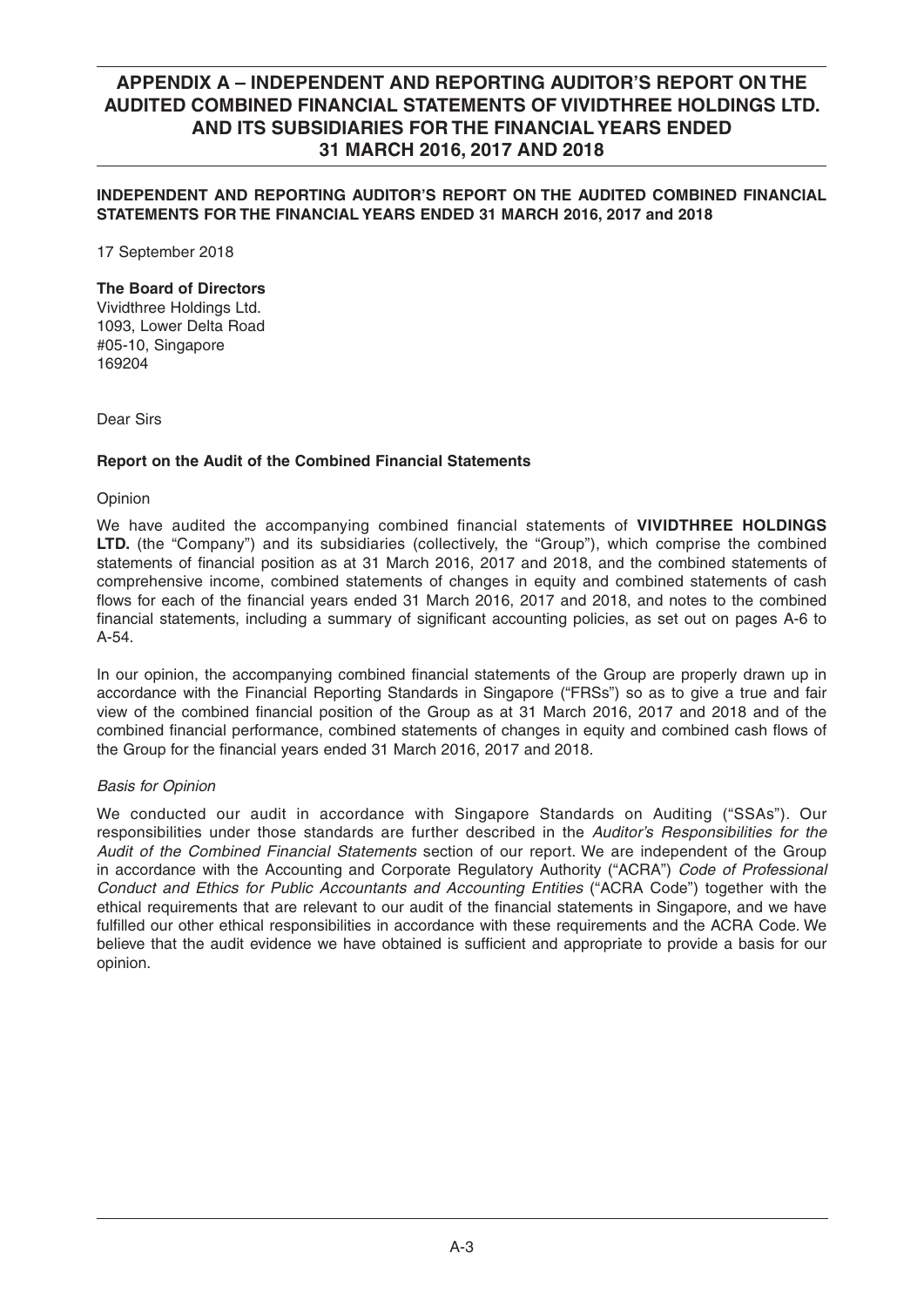## **INDEPENDENT AND REPORTING AUDITOR'S REPORT ON THE AUDITED COMBINED FINANCIAL STATEMENTS FOR THE FINANCIAL YEARS ENDED 31 MARCH 2016, 2017 and 2018**

17 September 2018

### **The Board of Directors**

Vividthree Holdings Ltd. 1093, Lower Delta Road #05-10, Singapore 169204

Dear Sirs

### **Report on the Audit of the Combined Financial Statements**

Opinion

We have audited the accompanying combined financial statements of **VIVIDTHREE HOLDINGS LTD.** (the "Company") and its subsidiaries (collectively, the "Group"), which comprise the combined statements of financial position as at 31 March 2016, 2017 and 2018, and the combined statements of comprehensive income, combined statements of changes in equity and combined statements of cash flows for each of the financial years ended 31 March 2016, 2017 and 2018, and notes to the combined financial statements, including a summary of significant accounting policies, as set out on pages A-6 to A-54.

In our opinion, the accompanying combined financial statements of the Group are properly drawn up in accordance with the Financial Reporting Standards in Singapore ("FRSs") so as to give a true and fair view of the combined financial position of the Group as at 31 March 2016, 2017 and 2018 and of the combined financial performance, combined statements of changes in equity and combined cash flows of the Group for the financial years ended 31 March 2016, 2017 and 2018.

### *Basis for Opinion*

We conducted our audit in accordance with Singapore Standards on Auditing ("SSAs"). Our responsibilities under those standards are further described in the *Auditor's Responsibilities for the Audit of the Combined Financial Statements* section of our report. We are independent of the Group in accordance with the Accounting and Corporate Regulatory Authority ("ACRA") *Code of Professional Conduct and Ethics for Public Accountants and Accounting Entities* ("ACRA Code") together with the ethical requirements that are relevant to our audit of the financial statements in Singapore, and we have fulfilled our other ethical responsibilities in accordance with these requirements and the ACRA Code. We believe that the audit evidence we have obtained is sufficient and appropriate to provide a basis for our opinion.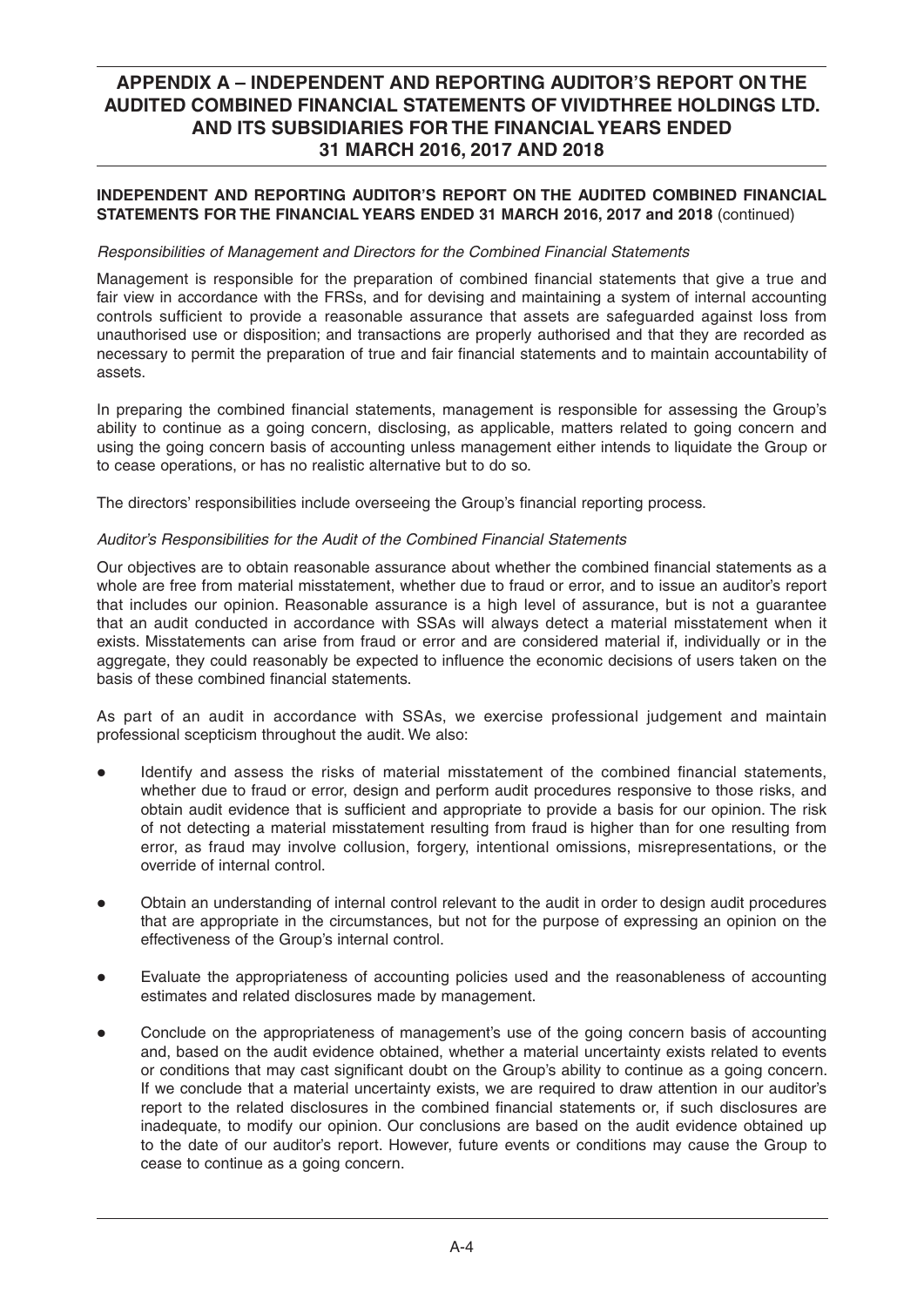## **INDEPENDENT AND REPORTING AUDITOR'S REPORT ON THE AUDITED COMBINED FINANCIAL STATEMENTS FOR THE FINANCIAL YEARS ENDED 31 MARCH 2016, 2017 and 2018** (continued)

### *Responsibilities of Management and Directors for the Combined Financial Statements*

Management is responsible for the preparation of combined financial statements that give a true and fair view in accordance with the FRSs, and for devising and maintaining a system of internal accounting controls sufficient to provide a reasonable assurance that assets are safeguarded against loss from unauthorised use or disposition; and transactions are properly authorised and that they are recorded as necessary to permit the preparation of true and fair financial statements and to maintain accountability of assets.

In preparing the combined financial statements, management is responsible for assessing the Group's ability to continue as a going concern, disclosing, as applicable, matters related to going concern and using the going concern basis of accounting unless management either intends to liquidate the Group or to cease operations, or has no realistic alternative but to do so.

The directors' responsibilities include overseeing the Group's financial reporting process.

### *Auditor's Responsibilities for the Audit of the Combined Financial Statements*

Our objectives are to obtain reasonable assurance about whether the combined financial statements as a whole are free from material misstatement, whether due to fraud or error, and to issue an auditor's report that includes our opinion. Reasonable assurance is a high level of assurance, but is not a guarantee that an audit conducted in accordance with SSAs will always detect a material misstatement when it exists. Misstatements can arise from fraud or error and are considered material if, individually or in the aggregate, they could reasonably be expected to influence the economic decisions of users taken on the basis of these combined financial statements.

As part of an audit in accordance with SSAs, we exercise professional judgement and maintain professional scepticism throughout the audit. We also:

- Identify and assess the risks of material misstatement of the combined financial statements, whether due to fraud or error, design and perform audit procedures responsive to those risks, and obtain audit evidence that is sufficient and appropriate to provide a basis for our opinion. The risk of not detecting a material misstatement resulting from fraud is higher than for one resulting from error, as fraud may involve collusion, forgery, intentional omissions, misrepresentations, or the override of internal control.
- Obtain an understanding of internal control relevant to the audit in order to design audit procedures that are appropriate in the circumstances, but not for the purpose of expressing an opinion on the effectiveness of the Group's internal control.
- Evaluate the appropriateness of accounting policies used and the reasonableness of accounting estimates and related disclosures made by management.
- Conclude on the appropriateness of management's use of the going concern basis of accounting and, based on the audit evidence obtained, whether a material uncertainty exists related to events or conditions that may cast significant doubt on the Group's ability to continue as a going concern. If we conclude that a material uncertainty exists, we are required to draw attention in our auditor's report to the related disclosures in the combined financial statements or, if such disclosures are inadequate, to modify our opinion. Our conclusions are based on the audit evidence obtained up to the date of our auditor's report. However, future events or conditions may cause the Group to cease to continue as a going concern.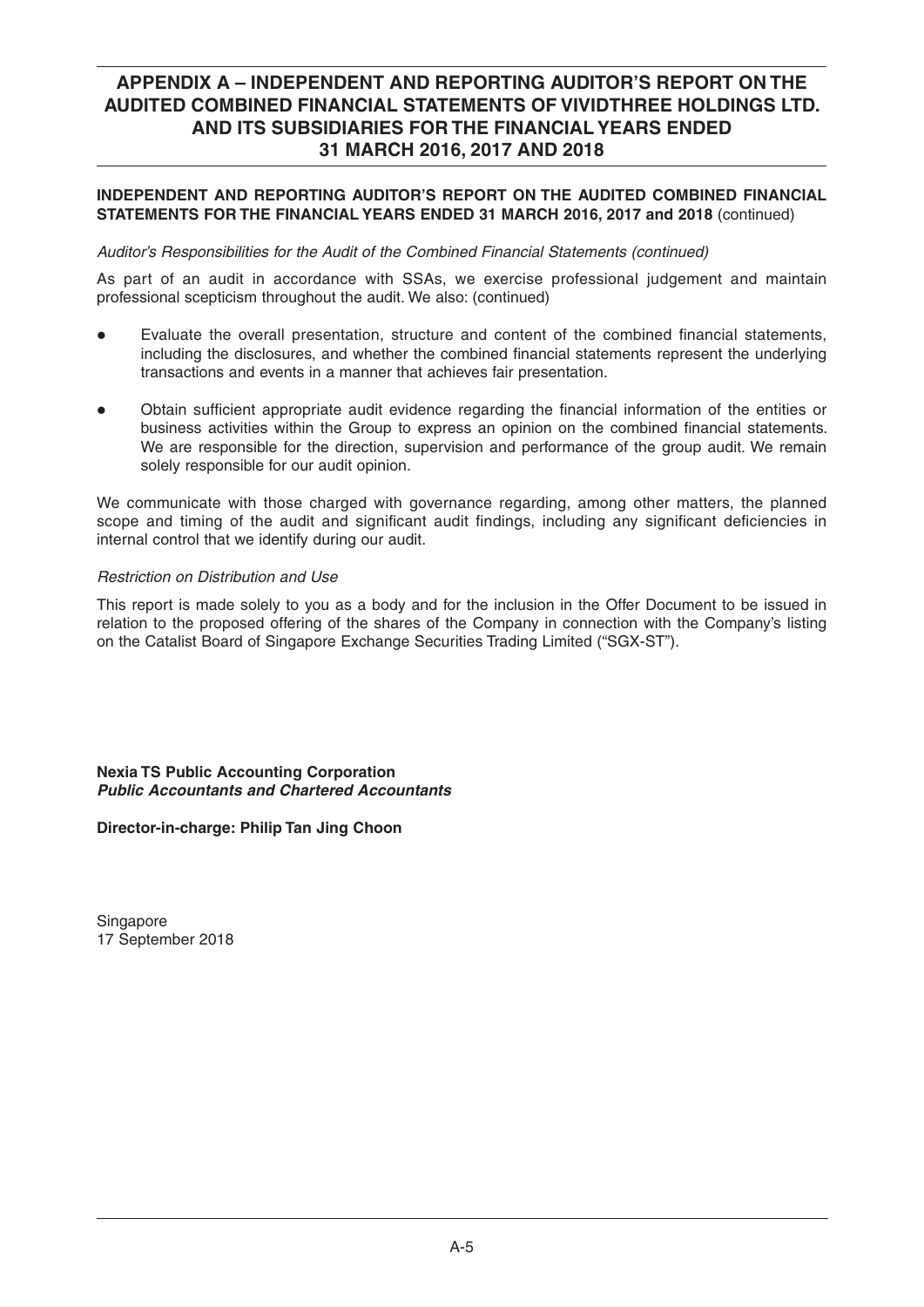## **INDEPENDENT AND REPORTING AUDITOR'S REPORT ON THE AUDITED COMBINED FINANCIAL STATEMENTS FOR THE FINANCIAL YEARS ENDED 31 MARCH 2016, 2017 and 2018** (continued)

### *Auditor's Responsibilities for the Audit of the Combined Financial Statements (continued)*

As part of an audit in accordance with SSAs, we exercise professional judgement and maintain professional scepticism throughout the audit. We also: (continued)

- Evaluate the overall presentation, structure and content of the combined financial statements, including the disclosures, and whether the combined financial statements represent the underlying transactions and events in a manner that achieves fair presentation.
- Obtain sufficient appropriate audit evidence regarding the financial information of the entities or business activities within the Group to express an opinion on the combined financial statements. We are responsible for the direction, supervision and performance of the group audit. We remain solely responsible for our audit opinion.

We communicate with those charged with governance regarding, among other matters, the planned scope and timing of the audit and significant audit findings, including any significant deficiencies in internal control that we identify during our audit.

## *Restriction on Distribution and Use*

This report is made solely to you as a body and for the inclusion in the Offer Document to be issued in relation to the proposed offering of the shares of the Company in connection with the Company's listing on the Catalist Board of Singapore Exchange Securities Trading Limited ("SGX-ST").

**Nexia TS Public Accounting Corporation**  *Public Accountants and Chartered Accountants* 

**Director-in-charge: Philip Tan Jing Choon**

Singapore 17 September 2018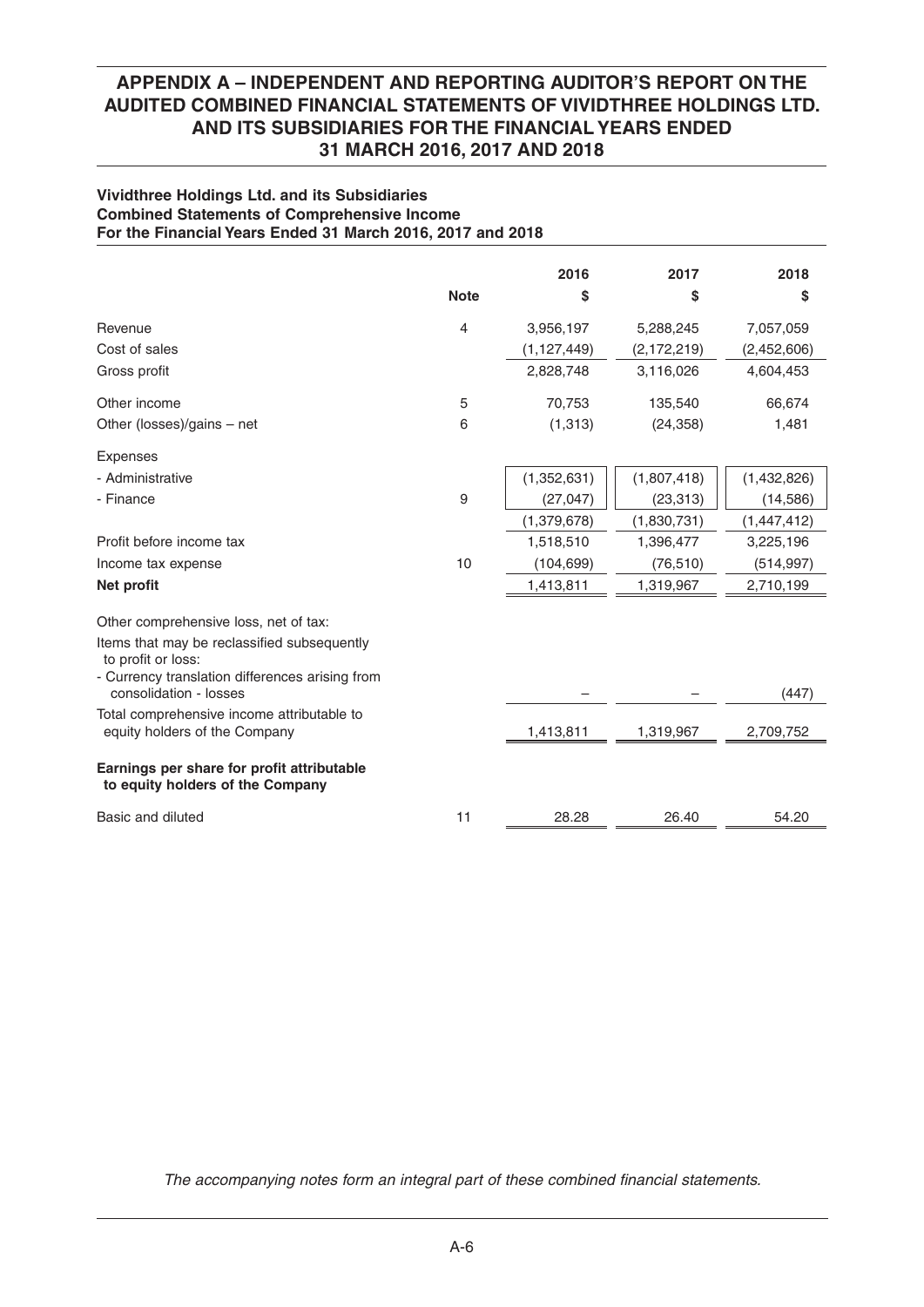### **Vividthree Holdings Ltd. and its Subsidiaries Combined Statements of Comprehensive Income For the Financial Years Ended 31 March 2016, 2017 and 2018**

|                                                                                |                | 2016          | 2017          | 2018          |
|--------------------------------------------------------------------------------|----------------|---------------|---------------|---------------|
|                                                                                | <b>Note</b>    | S             | \$            | \$            |
| Revenue                                                                        | $\overline{4}$ | 3,956,197     | 5,288,245     | 7,057,059     |
| Cost of sales                                                                  |                | (1, 127, 449) | (2, 172, 219) | (2,452,606)   |
| Gross profit                                                                   |                | 2,828,748     | 3,116,026     | 4,604,453     |
| Other income                                                                   | 5              | 70,753        | 135,540       | 66,674        |
| Other (losses)/gains - net                                                     | 6              | (1,313)       | (24, 358)     | 1,481         |
| <b>Expenses</b>                                                                |                |               |               |               |
| - Administrative                                                               |                | (1,352,631)   | (1,807,418)   | (1,432,826)   |
| - Finance                                                                      | 9              | (27, 047)     | (23, 313)     | (14, 586)     |
|                                                                                |                | (1,379,678)   | (1,830,731)   | (1, 447, 412) |
| Profit before income tax                                                       |                | 1,518,510     | 1,396,477     | 3,225,196     |
| Income tax expense                                                             | 10             | (104, 699)    | (76, 510)     | (514, 997)    |
| Net profit                                                                     |                | 1,413,811     | 1,319,967     | 2,710,199     |
| Other comprehensive loss, net of tax:                                          |                |               |               |               |
| Items that may be reclassified subsequently<br>to profit or loss:              |                |               |               |               |
| - Currency translation differences arising from<br>consolidation - losses      |                |               |               | (447)         |
| Total comprehensive income attributable to<br>equity holders of the Company    |                | 1,413,811     | 1,319,967     | 2,709,752     |
| Earnings per share for profit attributable<br>to equity holders of the Company |                |               |               |               |
| Basic and diluted                                                              | 11             | 28.28         | 26.40         | 54.20         |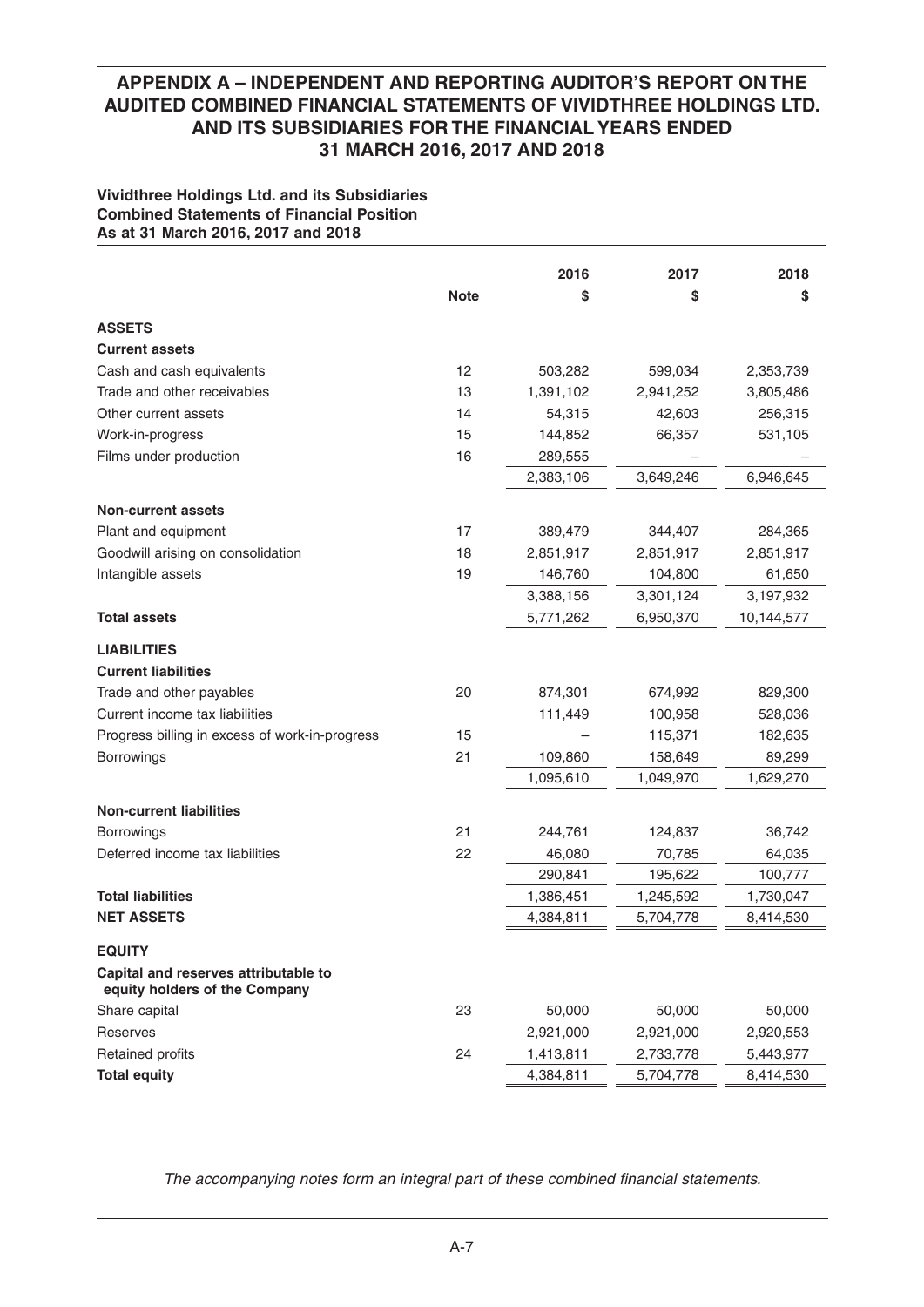### **Vividthree Holdings Ltd. and its Subsidiaries Combined Statements of Financial Position As at 31 March 2016, 2017 and 2018**

|                                                          |             | 2016      | 2017      | 2018       |
|----------------------------------------------------------|-------------|-----------|-----------|------------|
|                                                          | <b>Note</b> | \$        | \$        | \$         |
|                                                          |             |           |           |            |
| <b>ASSETS</b>                                            |             |           |           |            |
| <b>Current assets</b>                                    |             |           |           |            |
| Cash and cash equivalents<br>Trade and other receivables | 12<br>13    | 503,282   | 599,034   | 2,353,739  |
|                                                          |             | 1,391,102 | 2,941,252 | 3,805,486  |
| Other current assets                                     | 14          | 54,315    | 42,603    | 256,315    |
| Work-in-progress                                         | 15          | 144,852   | 66,357    | 531,105    |
| Films under production                                   | 16          | 289,555   |           |            |
|                                                          |             | 2,383,106 | 3,649,246 | 6,946,645  |
| <b>Non-current assets</b>                                |             |           |           |            |
| Plant and equipment                                      | 17          | 389,479   | 344,407   | 284,365    |
| Goodwill arising on consolidation                        | 18          | 2,851,917 | 2,851,917 | 2,851,917  |
| Intangible assets                                        | 19          | 146,760   | 104,800   | 61,650     |
|                                                          |             | 3,388,156 | 3,301,124 | 3,197,932  |
| <b>Total assets</b>                                      |             | 5,771,262 | 6,950,370 | 10,144,577 |
|                                                          |             |           |           |            |
| <b>LIABILITIES</b>                                       |             |           |           |            |
| <b>Current liabilities</b>                               |             |           |           |            |
| Trade and other payables                                 | 20          | 874,301   | 674,992   | 829,300    |
| Current income tax liabilities                           |             | 111,449   | 100,958   | 528,036    |
| Progress billing in excess of work-in-progress           | 15          |           | 115,371   | 182,635    |
| Borrowings                                               | 21          | 109,860   | 158,649   | 89,299     |
|                                                          |             | 1,095,610 | 1,049,970 | 1,629,270  |
| <b>Non-current liabilities</b>                           |             |           |           |            |
| <b>Borrowings</b>                                        | 21          | 244,761   | 124,837   | 36,742     |
| Deferred income tax liabilities                          | 22          | 46,080    | 70,785    | 64,035     |
|                                                          |             | 290,841   | 195,622   | 100,777    |
| <b>Total liabilities</b>                                 |             | 1,386,451 | 1,245,592 | 1,730,047  |
| <b>NET ASSETS</b>                                        |             | 4,384,811 | 5,704,778 | 8,414,530  |
|                                                          |             |           |           |            |
| <b>EQUITY</b><br>Capital and reserves attributable to    |             |           |           |            |
| equity holders of the Company                            |             |           |           |            |
| Share capital                                            | 23          | 50,000    | 50,000    | 50,000     |
| Reserves                                                 |             | 2,921,000 | 2,921,000 | 2,920,553  |
| Retained profits                                         | 24          | 1,413,811 | 2,733,778 | 5,443,977  |
| <b>Total equity</b>                                      |             | 4,384,811 | 5,704,778 | 8,414,530  |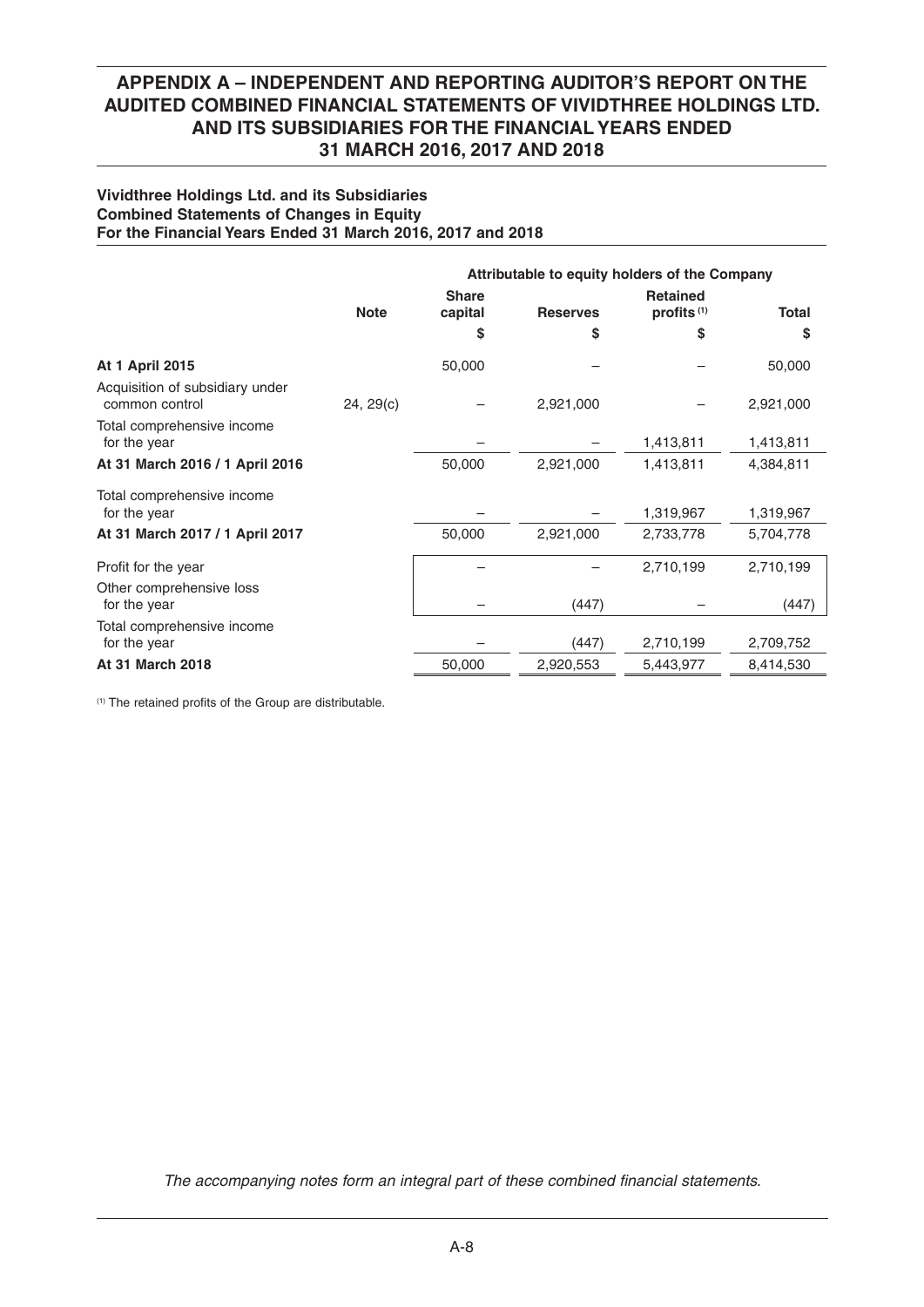### **Vividthree Holdings Ltd. and its Subsidiaries Combined Statements of Changes in Equity For the Financial Years Ended 31 March 2016, 2017 and 2018**

|                                                   |             | Attributable to equity holders of the Company |                 |                                           |              |
|---------------------------------------------------|-------------|-----------------------------------------------|-----------------|-------------------------------------------|--------------|
|                                                   | <b>Note</b> | <b>Share</b><br>capital                       | <b>Reserves</b> | <b>Retained</b><br>profits <sup>(1)</sup> | <b>Total</b> |
|                                                   |             | \$                                            | S               | S                                         | \$           |
| <b>At 1 April 2015</b>                            |             | 50,000                                        |                 |                                           | 50,000       |
| Acquisition of subsidiary under<br>common control | 24, 29(c)   |                                               | 2,921,000       |                                           | 2,921,000    |
| Total comprehensive income<br>for the year        |             |                                               |                 | 1,413,811                                 | 1,413,811    |
| At 31 March 2016 / 1 April 2016                   |             | 50,000                                        | 2,921,000       | 1,413,811                                 | 4,384,811    |
| Total comprehensive income<br>for the year        |             |                                               |                 | 1,319,967                                 | 1,319,967    |
| At 31 March 2017 / 1 April 2017                   |             | 50,000                                        | 2,921,000       | 2,733,778                                 | 5,704,778    |
| Profit for the year<br>Other comprehensive loss   |             |                                               |                 | 2,710,199                                 | 2,710,199    |
| for the year                                      |             |                                               | (447)           |                                           | (447)        |
| Total comprehensive income<br>for the year        |             |                                               | (447)           | 2,710,199                                 | 2,709,752    |
| At 31 March 2018                                  |             | 50,000                                        | 2,920,553       | 5,443,977                                 | 8,414,530    |

 $(1)$  The retained profits of the Group are distributable.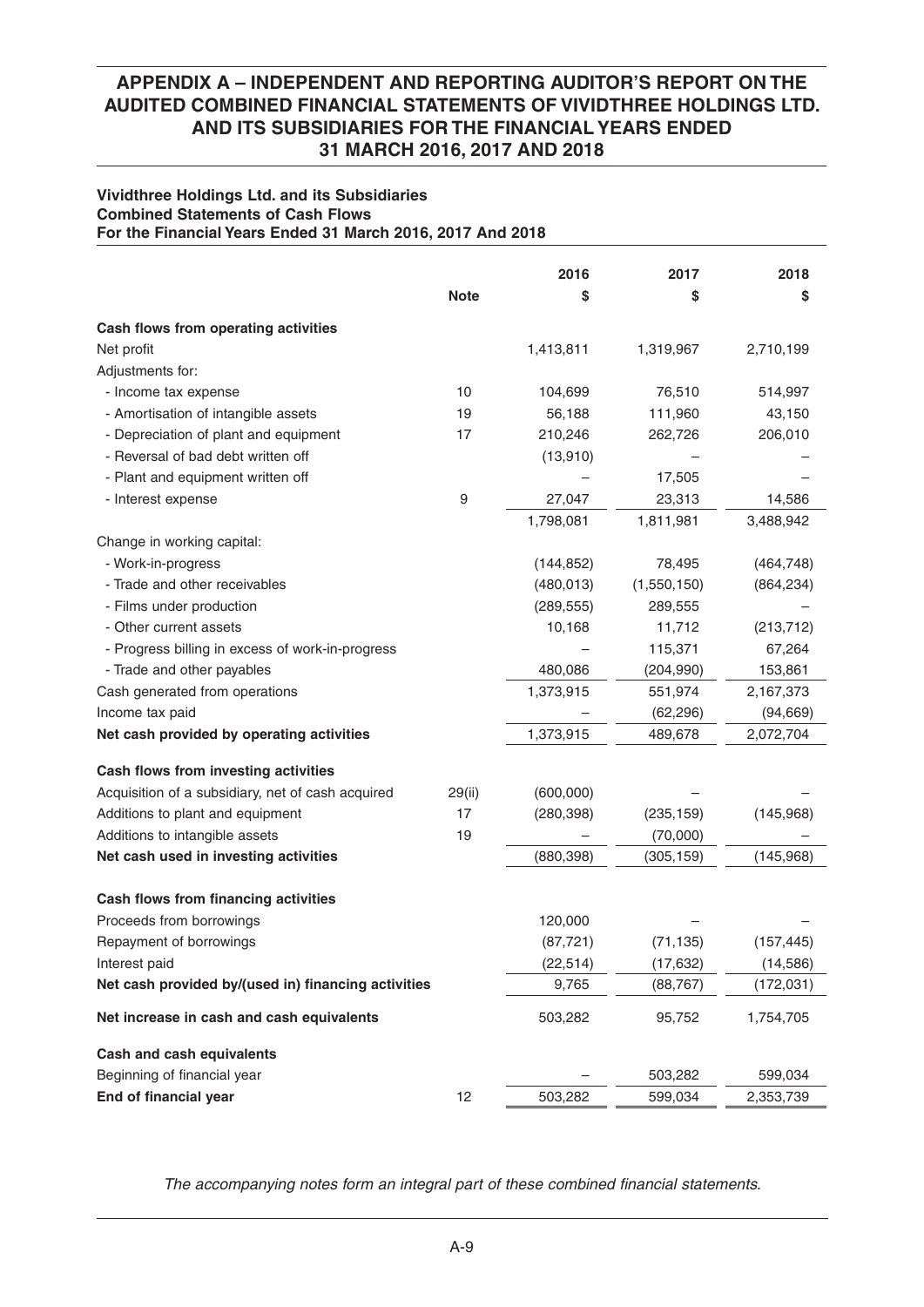### **Vividthree Holdings Ltd. and its Subsidiaries Combined Statements of Cash Flows For the Financial Years Ended 31 March 2016, 2017 And 2018**

|                                                     |             | 2016       | 2017        | 2018       |
|-----------------------------------------------------|-------------|------------|-------------|------------|
|                                                     | <b>Note</b> | \$         | \$          | \$         |
| Cash flows from operating activities                |             |            |             |            |
| Net profit                                          |             | 1,413,811  | 1,319,967   | 2,710,199  |
| Adjustments for:                                    |             |            |             |            |
| - Income tax expense                                | 10          | 104,699    | 76,510      | 514,997    |
| - Amortisation of intangible assets                 | 19          | 56,188     | 111,960     | 43,150     |
| - Depreciation of plant and equipment               | 17          | 210,246    | 262,726     | 206,010    |
| - Reversal of bad debt written off                  |             | (13,910)   |             |            |
| - Plant and equipment written off                   |             |            | 17,505      |            |
| - Interest expense                                  | 9           | 27,047     | 23,313      | 14,586     |
|                                                     |             | 1,798,081  | 1,811,981   | 3,488,942  |
| Change in working capital:                          |             |            |             |            |
| - Work-in-progress                                  |             | (144, 852) | 78,495      | (464, 748) |
| - Trade and other receivables                       |             | (480, 013) | (1,550,150) | (864, 234) |
| - Films under production                            |             | (289, 555) | 289,555     |            |
| - Other current assets                              |             | 10,168     | 11,712      | (213, 712) |
| - Progress billing in excess of work-in-progress    |             |            | 115,371     | 67,264     |
| - Trade and other payables                          |             | 480,086    | (204, 990)  | 153,861    |
| Cash generated from operations                      |             | 1,373,915  | 551,974     | 2,167,373  |
| Income tax paid                                     |             |            | (62, 296)   | (94, 669)  |
| Net cash provided by operating activities           |             | 1,373,915  | 489,678     | 2,072,704  |
| Cash flows from investing activities                |             |            |             |            |
| Acquisition of a subsidiary, net of cash acquired   | 29(ii)      | (600,000)  |             |            |
| Additions to plant and equipment                    | 17          | (280, 398) | (235, 159)  | (145,968)  |
| Additions to intangible assets                      | 19          |            | (70,000)    |            |
| Net cash used in investing activities               |             | (880, 398) | (305, 159)  | (145,968)  |
|                                                     |             |            |             |            |
| Cash flows from financing activities                |             |            |             |            |
| Proceeds from borrowings                            |             | 120,000    |             |            |
| Repayment of borrowings                             |             | (87, 721)  | (71, 135)   | (157, 445) |
| Interest paid                                       |             | (22, 514)  | (17, 632)   | (14, 586)  |
| Net cash provided by/(used in) financing activities |             | 9,765      | (88, 767)   | (172, 031) |
| Net increase in cash and cash equivalents           |             | 503,282    | 95,752      | 1,754,705  |
| <b>Cash and cash equivalents</b>                    |             |            |             |            |
| Beginning of financial year                         |             |            | 503,282     | 599,034    |
| End of financial year                               | 12          | 503,282    | 599,034     | 2,353,739  |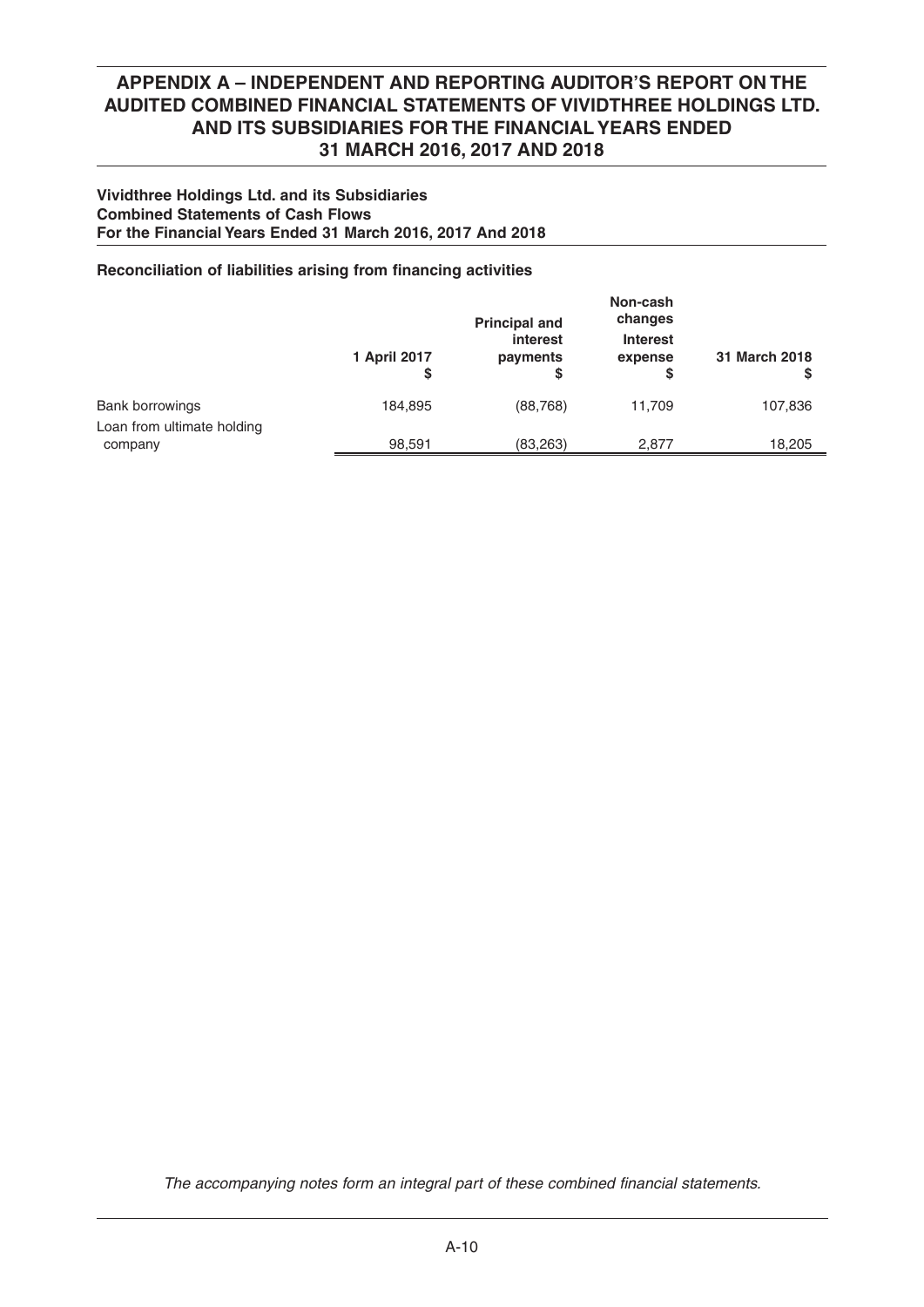### **Vividthree Holdings Ltd. and its Subsidiaries Combined Statements of Cash Flows For the Financial Years Ended 31 March 2016, 2017 And 2018**

## **Reconciliation of liabilities arising from financing activities**

|                                       | 1 April 2017<br>S | <b>Principal and</b><br>interest<br>payments<br>S | Non-cash<br>changes<br><b>Interest</b><br>expense | 31 March 2018 |
|---------------------------------------|-------------------|---------------------------------------------------|---------------------------------------------------|---------------|
| <b>Bank borrowings</b>                | 184,895           | (88, 768)                                         | 11,709                                            | 107,836       |
| Loan from ultimate holding<br>company | 98,591            | (83, 263)                                         | 2.877                                             | 18,205        |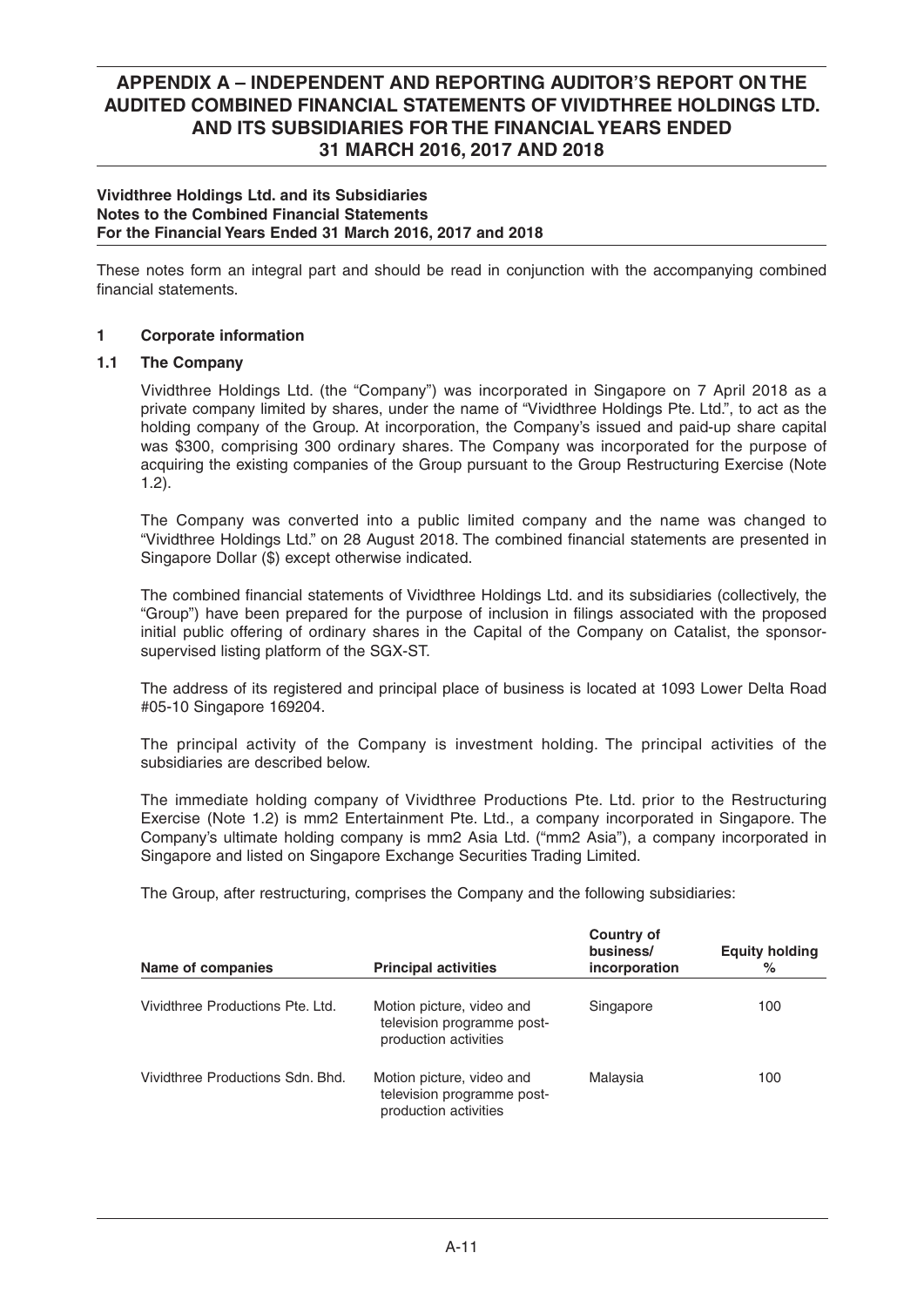### **Vividthree Holdings Ltd. and its Subsidiaries Notes to the Combined Financial Statements For the Financial Years Ended 31 March 2016, 2017 and 2018**

These notes form an integral part and should be read in conjunction with the accompanying combined financial statements.

## **1 Corporate information**

## **1.1 The Company**

 Vividthree Holdings Ltd. (the "Company") was incorporated in Singapore on 7 April 2018 as a private company limited by shares, under the name of "Vividthree Holdings Pte. Ltd.", to act as the holding company of the Group. At incorporation, the Company's issued and paid-up share capital was \$300, comprising 300 ordinary shares. The Company was incorporated for the purpose of acquiring the existing companies of the Group pursuant to the Group Restructuring Exercise (Note 1.2).

 The Company was converted into a public limited company and the name was changed to "Vividthree Holdings Ltd." on 28 August 2018. The combined financial statements are presented in Singapore Dollar (\$) except otherwise indicated.

The combined financial statements of Vividthree Holdings Ltd. and its subsidiaries (collectively, the "Group") have been prepared for the purpose of inclusion in filings associated with the proposed initial public offering of ordinary shares in the Capital of the Company on Catalist, the sponsorsupervised listing platform of the SGX-ST.

 The address of its registered and principal place of business is located at 1093 Lower Delta Road #05-10 Singapore 169204.

 The principal activity of the Company is investment holding. The principal activities of the subsidiaries are described below.

 The immediate holding company of Vividthree Productions Pte. Ltd. prior to the Restructuring Exercise (Note 1.2) is mm2 Entertainment Pte. Ltd., a company incorporated in Singapore. The Company's ultimate holding company is mm2 Asia Ltd. ("mm2 Asia"), a company incorporated in Singapore and listed on Singapore Exchange Securities Trading Limited.

The Group, after restructuring, comprises the Company and the following subsidiaries:

| Name of companies                | <b>Principal activities</b>                                                      | <b>Country of</b><br>business/<br>incorporation | <b>Equity holding</b><br>% |
|----------------------------------|----------------------------------------------------------------------------------|-------------------------------------------------|----------------------------|
| Vividthree Productions Pte. Ltd. | Motion picture, video and<br>television programme post-<br>production activities | Singapore                                       | 100                        |
| Vividthree Productions Sdn. Bhd. | Motion picture, video and<br>television programme post-<br>production activities | Malaysia                                        | 100                        |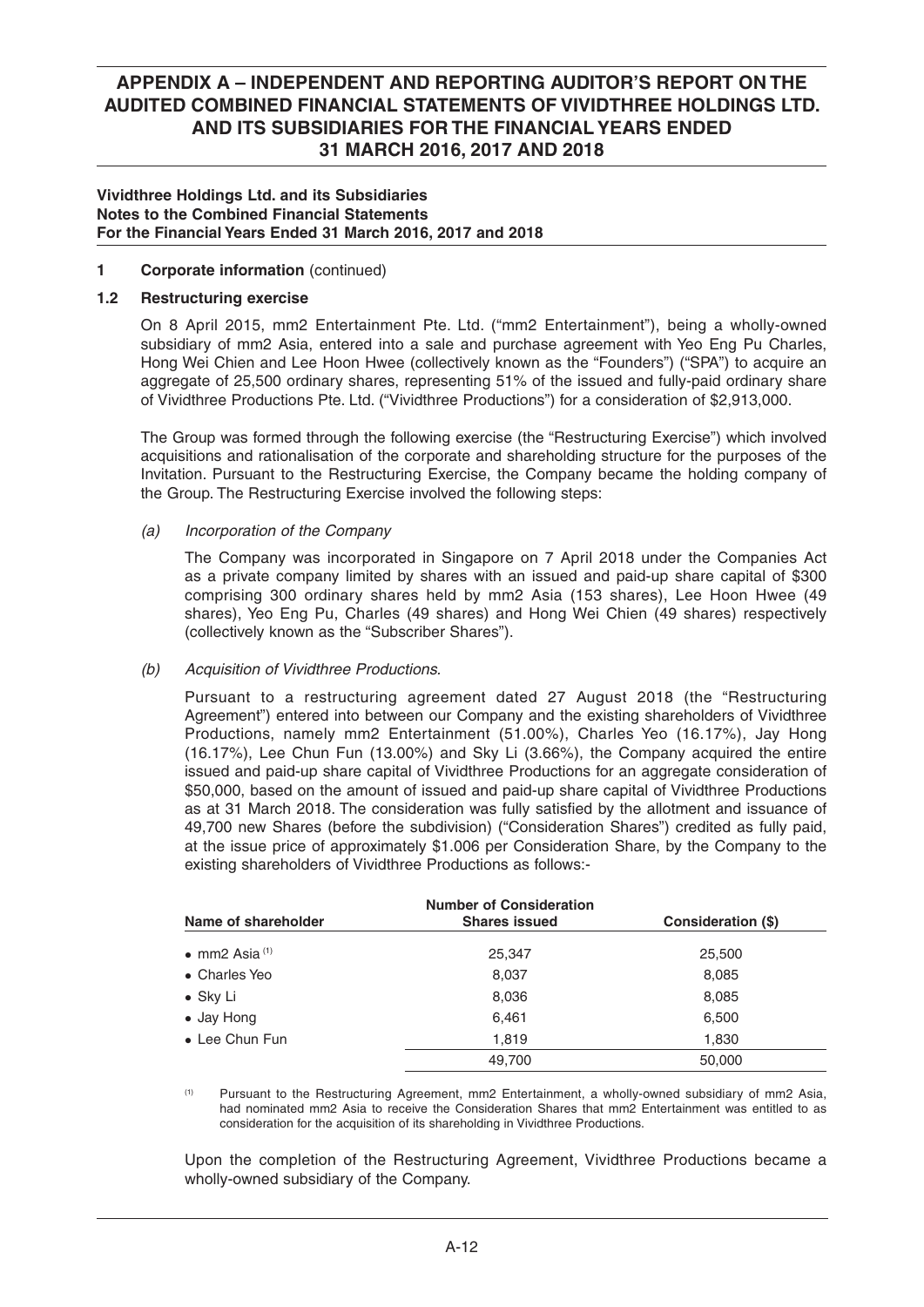### **Vividthree Holdings Ltd. and its Subsidiaries Notes to the Combined Financial Statements For the Financial Years Ended 31 March 2016, 2017 and 2018**

### **1 Corporate information** (continued)

### **1.2 Restructuring exercise**

 On 8 April 2015, mm2 Entertainment Pte. Ltd. ("mm2 Entertainment"), being a wholly-owned subsidiary of mm2 Asia, entered into a sale and purchase agreement with Yeo Eng Pu Charles, Hong Wei Chien and Lee Hoon Hwee (collectively known as the "Founders") ("SPA") to acquire an aggregate of 25,500 ordinary shares, representing 51% of the issued and fully-paid ordinary share of Vividthree Productions Pte. Ltd. ("Vividthree Productions") for a consideration of \$2,913,000.

 The Group was formed through the following exercise (the "Restructuring Exercise") which involved acquisitions and rationalisation of the corporate and shareholding structure for the purposes of the Invitation. Pursuant to the Restructuring Exercise, the Company became the holding company of the Group. The Restructuring Exercise involved the following steps:

### *(a) Incorporation of the Company*

 The Company was incorporated in Singapore on 7 April 2018 under the Companies Act as a private company limited by shares with an issued and paid-up share capital of \$300 comprising 300 ordinary shares held by mm2 Asia (153 shares), Lee Hoon Hwee (49 shares), Yeo Eng Pu, Charles (49 shares) and Hong Wei Chien (49 shares) respectively (collectively known as the "Subscriber Shares").

### *(b) Acquisition of Vividthree Productions.*

 Pursuant to a restructuring agreement dated 27 August 2018 (the "Restructuring Agreement") entered into between our Company and the existing shareholders of Vividthree Productions, namely mm2 Entertainment (51.00%), Charles Yeo (16.17%), Jay Hong (16.17%), Lee Chun Fun (13.00%) and Sky Li (3.66%), the Company acquired the entire issued and paid-up share capital of Vividthree Productions for an aggregate consideration of \$50,000, based on the amount of issued and paid-up share capital of Vividthree Productions as at 31 March 2018. The consideration was fully satisfied by the allotment and issuance of 49,700 new Shares (before the subdivision) ("Consideration Shares") credited as fully paid, at the issue price of approximately \$1.006 per Consideration Share, by the Company to the existing shareholders of Vividthree Productions as follows:-

| <b>Number of Consideration</b> |                      |                    |  |  |
|--------------------------------|----------------------|--------------------|--|--|
| Name of shareholder            | <b>Shares issued</b> | Consideration (\$) |  |  |
| • mm2 Asia $(1)$               | 25,347               | 25,500             |  |  |
| • Charles Yeo                  | 8,037                | 8,085              |  |  |
| $\bullet$ Sky Li               | 8,036                | 8,085              |  |  |
| • Jay Hong                     | 6,461                | 6,500              |  |  |
| • Lee Chun Fun                 | 1,819                | 1,830              |  |  |
|                                | 49,700               | 50,000             |  |  |

 (1) Pursuant to the Restructuring Agreement, mm2 Entertainment, a wholly-owned subsidiary of mm2 Asia, had nominated mm2 Asia to receive the Consideration Shares that mm2 Entertainment was entitled to as consideration for the acquisition of its shareholding in Vividthree Productions.

 Upon the completion of the Restructuring Agreement, Vividthree Productions became a wholly-owned subsidiary of the Company.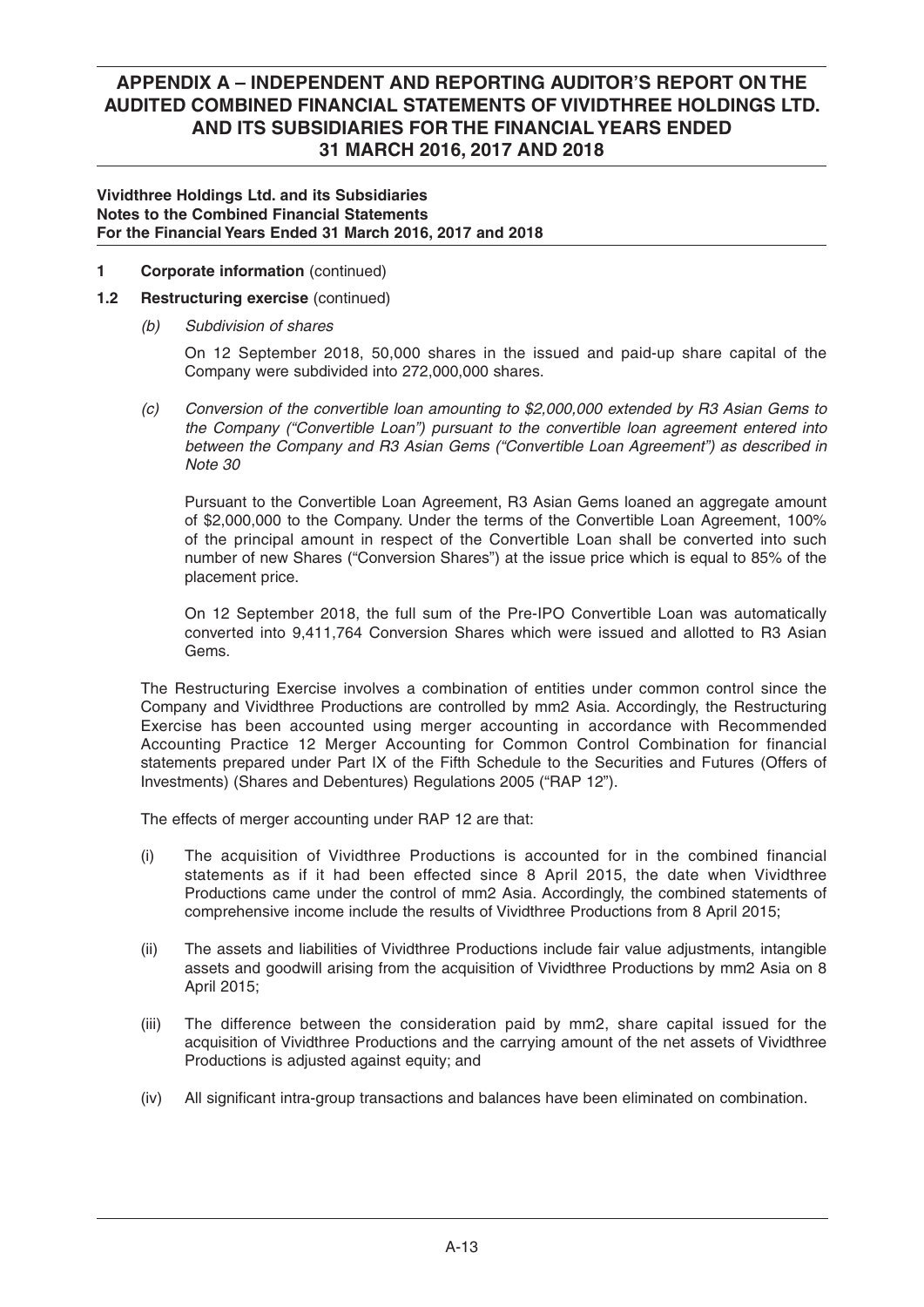### **Vividthree Holdings Ltd. and its Subsidiaries Notes to the Combined Financial Statements For the Financial Years Ended 31 March 2016, 2017 and 2018**

## **1 Corporate information** (continued)

## **1.2 Restructuring exercise** (continued)

*(b) Subdivision of shares*

On 12 September 2018, 50,000 shares in the issued and paid-up share capital of the Company were subdivided into 272,000,000 shares.

 *(c) Conversion of the convertible loan amounting to \$2,000,000 extended by R3 Asian Gems to the Company ("Convertible Loan") pursuant to the convertible loan agreement entered into between the Company and R3 Asian Gems ("Convertible Loan Agreement") as described in Note 30* 

 Pursuant to the Convertible Loan Agreement, R3 Asian Gems loaned an aggregate amount of \$2,000,000 to the Company. Under the terms of the Convertible Loan Agreement, 100% of the principal amount in respect of the Convertible Loan shall be converted into such number of new Shares ("Conversion Shares") at the issue price which is equal to 85% of the placement price.

 On 12 September 2018, the full sum of the Pre-IPO Convertible Loan was automatically converted into 9,411,764 Conversion Shares which were issued and allotted to R3 Asian Gems.

 The Restructuring Exercise involves a combination of entities under common control since the Company and Vividthree Productions are controlled by mm2 Asia. Accordingly, the Restructuring Exercise has been accounted using merger accounting in accordance with Recommended Accounting Practice 12 Merger Accounting for Common Control Combination for financial statements prepared under Part IX of the Fifth Schedule to the Securities and Futures (Offers of Investments) (Shares and Debentures) Regulations 2005 ("RAP 12").

The effects of merger accounting under RAP 12 are that:

- (i) The acquisition of Vividthree Productions is accounted for in the combined financial statements as if it had been effected since 8 April 2015, the date when Vividthree Productions came under the control of mm2 Asia. Accordingly, the combined statements of comprehensive income include the results of Vividthree Productions from 8 April 2015;
- (ii) The assets and liabilities of Vividthree Productions include fair value adjustments, intangible assets and goodwill arising from the acquisition of Vividthree Productions by mm2 Asia on 8 April 2015;
- (iii) The difference between the consideration paid by mm2, share capital issued for the acquisition of Vividthree Productions and the carrying amount of the net assets of Vividthree Productions is adjusted against equity; and
- $(iv)$  All significant intra-group transactions and balances have been eliminated on combination.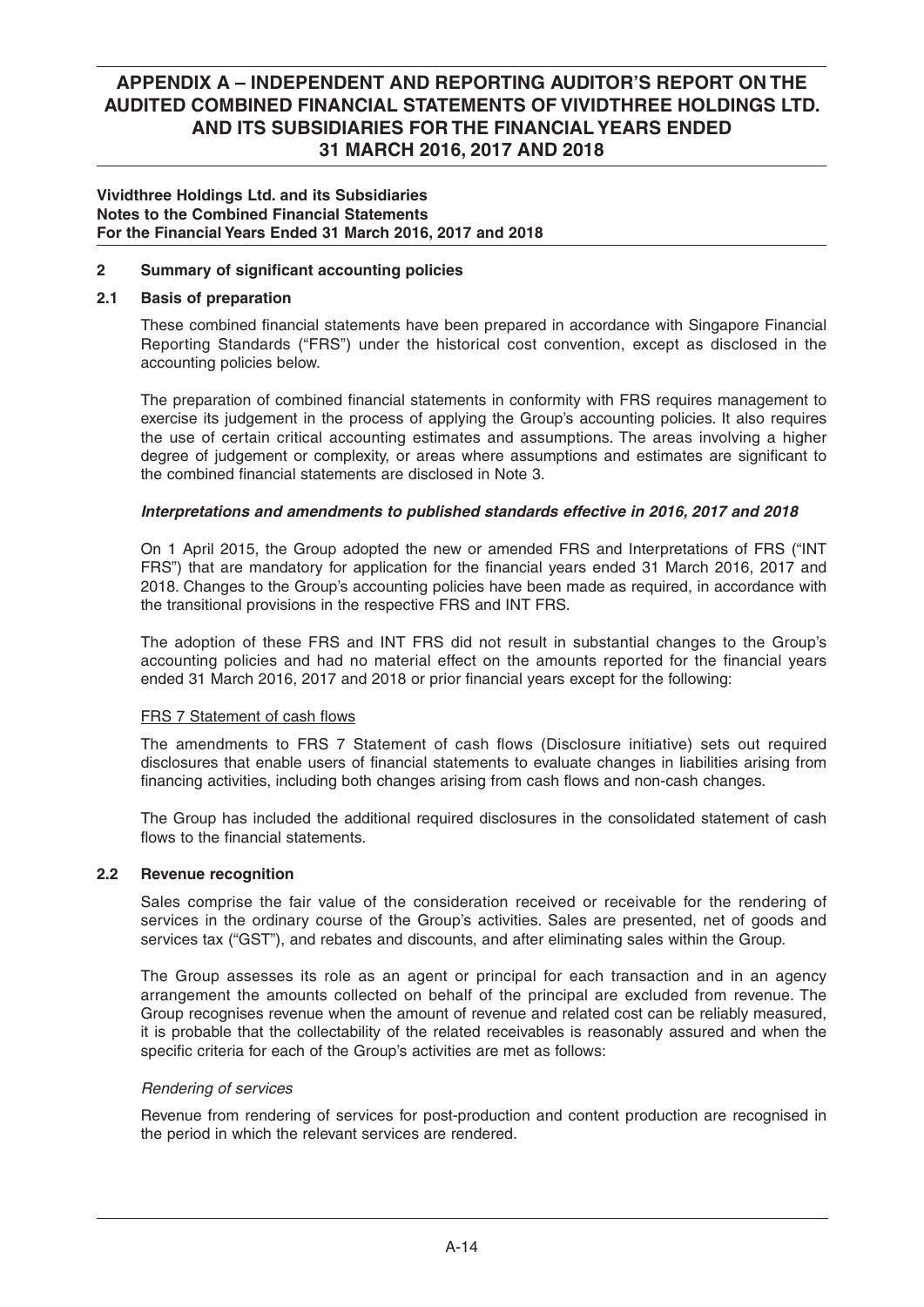### **Vividthree Holdings Ltd. and its Subsidiaries Notes to the Combined Financial Statements For the Financial Years Ended 31 March 2016, 2017 and 2018**

## **2** Summary of significant accounting policies

### **2.1 Basis of preparation**

These combined financial statements have been prepared in accordance with Singapore Financial Reporting Standards ("FRS") under the historical cost convention, except as disclosed in the accounting policies below.

The preparation of combined financial statements in conformity with FRS requires management to exercise its judgement in the process of applying the Group's accounting policies. It also requires the use of certain critical accounting estimates and assumptions. The areas involving a higher degree of judgement or complexity, or areas where assumptions and estimates are significant to the combined financial statements are disclosed in Note 3.

## *Interpretations and amendments to published standards effective in 2016, 2017 and 2018*

 On 1 April 2015, the Group adopted the new or amended FRS and Interpretations of FRS ("INT FRS") that are mandatory for application for the financial years ended 31 March 2016, 2017 and 2018. Changes to the Group's accounting policies have been made as required, in accordance with the transitional provisions in the respective FRS and INT FRS.

 The adoption of these FRS and INT FRS did not result in substantial changes to the Group's accounting policies and had no material effect on the amounts reported for the financial years ended 31 March 2016, 2017 and 2018 or prior financial years except for the following:

### FRS 7 Statement of cash flows

The amendments to FRS 7 Statement of cash flows (Disclosure initiative) sets out required disclosures that enable users of financial statements to evaluate changes in liabilities arising from financing activities, including both changes arising from cash flows and non-cash changes.

 The Group has included the additional required disclosures in the consolidated statement of cash flows to the financial statements.

### **2.2 Revenue recognition**

 Sales comprise the fair value of the consideration received or receivable for the rendering of services in the ordinary course of the Group's activities. Sales are presented, net of goods and services tax ("GST"), and rebates and discounts, and after eliminating sales within the Group.

 The Group assesses its role as an agent or principal for each transaction and in an agency arrangement the amounts collected on behalf of the principal are excluded from revenue. The Group recognises revenue when the amount of revenue and related cost can be reliably measured, it is probable that the collectability of the related receivables is reasonably assured and when the specific criteria for each of the Group's activities are met as follows:

### *Rendering of services*

 Revenue from rendering of services for post-production and content production are recognised in the period in which the relevant services are rendered.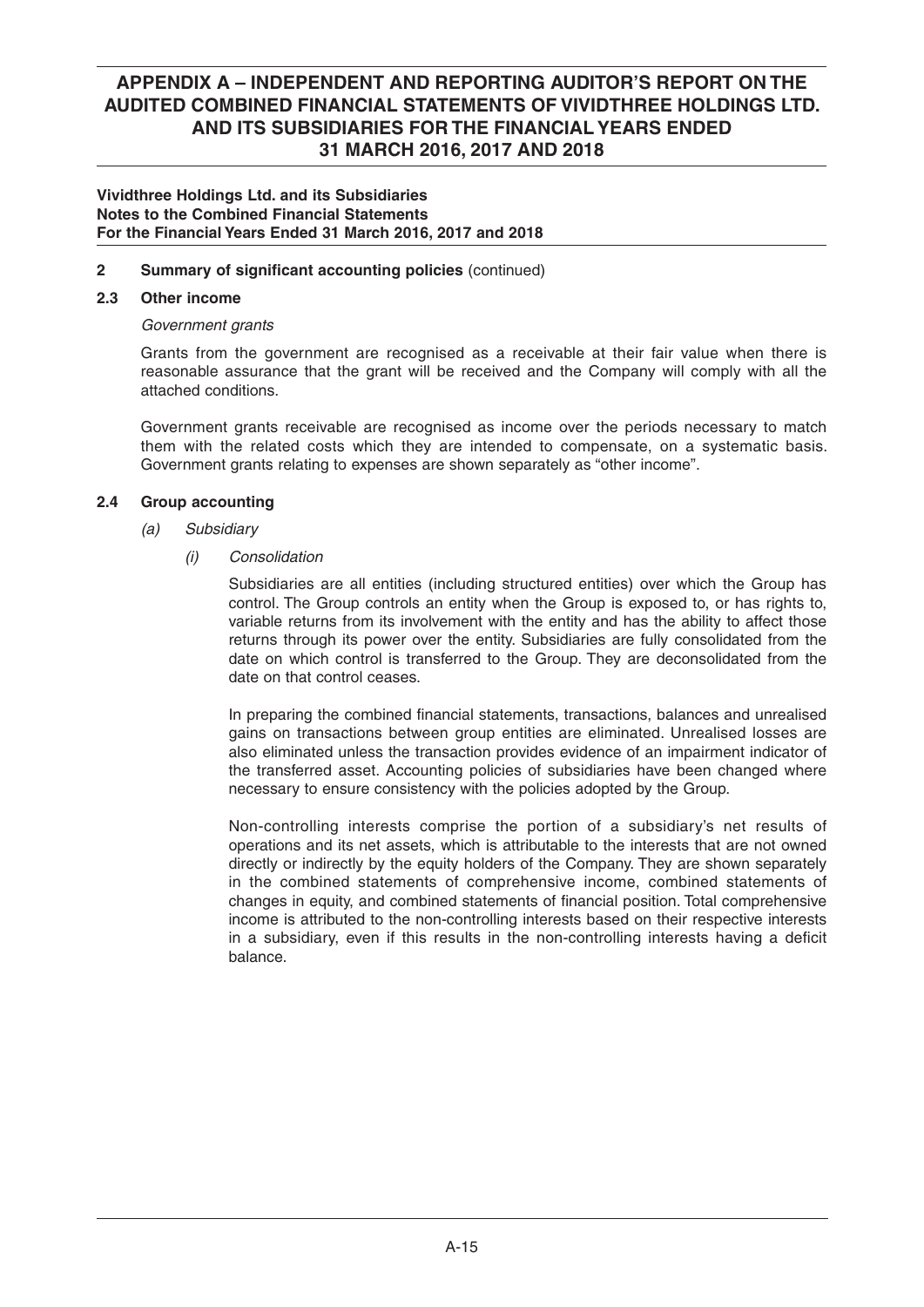### **Vividthree Holdings Ltd. and its Subsidiaries Notes to the Combined Financial Statements For the Financial Years Ended 31 March 2016, 2017 and 2018**

## **2** Summary of significant accounting policies (continued)

### **2.3 Other income**

## *Government grants*

 Grants from the government are recognised as a receivable at their fair value when there is reasonable assurance that the grant will be received and the Company will comply with all the attached conditions.

 Government grants receivable are recognised as income over the periods necessary to match them with the related costs which they are intended to compensate, on a systematic basis. Government grants relating to expenses are shown separately as "other income".

## **2.4 Group accounting**

- *(a) Subsidiary*
	- *(i) Consolidation*

 Subsidiaries are all entities (including structured entities) over which the Group has control. The Group controls an entity when the Group is exposed to, or has rights to, variable returns from its involvement with the entity and has the ability to affect those returns through its power over the entity. Subsidiaries are fully consolidated from the date on which control is transferred to the Group. They are deconsolidated from the date on that control ceases.

In preparing the combined financial statements, transactions, balances and unrealised gains on transactions between group entities are eliminated. Unrealised losses are also eliminated unless the transaction provides evidence of an impairment indicator of the transferred asset. Accounting policies of subsidiaries have been changed where necessary to ensure consistency with the policies adopted by the Group.

 Non-controlling interests comprise the portion of a subsidiary's net results of operations and its net assets, which is attributable to the interests that are not owned directly or indirectly by the equity holders of the Company. They are shown separately in the combined statements of comprehensive income, combined statements of changes in equity, and combined statements of financial position. Total comprehensive income is attributed to the non-controlling interests based on their respective interests in a subsidiary, even if this results in the non-controlling interests having a deficit balance.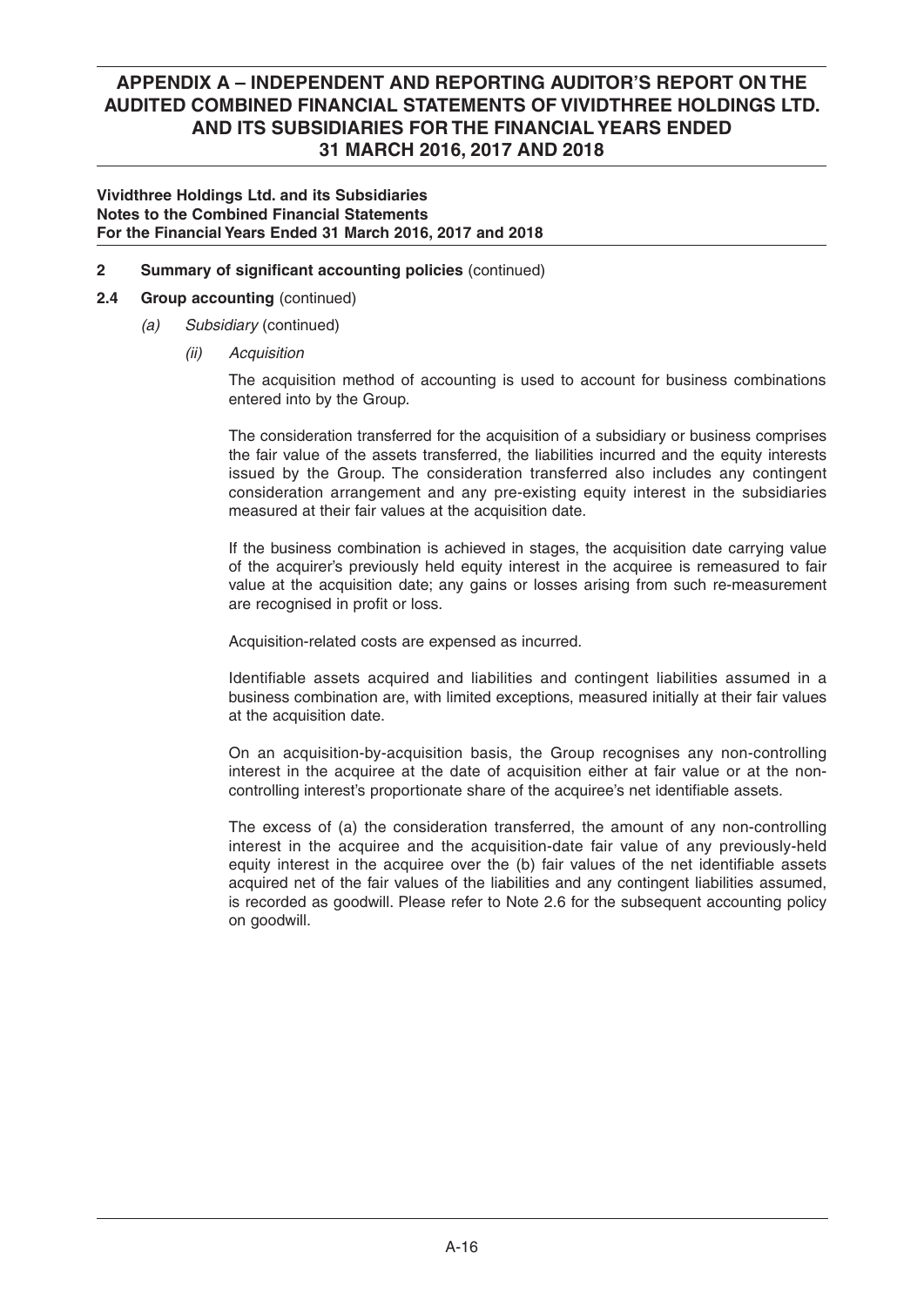### **Vividthree Holdings Ltd. and its Subsidiaries Notes to the Combined Financial Statements For the Financial Years Ended 31 March 2016, 2017 and 2018**

**2** Summary of significant accounting policies (continued)

## **2.4 Group accounting** (continued)

- *(a) Subsidiary* (continued)
	- *(ii) Acquisition*

 The acquisition method of accounting is used to account for business combinations entered into by the Group.

 The consideration transferred for the acquisition of a subsidiary or business comprises the fair value of the assets transferred, the liabilities incurred and the equity interests issued by the Group. The consideration transferred also includes any contingent consideration arrangement and any pre-existing equity interest in the subsidiaries measured at their fair values at the acquisition date.

 If the business combination is achieved in stages, the acquisition date carrying value of the acquirer's previously held equity interest in the acquiree is remeasured to fair value at the acquisition date; any gains or losses arising from such re-measurement are recognised in profit or loss.

Acquisition-related costs are expensed as incurred.

Identifiable assets acquired and liabilities and contingent liabilities assumed in a business combination are, with limited exceptions, measured initially at their fair values at the acquisition date.

 On an acquisition-by-acquisition basis, the Group recognises any non-controlling interest in the acquiree at the date of acquisition either at fair value or at the noncontrolling interest's proportionate share of the acquiree's net identifiable assets.

 The excess of (a) the consideration transferred, the amount of any non-controlling interest in the acquiree and the acquisition-date fair value of any previously-held equity interest in the acquiree over the (b) fair values of the net identifiable assets acquired net of the fair values of the liabilities and any contingent liabilities assumed, is recorded as goodwill. Please refer to Note 2.6 for the subsequent accounting policy on goodwill.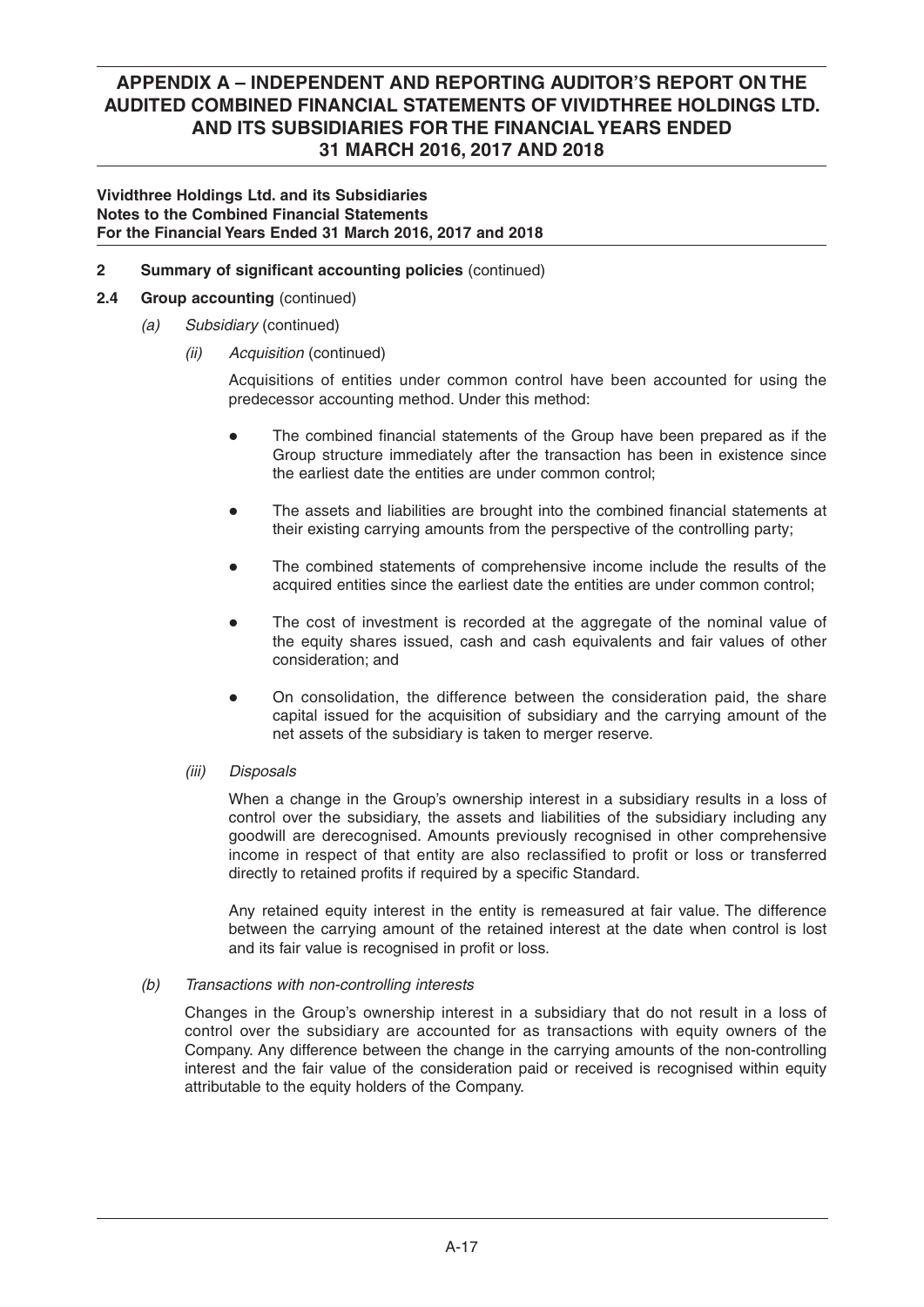### **Vividthree Holdings Ltd. and its Subsidiaries Notes to the Combined Financial Statements For the Financial Years Ended 31 March 2016, 2017 and 2018**

## **2** Summary of significant accounting policies (continued)

## **2.4 Group accounting** (continued)

- *(a) Subsidiary* (continued)
	- *(ii) Acquisition* (continued)

Acquisitions of entities under common control have been accounted for using the predecessor accounting method. Under this method:

- The combined financial statements of the Group have been prepared as if the Group structure immediately after the transaction has been in existence since the earliest date the entities are under common control;
- The assets and liabilities are brought into the combined financial statements at their existing carrying amounts from the perspective of the controlling party;
- The combined statements of comprehensive income include the results of the acquired entities since the earliest date the entities are under common control;
- The cost of investment is recorded at the aggregate of the nominal value of the equity shares issued, cash and cash equivalents and fair values of other consideration; and
- On consolidation, the difference between the consideration paid, the share capital issued for the acquisition of subsidiary and the carrying amount of the net assets of the subsidiary is taken to merger reserve.
- *(iii) Disposals*

 When a change in the Group's ownership interest in a subsidiary results in a loss of control over the subsidiary, the assets and liabilities of the subsidiary including any goodwill are derecognised. Amounts previously recognised in other comprehensive income in respect of that entity are also reclassified to profit or loss or transferred directly to retained profits if required by a specific Standard.

 Any retained equity interest in the entity is remeasured at fair value. The difference between the carrying amount of the retained interest at the date when control is lost and its fair value is recognised in profit or loss.

### *(b) Transactions with non-controlling interests*

 Changes in the Group's ownership interest in a subsidiary that do not result in a loss of control over the subsidiary are accounted for as transactions with equity owners of the Company. Any difference between the change in the carrying amounts of the non-controlling interest and the fair value of the consideration paid or received is recognised within equity attributable to the equity holders of the Company.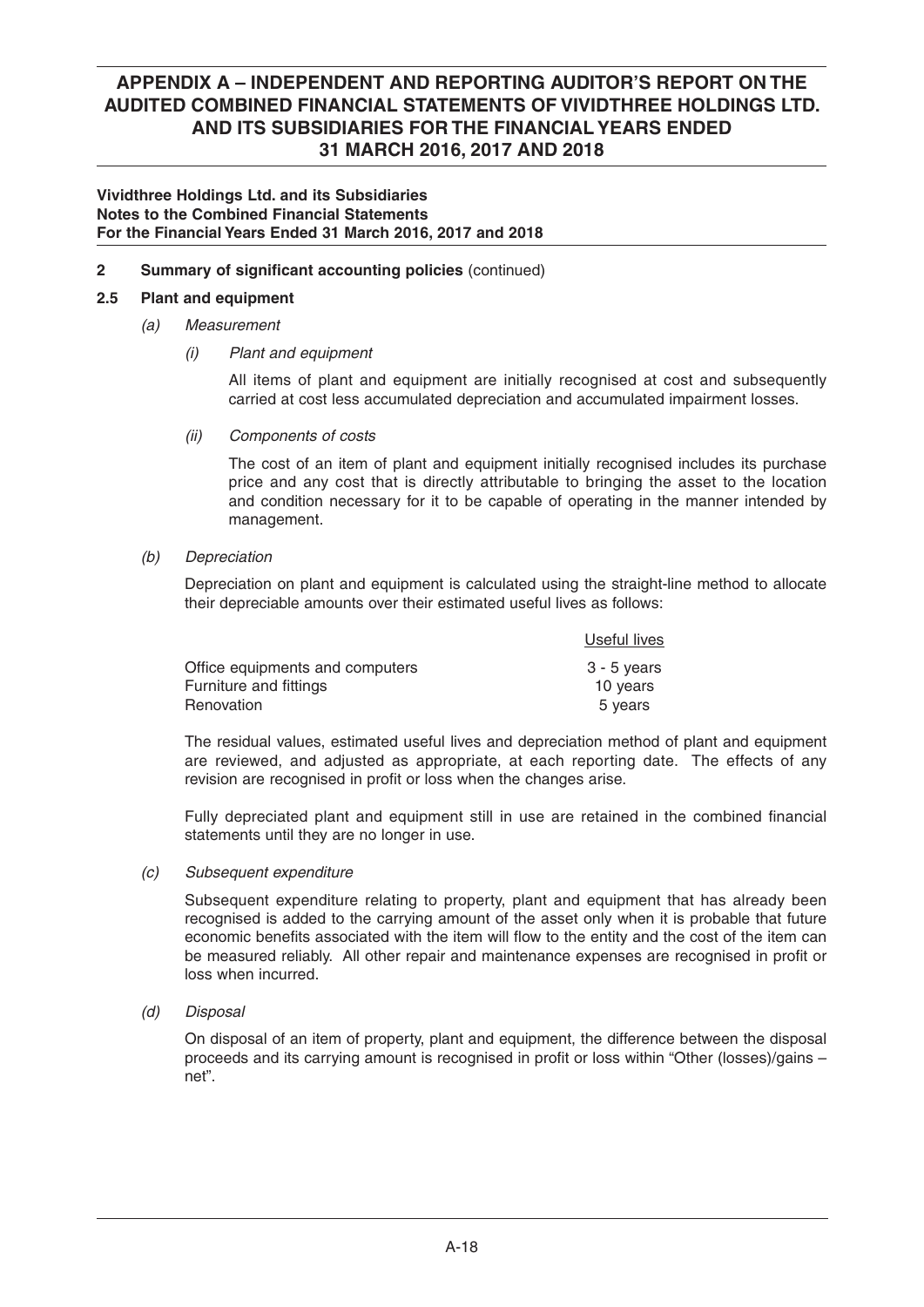### **Vividthree Holdings Ltd. and its Subsidiaries Notes to the Combined Financial Statements For the Financial Years Ended 31 March 2016, 2017 and 2018**

## **2** Summary of significant accounting policies (continued)

## **2.5 Plant and equipment**

## *(a) Measurement*

 *(i) Plant and equipment*

 All items of plant and equipment are initially recognised at cost and subsequently carried at cost less accumulated depreciation and accumulated impairment losses.

 *(ii) Components of costs*

 The cost of an item of plant and equipment initially recognised includes its purchase price and any cost that is directly attributable to bringing the asset to the location and condition necessary for it to be capable of operating in the manner intended by management.

 *(b) Depreciation*

 Depreciation on plant and equipment is calculated using the straight-line method to allocate their depreciable amounts over their estimated useful lives as follows:

|                                 | Useful lives |
|---------------------------------|--------------|
| Office equipments and computers | 3 - 5 years  |
| Furniture and fittings          | 10 years     |
| Renovation                      | 5 years      |

 The residual values, estimated useful lives and depreciation method of plant and equipment are reviewed, and adjusted as appropriate, at each reporting date. The effects of any revision are recognised in profit or loss when the changes arise.

Fully depreciated plant and equipment still in use are retained in the combined financial statements until they are no longer in use.

### *(c) Subsequent expenditure*

 Subsequent expenditure relating to property, plant and equipment that has already been recognised is added to the carrying amount of the asset only when it is probable that future economic benefits associated with the item will flow to the entity and the cost of the item can be measured reliably. All other repair and maintenance expenses are recognised in profit or loss when incurred.

 *(d) Disposal*

 On disposal of an item of property, plant and equipment, the difference between the disposal proceeds and its carrying amount is recognised in profit or loss within "Other (losses)/gains – net".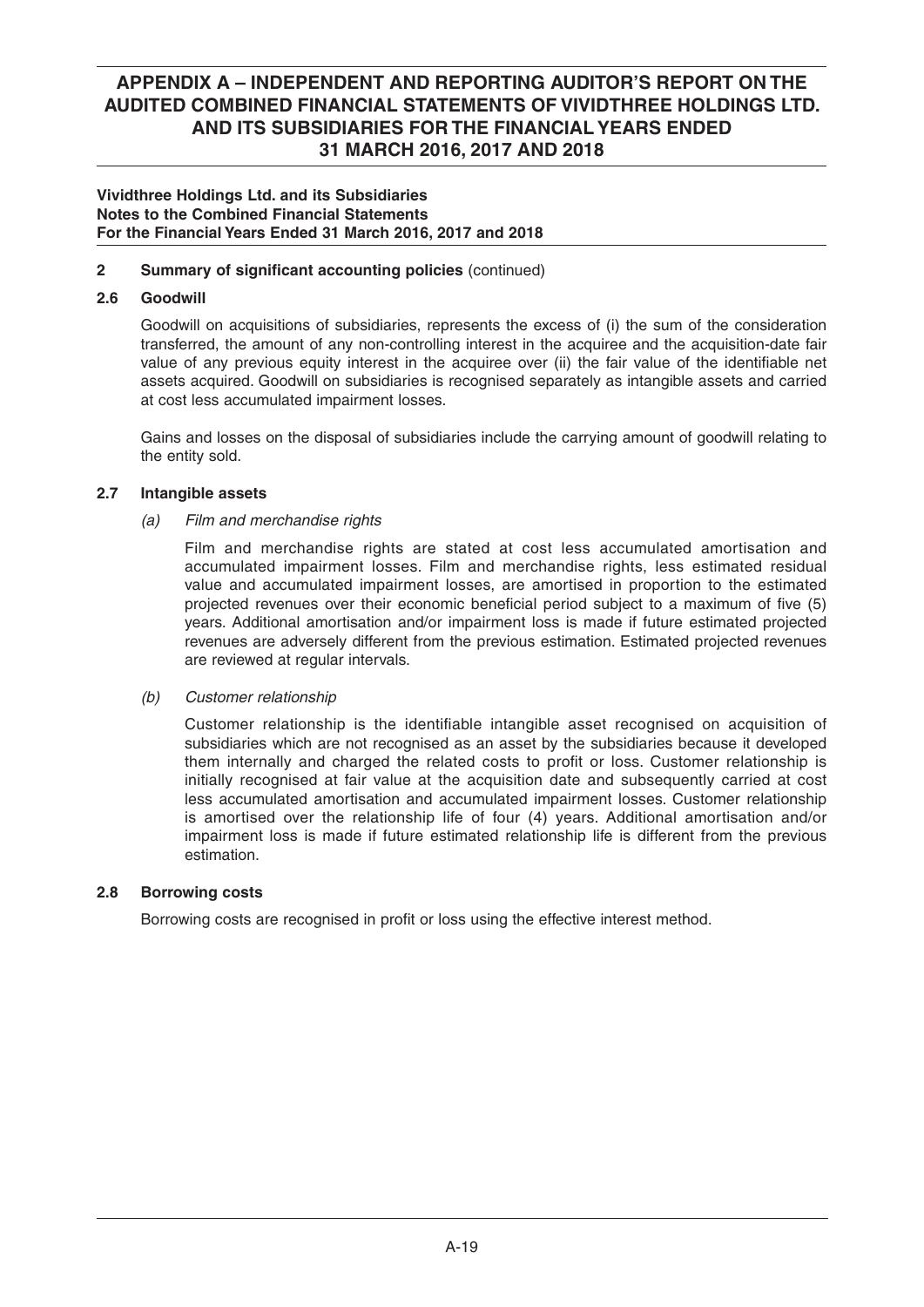### **Vividthree Holdings Ltd. and its Subsidiaries Notes to the Combined Financial Statements For the Financial Years Ended 31 March 2016, 2017 and 2018**

## **2** Summary of significant accounting policies (continued)

## **2.6 Goodwill**

 Goodwill on acquisitions of subsidiaries, represents the excess of (i) the sum of the consideration transferred, the amount of any non-controlling interest in the acquiree and the acquisition-date fair value of any previous equity interest in the acquiree over (ii) the fair value of the identifiable net assets acquired. Goodwill on subsidiaries is recognised separately as intangible assets and carried at cost less accumulated impairment losses.

 Gains and losses on the disposal of subsidiaries include the carrying amount of goodwill relating to the entity sold.

## **2.7 Intangible assets**

## *(a) Film and merchandise rights*

Film and merchandise rights are stated at cost less accumulated amortisation and accumulated impairment losses. Film and merchandise rights, less estimated residual value and accumulated impairment losses, are amortised in proportion to the estimated projected revenues over their economic beneficial period subject to a maximum of five (5) years. Additional amortisation and/or impairment loss is made if future estimated projected revenues are adversely different from the previous estimation. Estimated projected revenues are reviewed at regular intervals.

### *(b) Customer relationship*

Customer relationship is the identifiable intangible asset recognised on acquisition of subsidiaries which are not recognised as an asset by the subsidiaries because it developed them internally and charged the related costs to profit or loss. Customer relationship is initially recognised at fair value at the acquisition date and subsequently carried at cost less accumulated amortisation and accumulated impairment losses. Customer relationship is amortised over the relationship life of four (4) years. Additional amortisation and/or impairment loss is made if future estimated relationship life is different from the previous estimation.

### **2.8 Borrowing costs**

Borrowing costs are recognised in profit or loss using the effective interest method.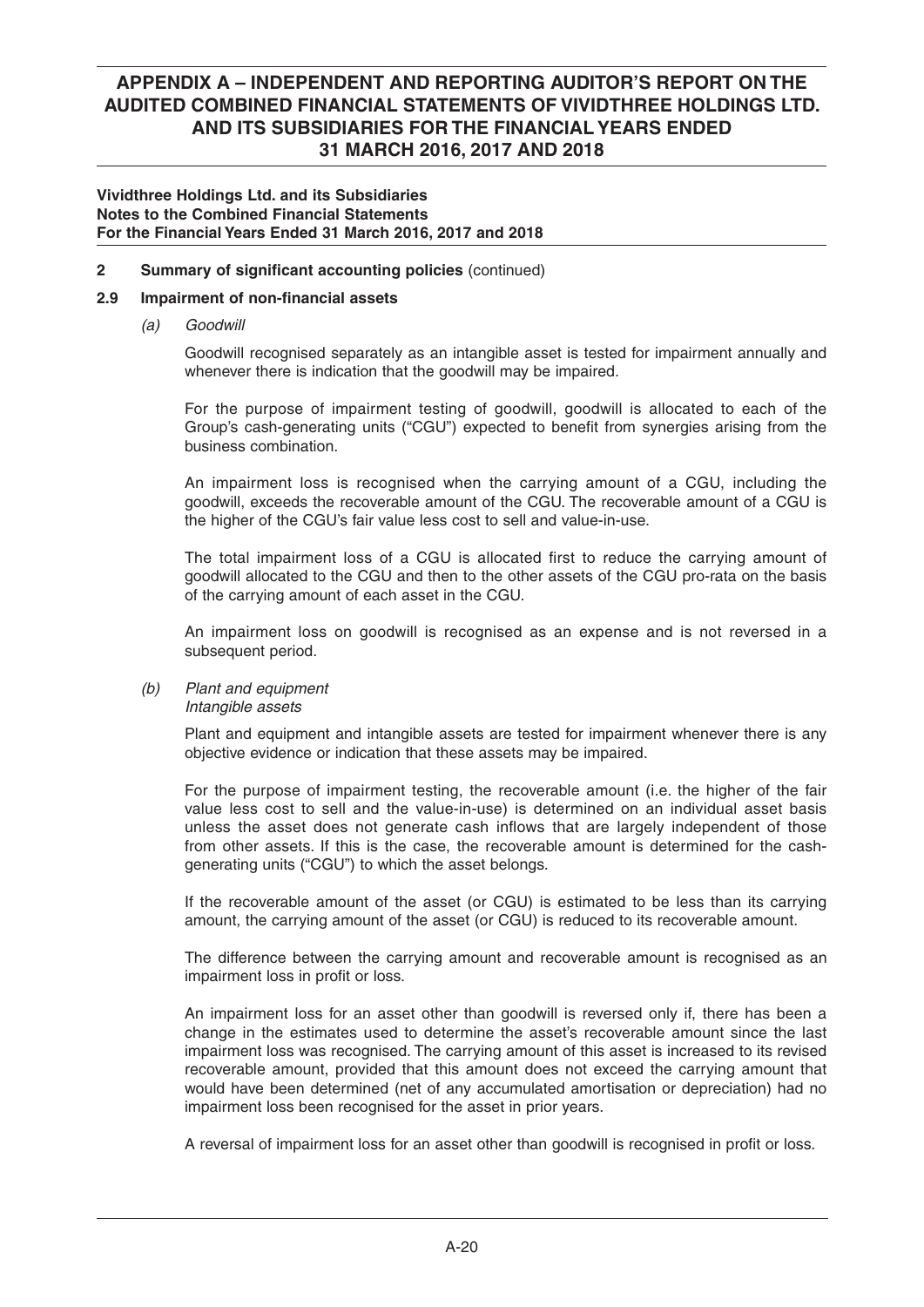### **Vividthree Holdings Ltd. and its Subsidiaries Notes to the Combined Financial Statements For the Financial Years Ended 31 March 2016, 2017 and 2018**

### **2** Summary of significant accounting policies (continued)

## **2.9** Impairment of non-financial assets

 *(a) Goodwill*

 Goodwill recognised separately as an intangible asset is tested for impairment annually and whenever there is indication that the goodwill may be impaired.

 For the purpose of impairment testing of goodwill, goodwill is allocated to each of the Group's cash-generating units ("CGU") expected to benefit from synergies arising from the business combination.

 An impairment loss is recognised when the carrying amount of a CGU, including the goodwill, exceeds the recoverable amount of the CGU. The recoverable amount of a CGU is the higher of the CGU's fair value less cost to sell and value-in-use.

The total impairment loss of a CGU is allocated first to reduce the carrying amount of goodwill allocated to the CGU and then to the other assets of the CGU pro-rata on the basis of the carrying amount of each asset in the CGU.

 An impairment loss on goodwill is recognised as an expense and is not reversed in a subsequent period.

#### *(b) Plant and equipment Intangible assets*

 Plant and equipment and intangible assets are tested for impairment whenever there is any objective evidence or indication that these assets may be impaired.

 For the purpose of impairment testing, the recoverable amount (i.e. the higher of the fair value less cost to sell and the value-in-use) is determined on an individual asset basis unless the asset does not generate cash inflows that are largely independent of those from other assets. If this is the case, the recoverable amount is determined for the cashgenerating units ("CGU") to which the asset belongs.

 If the recoverable amount of the asset (or CGU) is estimated to be less than its carrying amount, the carrying amount of the asset (or CGU) is reduced to its recoverable amount.

 The difference between the carrying amount and recoverable amount is recognised as an impairment loss in profit or loss.

 An impairment loss for an asset other than goodwill is reversed only if, there has been a change in the estimates used to determine the asset's recoverable amount since the last impairment loss was recognised. The carrying amount of this asset is increased to its revised recoverable amount, provided that this amount does not exceed the carrying amount that would have been determined (net of any accumulated amortisation or depreciation) had no impairment loss been recognised for the asset in prior years.

A reversal of impairment loss for an asset other than goodwill is recognised in profit or loss.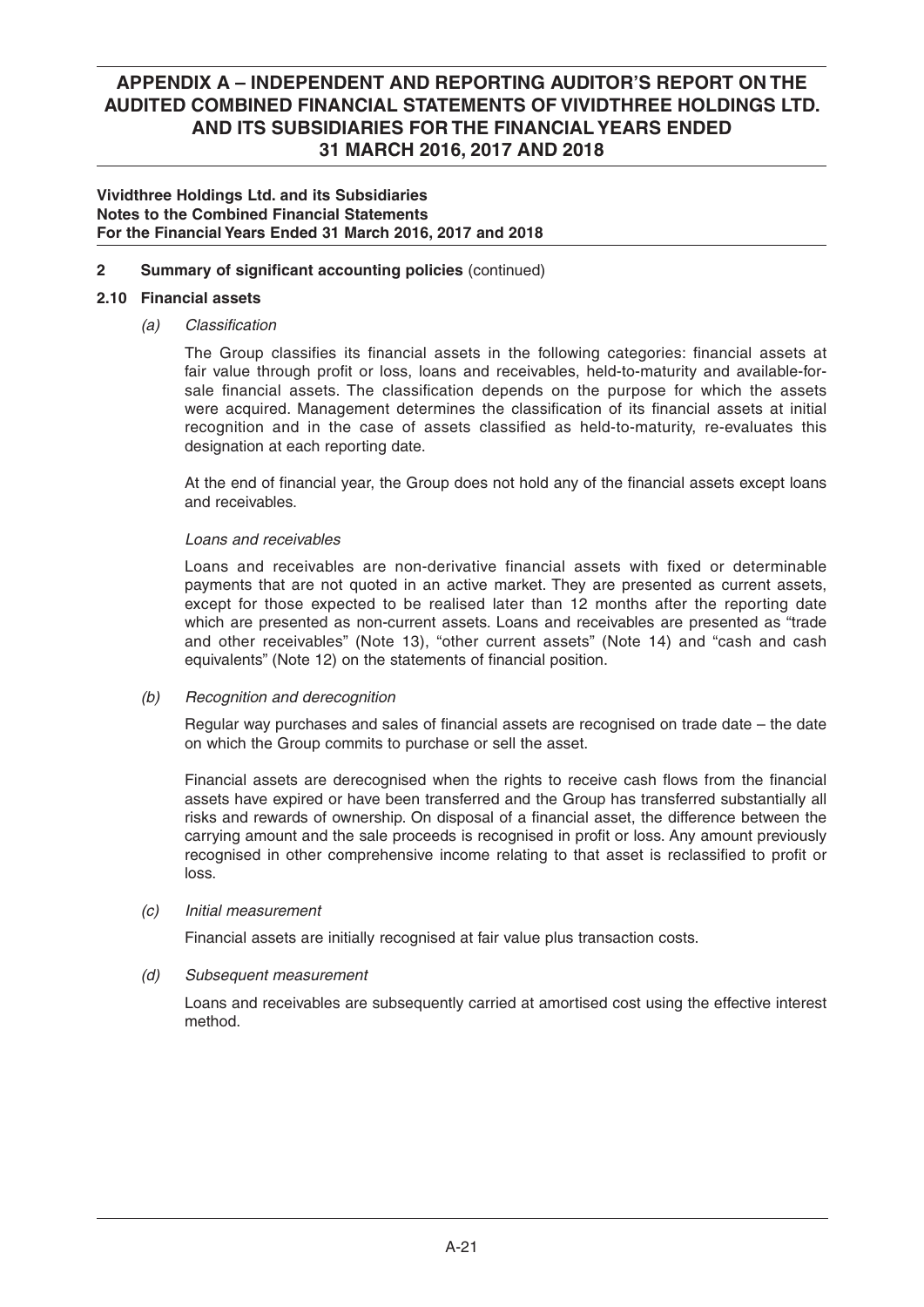### **Vividthree Holdings Ltd. and its Subsidiaries Notes to the Combined Financial Statements For the Financial Years Ended 31 March 2016, 2017 and 2018**

## **2** Summary of significant accounting policies (continued)

### **2.10 Financial assets**

### *(a) Classifi cation*

The Group classifies its financial assets in the following categories: financial assets at fair value through profit or loss, loans and receivables, held-to-maturity and available-forsale financial assets. The classification depends on the purpose for which the assets were acquired. Management determines the classification of its financial assets at initial recognition and in the case of assets classified as held-to-maturity, re-evaluates this designation at each reporting date.

At the end of financial year, the Group does not hold any of the financial assets except loans and receivables.

### *Loans and receivables*

 Loans and receivables are non-derivative financial assets with fixed or determinable payments that are not quoted in an active market. They are presented as current assets, except for those expected to be realised later than 12 months after the reporting date which are presented as non-current assets. Loans and receivables are presented as "trade and other receivables" (Note 13), "other current assets" (Note 14) and "cash and cash equivalents" (Note 12) on the statements of financial position.

### *(b) Recognition and derecognition*

Regular way purchases and sales of financial assets are recognised on trade date  $-$  the date on which the Group commits to purchase or sell the asset.

Financial assets are derecognised when the rights to receive cash flows from the financial assets have expired or have been transferred and the Group has transferred substantially all risks and rewards of ownership. On disposal of a financial asset, the difference between the carrying amount and the sale proceeds is recognised in profit or loss. Any amount previously recognised in other comprehensive income relating to that asset is reclassified to profit or loss.

### *(c) Initial measurement*

Financial assets are initially recognised at fair value plus transaction costs.

### *(d) Subsequent measurement*

 Loans and receivables are subsequently carried at amortised cost using the effective interest method.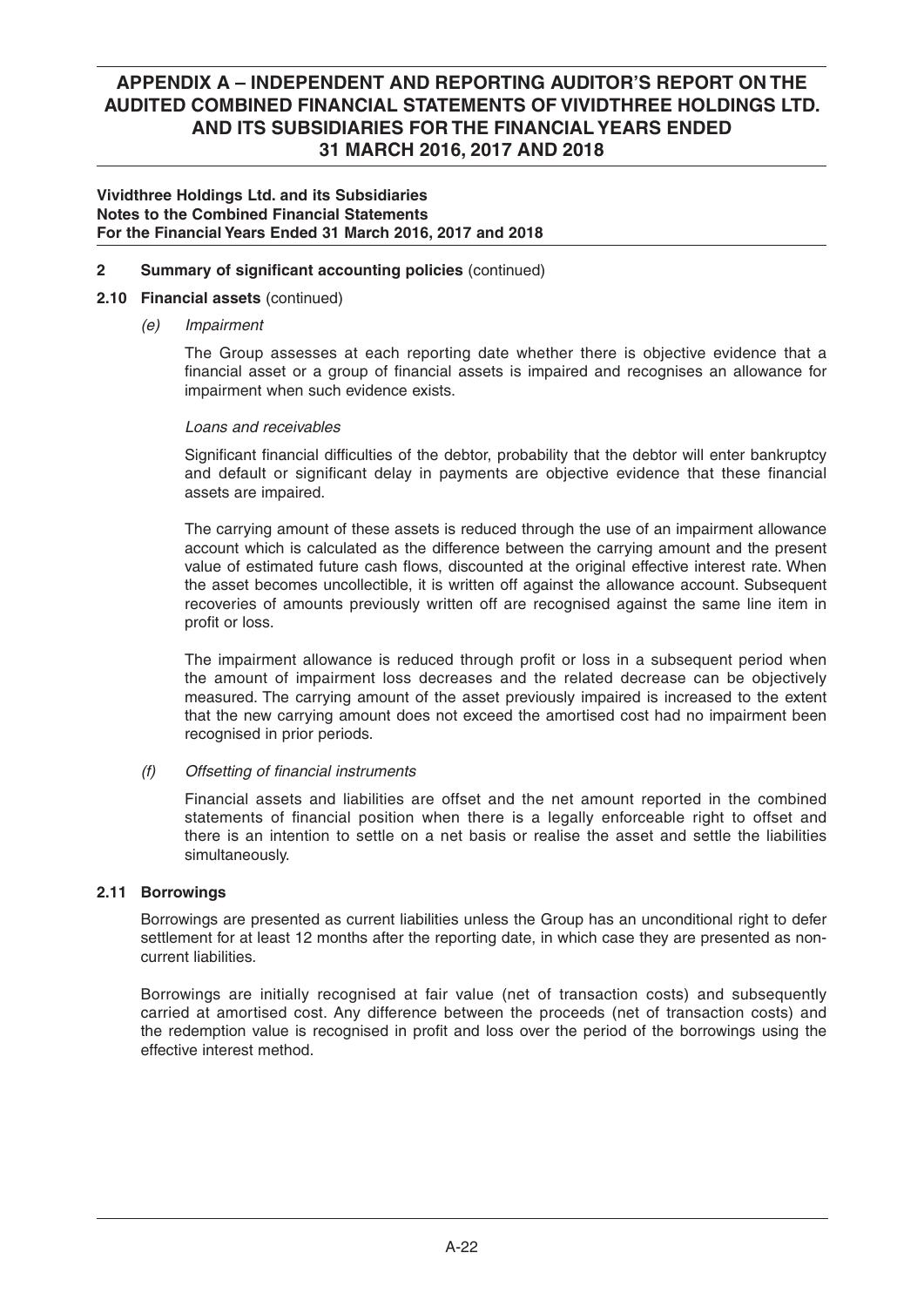### **Vividthree Holdings Ltd. and its Subsidiaries Notes to the Combined Financial Statements For the Financial Years Ended 31 March 2016, 2017 and 2018**

## **2** Summary of significant accounting policies (continued)

## **2.10 Financial assets** (continued)

 *(e) Impairment*

 The Group assesses at each reporting date whether there is objective evidence that a financial asset or a group of financial assets is impaired and recognises an allowance for impairment when such evidence exists.

### *Loans and receivables*

Significant financial difficulties of the debtor, probability that the debtor will enter bankruptcy and default or significant delay in payments are objective evidence that these financial assets are impaired.

 The carrying amount of these assets is reduced through the use of an impairment allowance account which is calculated as the difference between the carrying amount and the present value of estimated future cash flows, discounted at the original effective interest rate. When the asset becomes uncollectible, it is written off against the allowance account. Subsequent recoveries of amounts previously written off are recognised against the same line item in profit or loss.

The impairment allowance is reduced through profit or loss in a subsequent period when the amount of impairment loss decreases and the related decrease can be objectively measured. The carrying amount of the asset previously impaired is increased to the extent that the new carrying amount does not exceed the amortised cost had no impairment been recognised in prior periods.

## *(f) Offsetting of fi nancial instruments*

Financial assets and liabilities are offset and the net amount reported in the combined statements of financial position when there is a legally enforceable right to offset and there is an intention to settle on a net basis or realise the asset and settle the liabilities simultaneously.

## **2.11 Borrowings**

 Borrowings are presented as current liabilities unless the Group has an unconditional right to defer settlement for at least 12 months after the reporting date, in which case they are presented as noncurrent liabilities.

 Borrowings are initially recognised at fair value (net of transaction costs) and subsequently carried at amortised cost. Any difference between the proceeds (net of transaction costs) and the redemption value is recognised in profit and loss over the period of the borrowings using the effective interest method.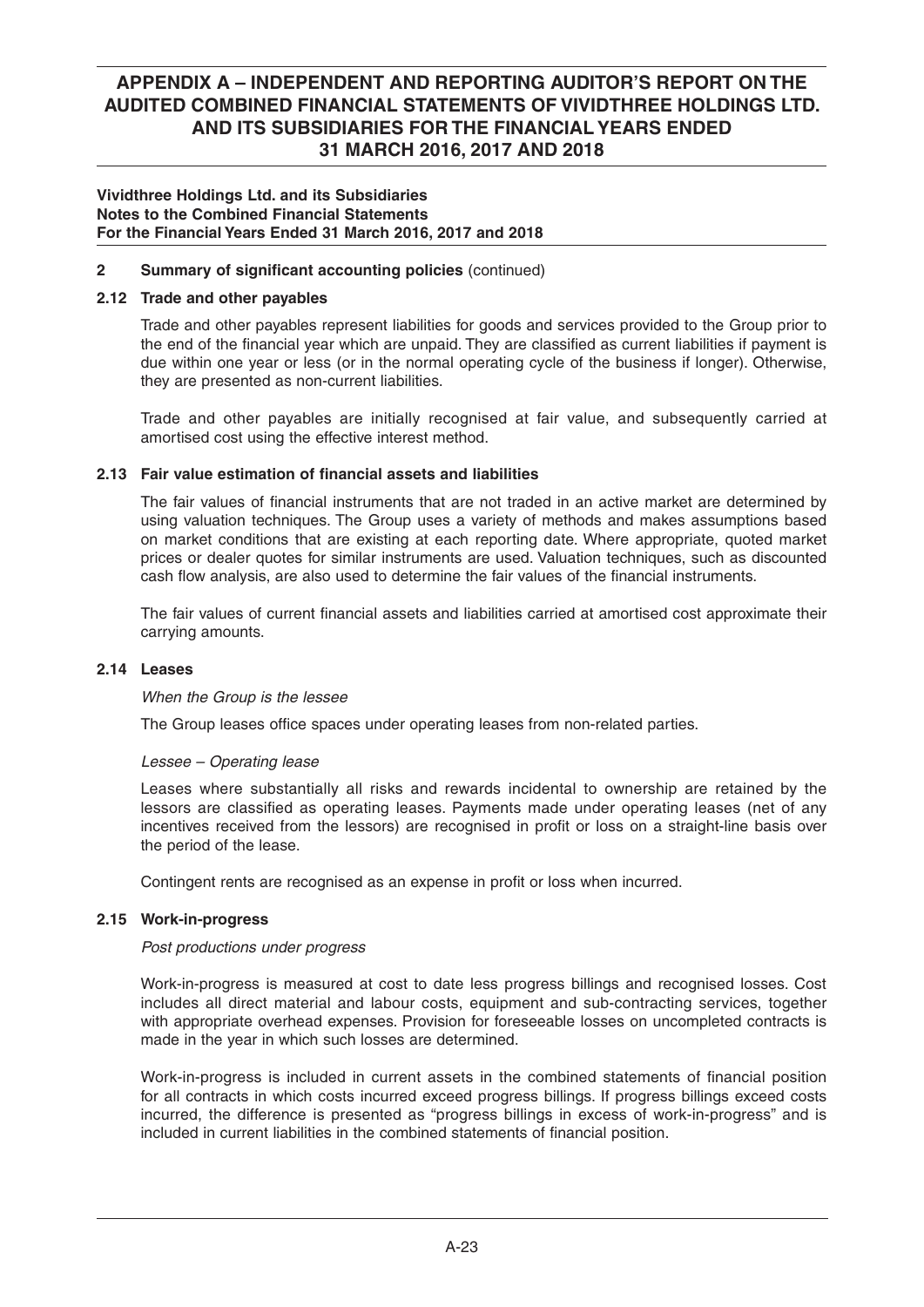### **Vividthree Holdings Ltd. and its Subsidiaries Notes to the Combined Financial Statements For the Financial Years Ended 31 March 2016, 2017 and 2018**

## **2** Summary of significant accounting policies (continued)

### **2.12 Trade and other payables**

 Trade and other payables represent liabilities for goods and services provided to the Group prior to the end of the financial year which are unpaid. They are classified as current liabilities if payment is due within one year or less (or in the normal operating cycle of the business if longer). Otherwise, they are presented as non-current liabilities.

 Trade and other payables are initially recognised at fair value, and subsequently carried at amortised cost using the effective interest method.

## **2.13 Fair value estimation of financial assets and liabilities**

The fair values of financial instruments that are not traded in an active market are determined by using valuation techniques. The Group uses a variety of methods and makes assumptions based on market conditions that are existing at each reporting date. Where appropriate, quoted market prices or dealer quotes for similar instruments are used. Valuation techniques, such as discounted cash flow analysis, are also used to determine the fair values of the financial instruments.

The fair values of current financial assets and liabilities carried at amortised cost approximate their carrying amounts.

### **2.14 Leases**

### *When the Group is the lessee*

The Group leases office spaces under operating leases from non-related parties.

### *Lessee – Operating lease*

 Leases where substantially all risks and rewards incidental to ownership are retained by the lessors are classified as operating leases. Payments made under operating leases (net of any incentives received from the lessors) are recognised in profit or loss on a straight-line basis over the period of the lease.

Contingent rents are recognised as an expense in profit or loss when incurred.

### **2.15 Work-in-progress**

### *Post productions under progress*

 Work-in-progress is measured at cost to date less progress billings and recognised losses. Cost includes all direct material and labour costs, equipment and sub-contracting services, together with appropriate overhead expenses. Provision for foreseeable losses on uncompleted contracts is made in the year in which such losses are determined.

Work-in-progress is included in current assets in the combined statements of financial position for all contracts in which costs incurred exceed progress billings. If progress billings exceed costs incurred, the difference is presented as "progress billings in excess of work-in-progress" and is included in current liabilities in the combined statements of financial position.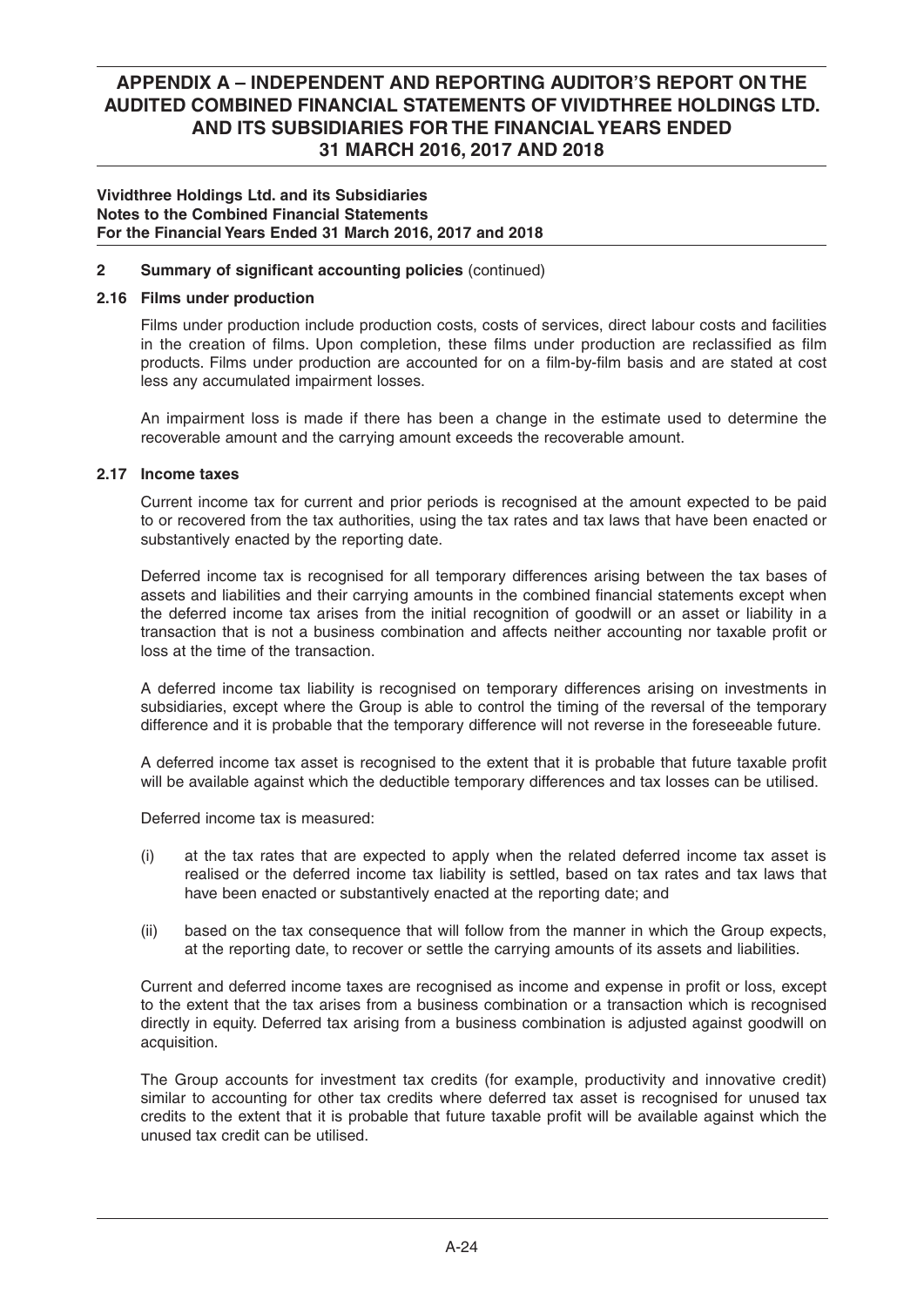### **Vividthree Holdings Ltd. and its Subsidiaries Notes to the Combined Financial Statements For the Financial Years Ended 31 March 2016, 2017 and 2018**

## **2** Summary of significant accounting policies (continued)

## **2.16 Films under production**

 Films under production include production costs, costs of services, direct labour costs and facilities in the creation of films. Upon completion, these films under production are reclassified as film products. Films under production are accounted for on a film-by-film basis and are stated at cost less any accumulated impairment losses.

 An impairment loss is made if there has been a change in the estimate used to determine the recoverable amount and the carrying amount exceeds the recoverable amount.

### **2.17 Income taxes**

 Current income tax for current and prior periods is recognised at the amount expected to be paid to or recovered from the tax authorities, using the tax rates and tax laws that have been enacted or substantively enacted by the reporting date.

 Deferred income tax is recognised for all temporary differences arising between the tax bases of assets and liabilities and their carrying amounts in the combined financial statements except when the deferred income tax arises from the initial recognition of goodwill or an asset or liability in a transaction that is not a business combination and affects neither accounting nor taxable profit or loss at the time of the transaction.

 A deferred income tax liability is recognised on temporary differences arising on investments in subsidiaries, except where the Group is able to control the timing of the reversal of the temporary difference and it is probable that the temporary difference will not reverse in the foreseeable future.

A deferred income tax asset is recognised to the extent that it is probable that future taxable profit will be available against which the deductible temporary differences and tax losses can be utilised.

Deferred income tax is measured:

- (i) at the tax rates that are expected to apply when the related deferred income tax asset is realised or the deferred income tax liability is settled, based on tax rates and tax laws that have been enacted or substantively enacted at the reporting date; and
- (ii) based on the tax consequence that will follow from the manner in which the Group expects, at the reporting date, to recover or settle the carrying amounts of its assets and liabilities.

Current and deferred income taxes are recognised as income and expense in profit or loss, except to the extent that the tax arises from a business combination or a transaction which is recognised directly in equity. Deferred tax arising from a business combination is adjusted against goodwill on acquisition.

 The Group accounts for investment tax credits (for example, productivity and innovative credit) similar to accounting for other tax credits where deferred tax asset is recognised for unused tax credits to the extent that it is probable that future taxable profit will be available against which the unused tax credit can be utilised.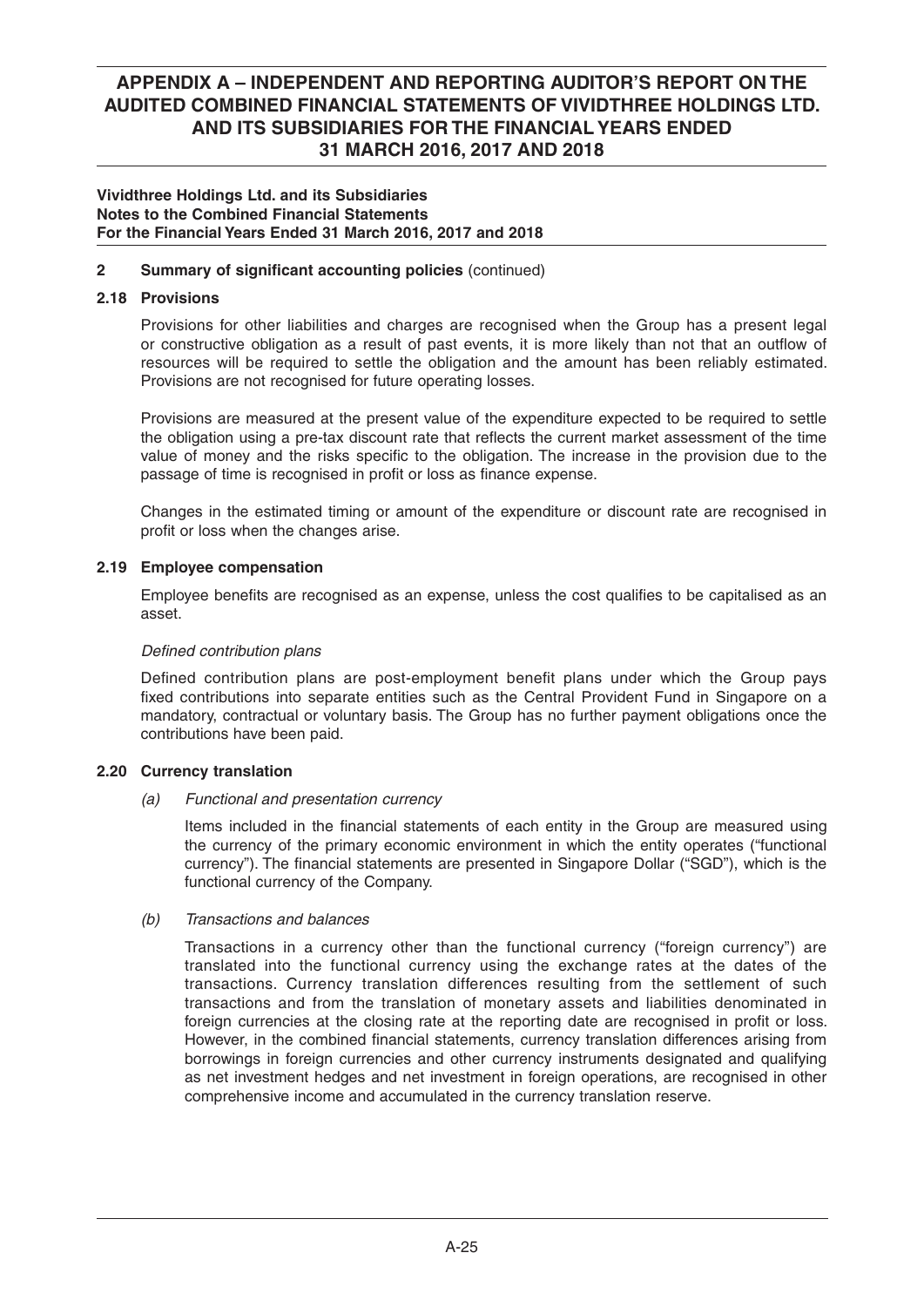### **Vividthree Holdings Ltd. and its Subsidiaries Notes to the Combined Financial Statements For the Financial Years Ended 31 March 2016, 2017 and 2018**

## **2** Summary of significant accounting policies (continued)

## **2.18 Provisions**

 Provisions for other liabilities and charges are recognised when the Group has a present legal or constructive obligation as a result of past events, it is more likely than not that an outflow of resources will be required to settle the obligation and the amount has been reliably estimated. Provisions are not recognised for future operating losses.

 Provisions are measured at the present value of the expenditure expected to be required to settle the obligation using a pre-tax discount rate that reflects the current market assessment of the time value of money and the risks specific to the obligation. The increase in the provision due to the passage of time is recognised in profit or loss as finance expense.

 Changes in the estimated timing or amount of the expenditure or discount rate are recognised in profit or loss when the changes arise.

### **2.19 Employee compensation**

Employee benefits are recognised as an expense, unless the cost qualifies to be capitalised as an asset.

### **Defined contribution plans**

Defined contribution plans are post-employment benefit plans under which the Group pays fixed contributions into separate entities such as the Central Provident Fund in Singapore on a mandatory, contractual or voluntary basis. The Group has no further payment obligations once the contributions have been paid.

### **2.20 Currency translation**

 *(a) Functional and presentation currency*

Items included in the financial statements of each entity in the Group are measured using the currency of the primary economic environment in which the entity operates ("functional currency"). The financial statements are presented in Singapore Dollar ("SGD"), which is the functional currency of the Company.

### *(b) Transactions and balances*

 Transactions in a currency other than the functional currency ("foreign currency") are translated into the functional currency using the exchange rates at the dates of the transactions. Currency translation differences resulting from the settlement of such transactions and from the translation of monetary assets and liabilities denominated in foreign currencies at the closing rate at the reporting date are recognised in profit or loss. However, in the combined financial statements, currency translation differences arising from borrowings in foreign currencies and other currency instruments designated and qualifying as net investment hedges and net investment in foreign operations, are recognised in other comprehensive income and accumulated in the currency translation reserve.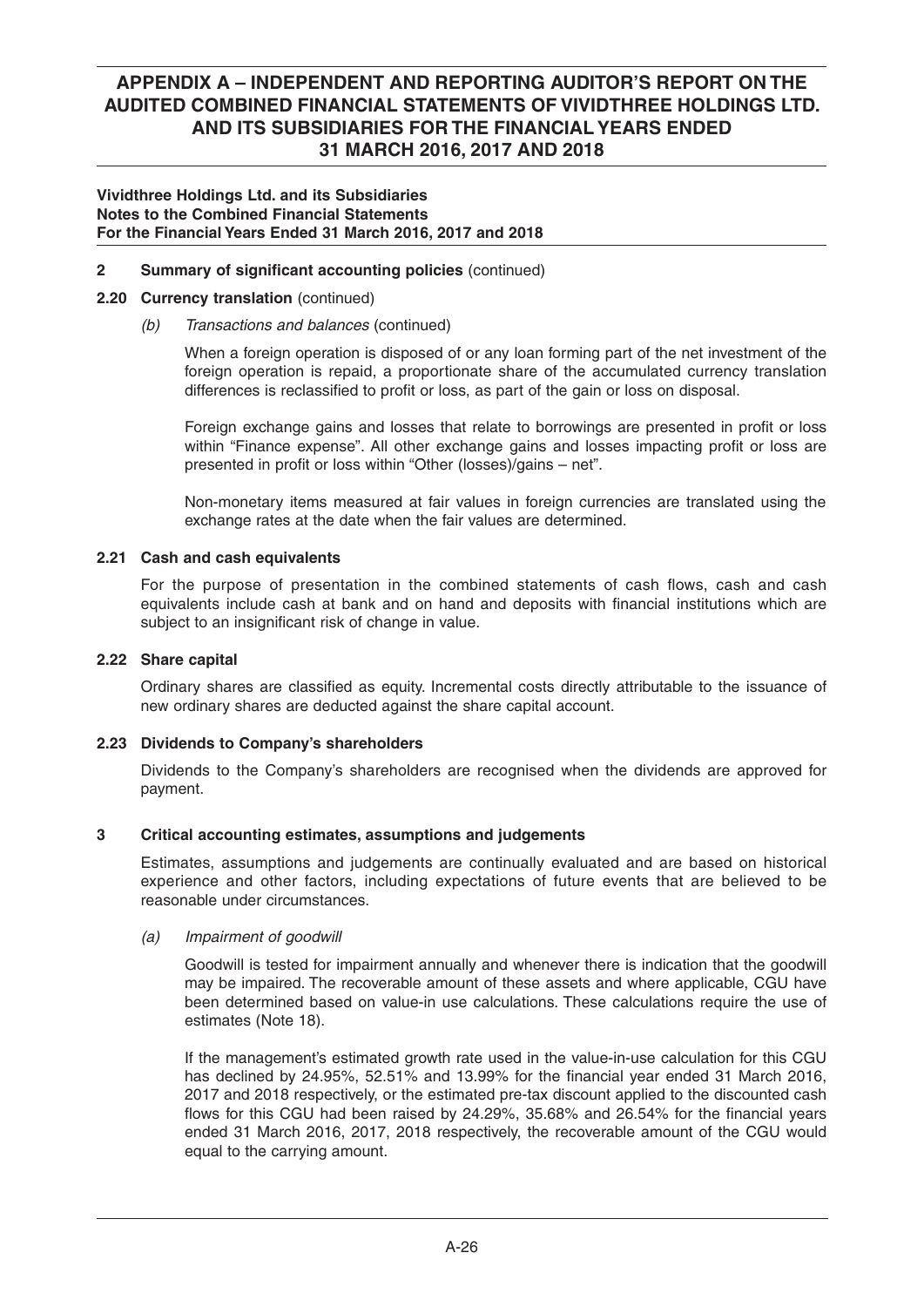### **Vividthree Holdings Ltd. and its Subsidiaries Notes to the Combined Financial Statements For the Financial Years Ended 31 March 2016, 2017 and 2018**

### **2** Summary of significant accounting policies (continued)

### **2.20 Currency translation** (continued)

### *(b) Transactions and balances* (continued)

 When a foreign operation is disposed of or any loan forming part of the net investment of the foreign operation is repaid, a proportionate share of the accumulated currency translation differences is reclassified to profit or loss, as part of the gain or loss on disposal.

Foreign exchange gains and losses that relate to borrowings are presented in profit or loss within "Finance expense". All other exchange gains and losses impacting profit or loss are presented in profit or loss within "Other (losses)/gains - net".

 Non-monetary items measured at fair values in foreign currencies are translated using the exchange rates at the date when the fair values are determined.

### **2.21 Cash and cash equivalents**

For the purpose of presentation in the combined statements of cash flows, cash and cash equivalents include cash at bank and on hand and deposits with financial institutions which are subject to an insignificant risk of change in value.

### **2.22 Share capital**

Ordinary shares are classified as equity. Incremental costs directly attributable to the issuance of new ordinary shares are deducted against the share capital account.

### **2.23 Dividends to Company's shareholders**

 Dividends to the Company's shareholders are recognised when the dividends are approved for payment.

### **3 Critical accounting estimates, assumptions and judgements**

 Estimates, assumptions and judgements are continually evaluated and are based on historical experience and other factors, including expectations of future events that are believed to be reasonable under circumstances.

### *(a) Impairment of goodwill*

 Goodwill is tested for impairment annually and whenever there is indication that the goodwill may be impaired. The recoverable amount of these assets and where applicable, CGU have been determined based on value-in use calculations. These calculations require the use of estimates (Note 18).

 If the management's estimated growth rate used in the value-in-use calculation for this CGU has declined by  $24.95\%$ ,  $52.51\%$  and  $13.99\%$  for the financial year ended 31 March 2016, 2017 and 2018 respectively, or the estimated pre-tax discount applied to the discounted cash flows for this CGU had been raised by 24.29%, 35.68% and 26.54% for the financial years ended 31 March 2016, 2017, 2018 respectively, the recoverable amount of the CGU would equal to the carrying amount.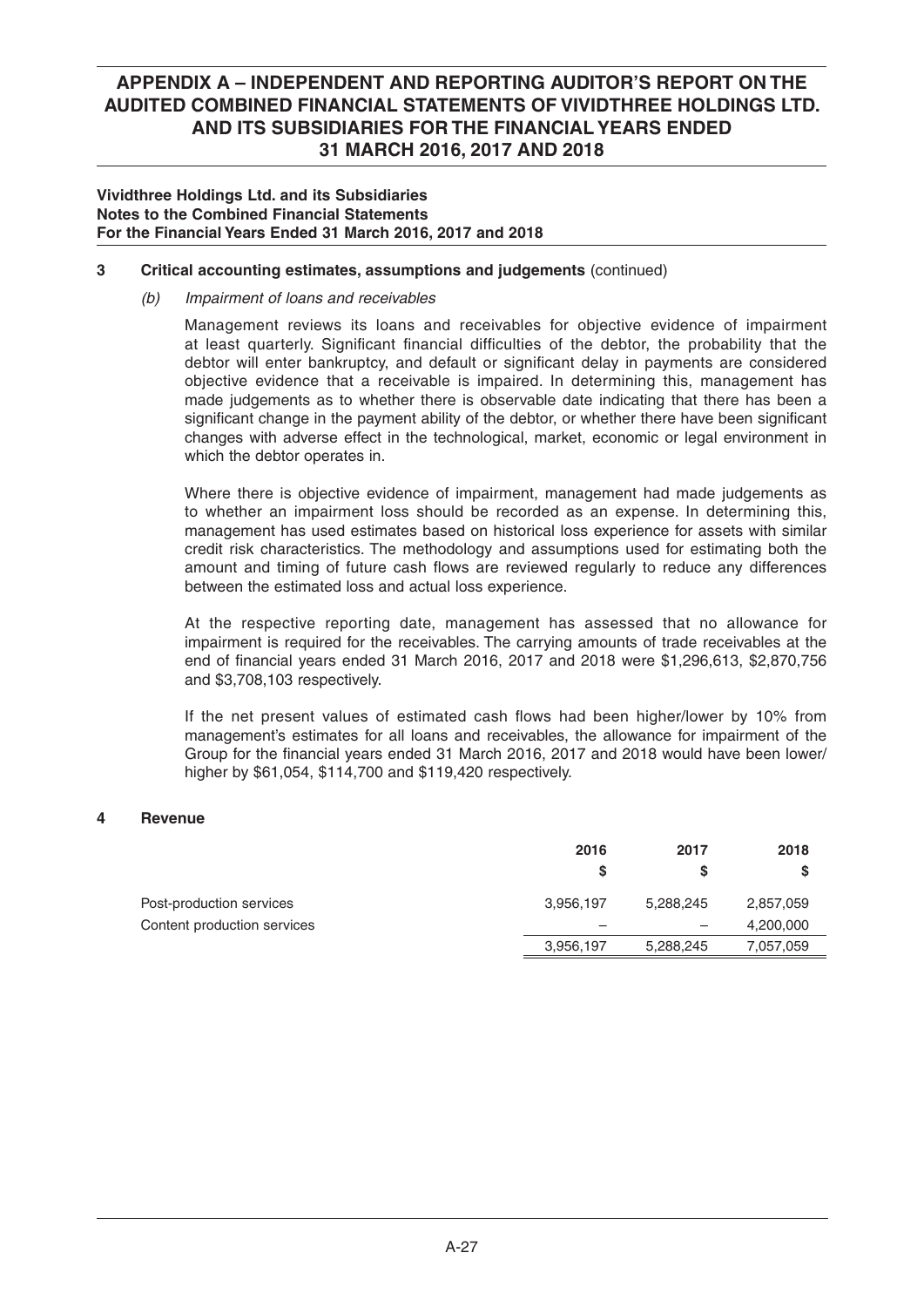### **Vividthree Holdings Ltd. and its Subsidiaries Notes to the Combined Financial Statements For the Financial Years Ended 31 March 2016, 2017 and 2018**

### **3 Critical accounting estimates, assumptions and judgements** (continued)

## *(b) Impairment of loans and receivables*

 Management reviews its loans and receivables for objective evidence of impairment at least quarterly. Significant financial difficulties of the debtor, the probability that the debtor will enter bankruptcy, and default or significant delay in payments are considered objective evidence that a receivable is impaired. In determining this, management has made judgements as to whether there is observable date indicating that there has been a significant change in the payment ability of the debtor, or whether there have been significant changes with adverse effect in the technological, market, economic or legal environment in which the debtor operates in.

 Where there is objective evidence of impairment, management had made judgements as to whether an impairment loss should be recorded as an expense. In determining this, management has used estimates based on historical loss experience for assets with similar credit risk characteristics. The methodology and assumptions used for estimating both the amount and timing of future cash flows are reviewed regularly to reduce any differences between the estimated loss and actual loss experience.

 At the respective reporting date, management has assessed that no allowance for impairment is required for the receivables. The carrying amounts of trade receivables at the end of financial years ended 31 March 2016, 2017 and 2018 were \$1,296,613, \$2,870,756 and \$3,708,103 respectively.

If the net present values of estimated cash flows had been higher/lower by 10% from management's estimates for all loans and receivables, the allowance for impairment of the Group for the financial years ended 31 March 2016, 2017 and 2018 would have been lower/ higher by \$61,054, \$114,700 and \$119,420 respectively.

### **4 Revenue**

|                             | 2016      | 2017      | 2018      |
|-----------------------------|-----------|-----------|-----------|
|                             | S         |           | S         |
| Post-production services    | 3,956,197 | 5,288,245 | 2,857,059 |
| Content production services | -         |           | 4,200,000 |
|                             | 3,956,197 | 5,288,245 | 7,057,059 |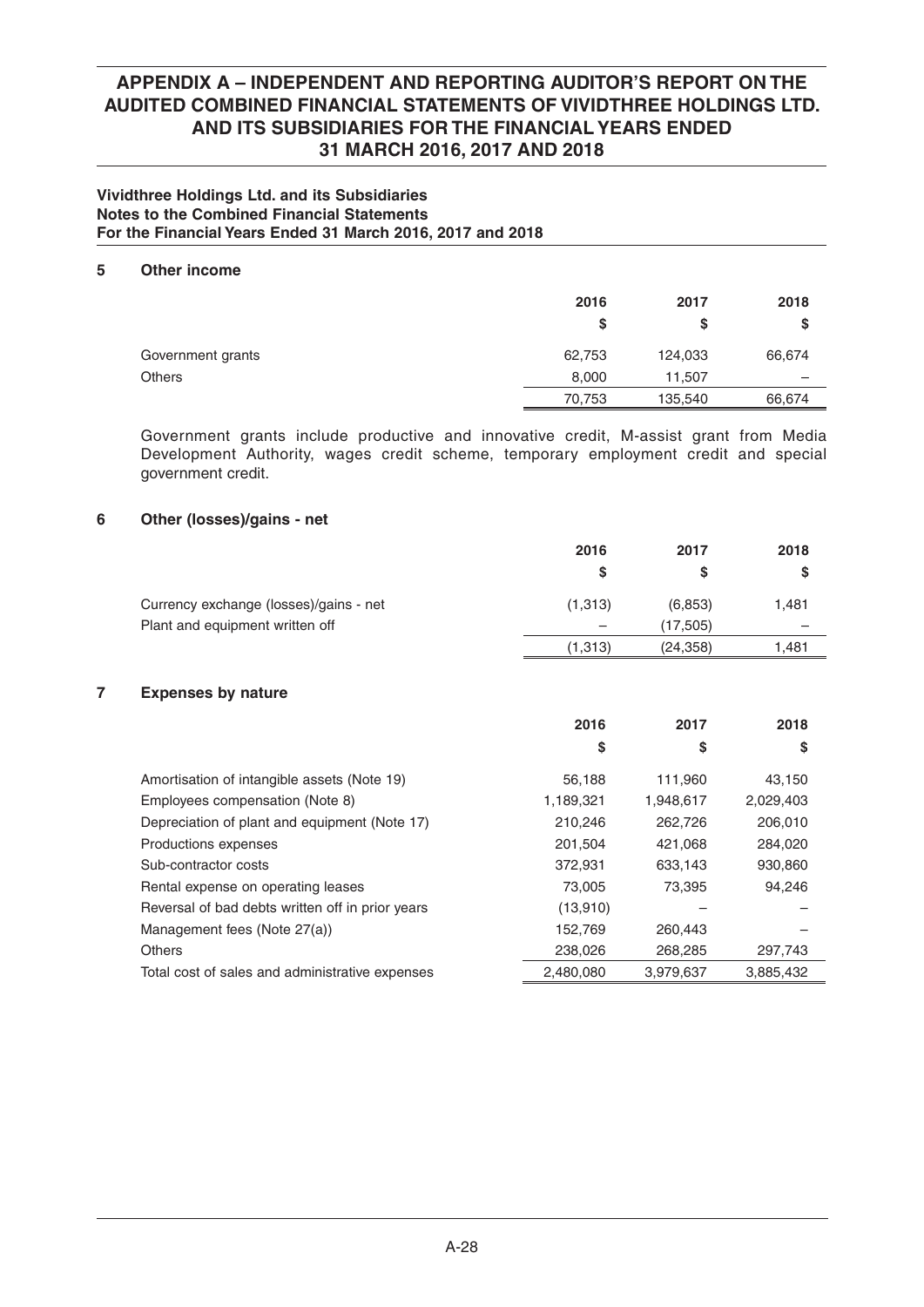### **Vividthree Holdings Ltd. and its Subsidiaries Notes to the Combined Financial Statements For the Financial Years Ended 31 March 2016, 2017 and 2018**

### **5 Other income**

|                   | 2016<br>\$ | 2017<br>S | 2018<br>\$ |
|-------------------|------------|-----------|------------|
| Government grants | 62,753     | 124,033   | 66,674     |
| <b>Others</b>     | 8,000      | 11,507    | -          |
|                   | 70,753     | 135,540   | 66,674     |

 Government grants include productive and innovative credit, M-assist grant from Media Development Authority, wages credit scheme, temporary employment credit and special government credit.

### **6 Other (losses)/gains - net**

|                                        | 2016     | 2017      | 2018   |
|----------------------------------------|----------|-----------|--------|
|                                        | S        |           |        |
| Currency exchange (losses)/gains - net | (1,313)  | (6,853)   | 1,481  |
| Plant and equipment written off        |          | (17,505)  |        |
|                                        | (1, 313) | (24, 358) | 481. ا |

### **7 Expenses by nature**

|                                                  | 2016      | 2017      | 2018      |
|--------------------------------------------------|-----------|-----------|-----------|
|                                                  | \$        | S         | \$        |
| Amortisation of intangible assets (Note 19)      | 56,188    | 111,960   | 43,150    |
| Employees compensation (Note 8)                  | 1,189,321 | 1,948,617 | 2,029,403 |
| Depreciation of plant and equipment (Note 17)    | 210,246   | 262,726   | 206,010   |
| Productions expenses                             | 201,504   | 421,068   | 284,020   |
| Sub-contractor costs                             | 372,931   | 633,143   | 930,860   |
| Rental expense on operating leases               | 73,005    | 73,395    | 94,246    |
| Reversal of bad debts written off in prior years | (13,910)  |           |           |
| Management fees (Note 27(a))                     | 152,769   | 260,443   |           |
| <b>Others</b>                                    | 238,026   | 268,285   | 297,743   |
| Total cost of sales and administrative expenses  | 2,480,080 | 3,979,637 | 3,885,432 |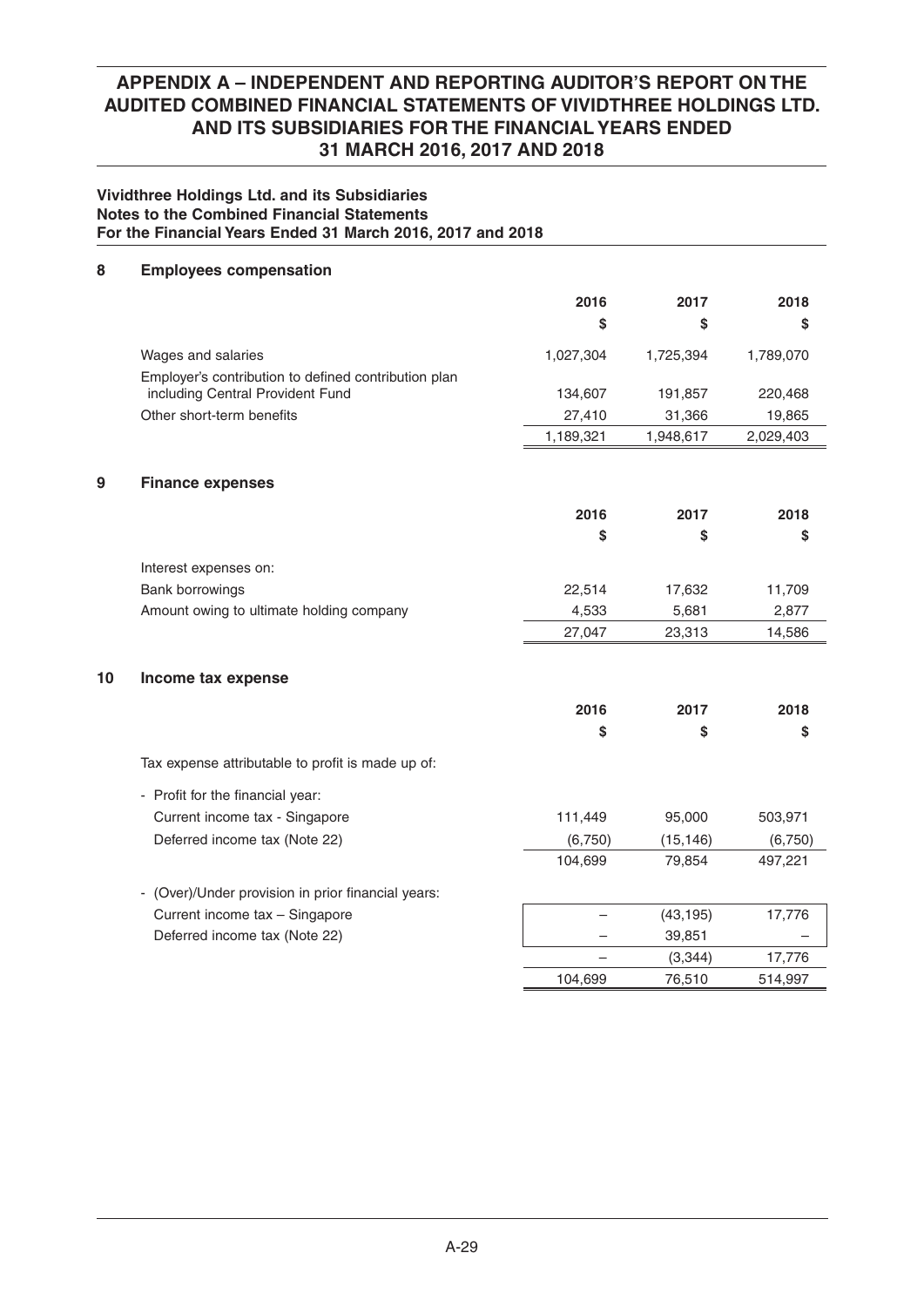### **Vividthree Holdings Ltd. and its Subsidiaries Notes to the Combined Financial Statements For the Financial Years Ended 31 March 2016, 2017 and 2018**

## **8 Employees compensation**

|    |                                                      | 2016      | 2017      | 2018      |
|----|------------------------------------------------------|-----------|-----------|-----------|
|    |                                                      | \$        | \$        | S         |
|    | Wages and salaries                                   | 1,027,304 | 1,725,394 | 1,789,070 |
|    | Employer's contribution to defined contribution plan |           |           |           |
|    | including Central Provident Fund                     | 134,607   | 191,857   | 220,468   |
|    | Other short-term benefits                            | 27,410    | 31,366    | 19,865    |
|    |                                                      | 1,189,321 | 1,948,617 | 2,029,403 |
| 9  | <b>Finance expenses</b>                              |           |           |           |
|    |                                                      | 2016      | 2017      | 2018      |
|    |                                                      | \$        | \$        | \$        |
|    | Interest expenses on:                                |           |           |           |
|    | Bank borrowings                                      | 22,514    | 17,632    | 11,709    |
|    | Amount owing to ultimate holding company             | 4,533     | 5,681     | 2,877     |
|    |                                                      | 27,047    | 23,313    | 14,586    |
| 10 | Income tax expense                                   |           |           |           |
|    |                                                      | 2016      | 2017      | 2018      |
|    |                                                      | \$        | \$        | \$        |
|    | Tax expense attributable to profit is made up of:    |           |           |           |
|    | - Profit for the financial year:                     |           |           |           |
|    | Current income tax - Singapore                       | 111,449   | 95,000    | 503,971   |
|    | Deferred income tax (Note 22)                        | (6,750)   | (15, 146) | (6,750)   |
|    |                                                      | 104,699   | 79,854    | 497,221   |
|    | - (Over)/Under provision in prior financial years:   |           |           |           |
|    | Current income tax - Singapore                       |           | (43, 195) | 17,776    |
|    | Deferred income tax (Note 22)                        |           | 39,851    |           |
|    |                                                      |           | (3, 344)  | 17,776    |
|    |                                                      | 104,699   | 76,510    | 514,997   |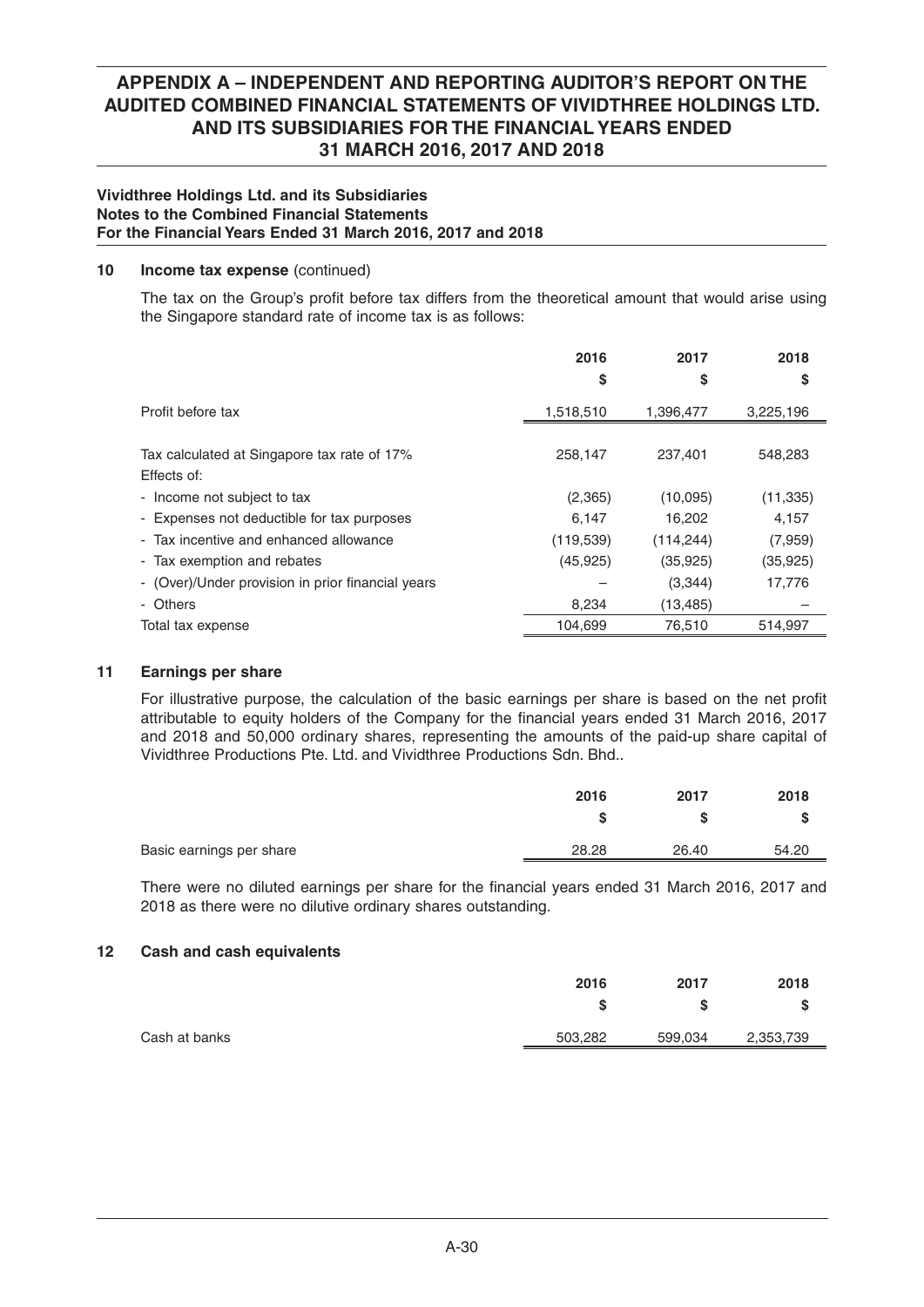## **Vividthree Holdings Ltd. and its Subsidiaries Notes to the Combined Financial Statements For the Financial Years Ended 31 March 2016, 2017 and 2018**

### **10 Income tax expense** (continued)

The tax on the Group's profit before tax differs from the theoretical amount that would arise using the Singapore standard rate of income tax is as follows:

|                                                   | 2016       | 2017       | 2018      |
|---------------------------------------------------|------------|------------|-----------|
|                                                   | \$         | \$         | \$        |
| Profit before tax                                 | 1,518,510  | 1,396,477  | 3,225,196 |
| Tax calculated at Singapore tax rate of 17%       | 258,147    | 237,401    | 548,283   |
| Effects of:                                       |            |            |           |
| - Income not subject to tax                       | (2,365)    | (10,095)   | (11, 335) |
| - Expenses not deductible for tax purposes        | 6.147      | 16,202     | 4.157     |
| - Tax incentive and enhanced allowance            | (119, 539) | (114, 244) | (7,959)   |
| - Tax exemption and rebates                       | (45, 925)  | (35, 925)  | (35, 925) |
| - (Over)/Under provision in prior financial years |            | (3,344)    | 17,776    |
| - Others                                          | 8,234      | (13, 485)  |           |
| Total tax expense                                 | 104,699    | 76,510     | 514,997   |
|                                                   |            |            |           |

## **11 Earnings per share**

For illustrative purpose, the calculation of the basic earnings per share is based on the net profit attributable to equity holders of the Company for the financial years ended 31 March 2016, 2017 and 2018 and 50,000 ordinary shares, representing the amounts of the paid-up share capital of Vividthree Productions Pte. Ltd. and Vividthree Productions Sdn. Bhd..

| 2016  | 2017  | 2018  |
|-------|-------|-------|
| s     |       |       |
| 28.28 | 26.40 | 54.20 |
|       |       |       |

There were no diluted earnings per share for the financial years ended 31 March 2016, 2017 and 2018 as there were no dilutive ordinary shares outstanding.

### **12 Cash and cash equivalents**

|               | 2016    | 2017    | 2018      |
|---------------|---------|---------|-----------|
|               |         |         |           |
| Cash at banks | 503,282 | 599,034 | 2,353,739 |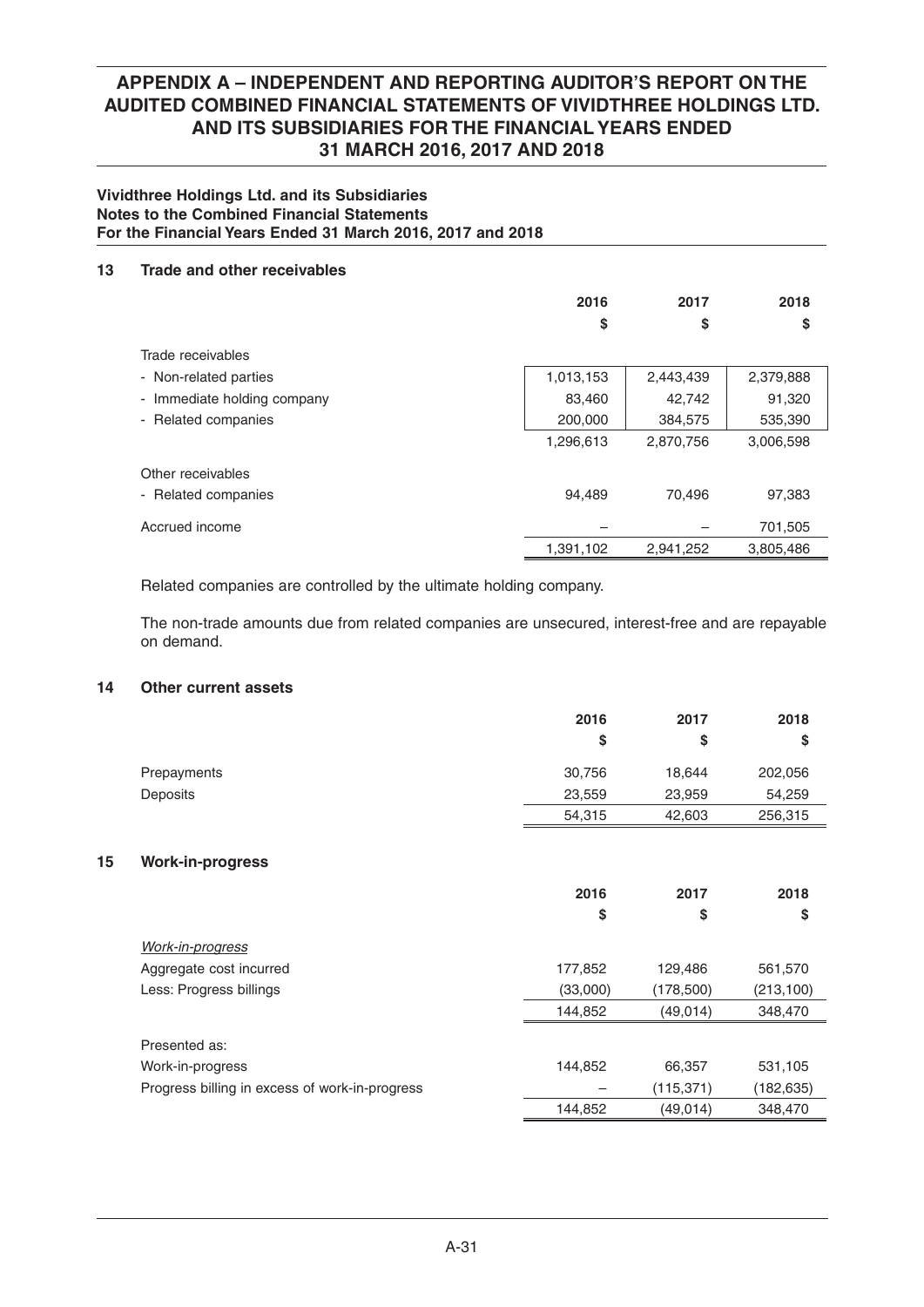### **Vividthree Holdings Ltd. and its Subsidiaries Notes to the Combined Financial Statements For the Financial Years Ended 31 March 2016, 2017 and 2018**

## **13 Trade and other receivables**

|                             | 2016<br>\$ | 2017<br>\$ | 2018<br>\$ |
|-----------------------------|------------|------------|------------|
| Trade receivables           |            |            |            |
| - Non-related parties       | 1,013,153  | 2,443,439  | 2,379,888  |
| - Immediate holding company | 83,460     | 42,742     | 91,320     |
| - Related companies         | 200,000    | 384,575    | 535,390    |
|                             | 1,296,613  | 2,870,756  | 3,006,598  |
| Other receivables           |            |            |            |
| - Related companies         | 94,489     | 70,496     | 97,383     |
| Accrued income              |            |            | 701,505    |
|                             | 1,391,102  | 2,941,252  | 3,805,486  |

Related companies are controlled by the ultimate holding company.

 The non-trade amounts due from related companies are unsecured, interest-free and are repayable on demand.

## **14 Other current assets**

|             | 2016   | 2017   | 2018    |
|-------------|--------|--------|---------|
|             | S      | S      | S       |
| Prepayments | 30,756 | 18.644 | 202,056 |
| Deposits    | 23,559 | 23,959 | 54,259  |
|             | 54,315 | 42,603 | 256,315 |

### **15 Work-in-progress**

|                                                | 2016<br>\$ | 2017<br>\$ | 2018<br>\$ |
|------------------------------------------------|------------|------------|------------|
| <b>Work-in-progress</b>                        |            |            |            |
| Aggregate cost incurred                        | 177,852    | 129,486    | 561,570    |
| Less: Progress billings                        | (33,000)   | (178, 500) | (213, 100) |
|                                                | 144,852    | (49, 014)  | 348,470    |
| Presented as:                                  |            |            |            |
| Work-in-progress                               | 144,852    | 66,357     | 531,105    |
| Progress billing in excess of work-in-progress |            | (115, 371) | (182, 635) |
|                                                | 144.852    | (49, 014)  | 348,470    |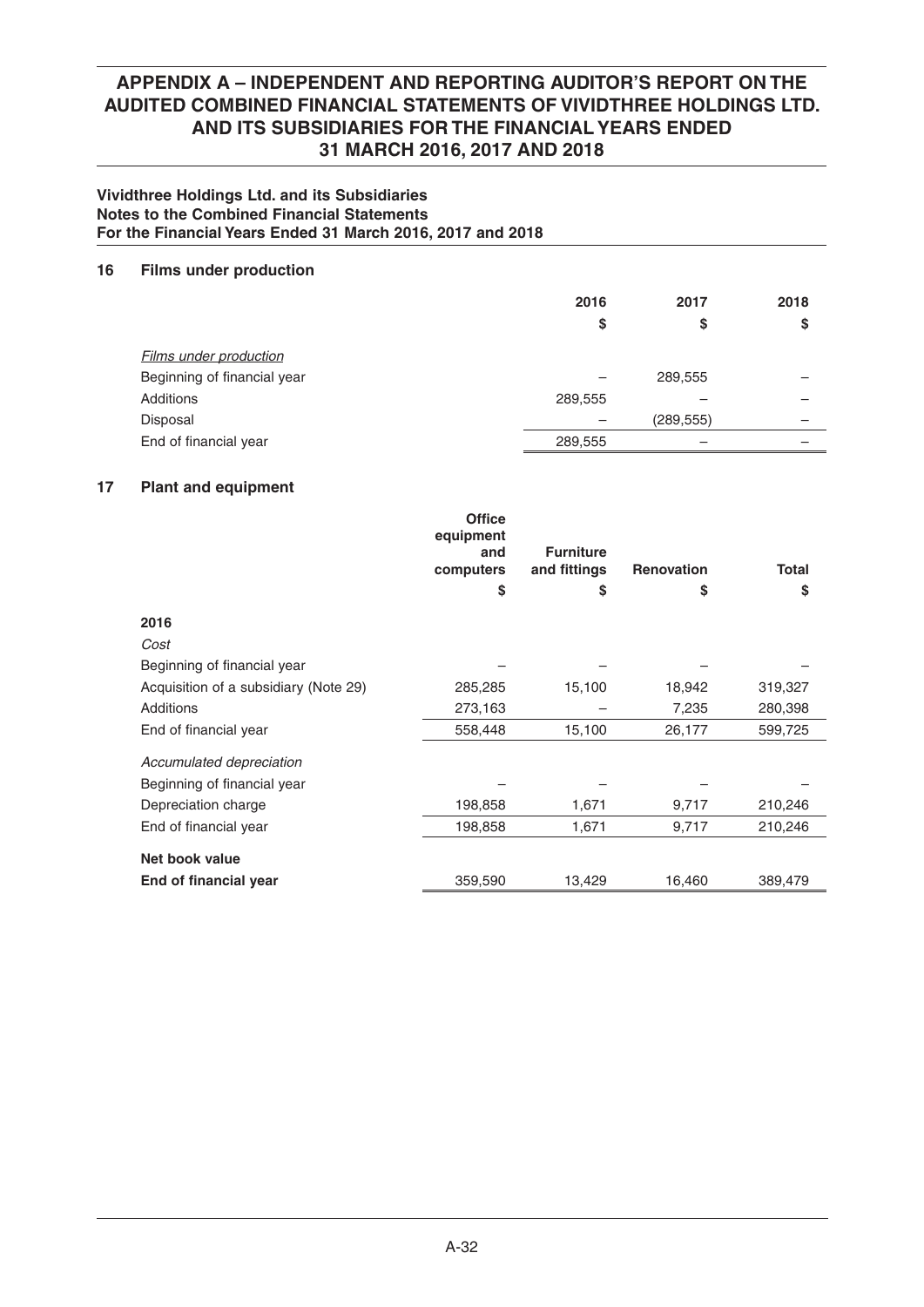### **Vividthree Holdings Ltd. and its Subsidiaries Notes to the Combined Financial Statements For the Financial Years Ended 31 March 2016, 2017 and 2018**

## **16 Films under production**

|                               | 2016<br>\$ | 2017<br>\$ | 2018<br>S |
|-------------------------------|------------|------------|-----------|
| <b>Films under production</b> |            |            |           |
| Beginning of financial year   |            | 289,555    |           |
| Additions                     | 289,555    |            |           |
| Disposal                      |            | (289, 555) | -         |
| End of financial year         | 289,555    |            |           |

## **17 Plant and equipment**

|                                       | <b>Office</b><br>equipment<br>and<br>computers | <b>Furniture</b><br>and fittings | <b>Renovation</b> | <b>Total</b> |
|---------------------------------------|------------------------------------------------|----------------------------------|-------------------|--------------|
|                                       | \$                                             | \$                               | S                 | \$           |
| 2016                                  |                                                |                                  |                   |              |
| Cost                                  |                                                |                                  |                   |              |
| Beginning of financial year           |                                                |                                  |                   |              |
| Acquisition of a subsidiary (Note 29) | 285,285                                        | 15,100                           | 18,942            | 319,327      |
| Additions                             | 273,163                                        |                                  | 7,235             | 280,398      |
| End of financial year                 | 558,448                                        | 15,100                           | 26,177            | 599,725      |
| Accumulated depreciation              |                                                |                                  |                   |              |
| Beginning of financial year           |                                                |                                  |                   |              |
| Depreciation charge                   | 198,858                                        | 1,671                            | 9,717             | 210,246      |
| End of financial year                 | 198,858                                        | 1,671                            | 9,717             | 210,246      |
| Net book value                        |                                                |                                  |                   |              |
| End of financial year                 | 359,590                                        | 13,429                           | 16,460            | 389,479      |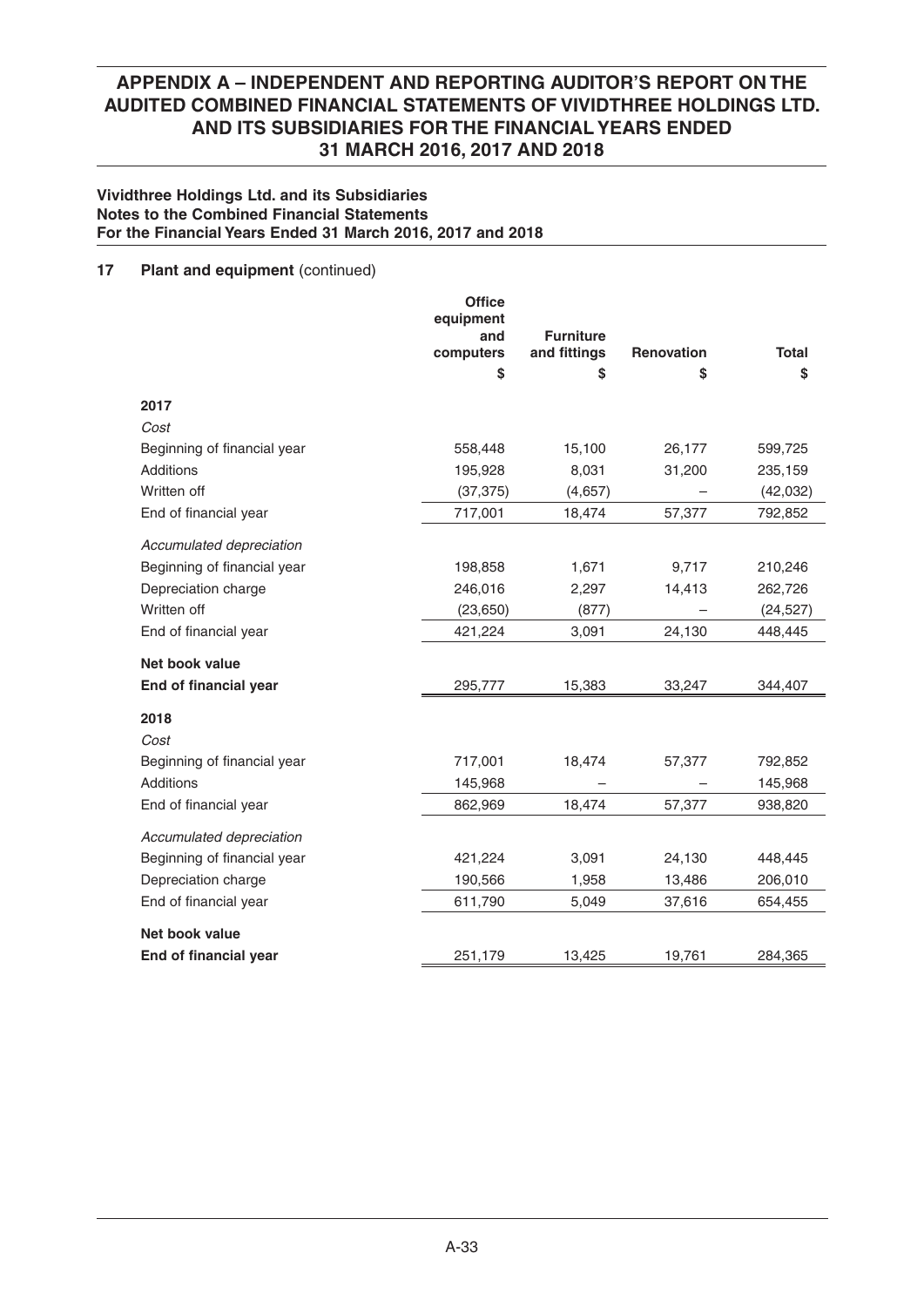### **Vividthree Holdings Ltd. and its Subsidiaries Notes to the Combined Financial Statements For the Financial Years Ended 31 March 2016, 2017 and 2018**

## **17** Plant and equipment (continued)

|                             | <b>Office</b><br>equipment<br>and | <b>Furniture</b> |            |              |
|-----------------------------|-----------------------------------|------------------|------------|--------------|
|                             | computers                         | and fittings     | Renovation | <b>Total</b> |
|                             | \$                                | \$               | S          | \$           |
| 2017                        |                                   |                  |            |              |
| Cost                        |                                   |                  |            |              |
| Beginning of financial year | 558,448                           | 15,100           | 26,177     | 599,725      |
| Additions                   | 195,928                           | 8,031            | 31,200     | 235,159      |
| Written off                 | (37, 375)                         | (4,657)          |            | (42, 032)    |
| End of financial year       | 717,001                           | 18,474           | 57,377     | 792,852      |
| Accumulated depreciation    |                                   |                  |            |              |
| Beginning of financial year | 198,858                           | 1,671            | 9,717      | 210,246      |
| Depreciation charge         | 246,016                           | 2,297            | 14,413     | 262,726      |
| Written off                 | (23, 650)                         | (877)            |            | (24, 527)    |
| End of financial year       | 421,224                           | 3,091            | 24,130     | 448,445      |
| Net book value              |                                   |                  |            |              |
| End of financial year       | 295,777                           | 15,383           | 33,247     | 344,407      |
| 2018                        |                                   |                  |            |              |
| Cost                        |                                   |                  |            |              |
| Beginning of financial year | 717,001                           | 18,474           | 57,377     | 792,852      |
| Additions                   | 145,968                           |                  |            | 145,968      |
| End of financial year       | 862,969                           | 18,474           | 57,377     | 938,820      |
| Accumulated depreciation    |                                   |                  |            |              |
| Beginning of financial year | 421,224                           | 3,091            | 24,130     | 448,445      |
| Depreciation charge         | 190,566                           | 1,958            | 13,486     | 206,010      |
| End of financial year       | 611,790                           | 5,049            | 37,616     | 654,455      |
| Net book value              |                                   |                  |            |              |
| End of financial year       | 251,179                           | 13,425           | 19,761     | 284,365      |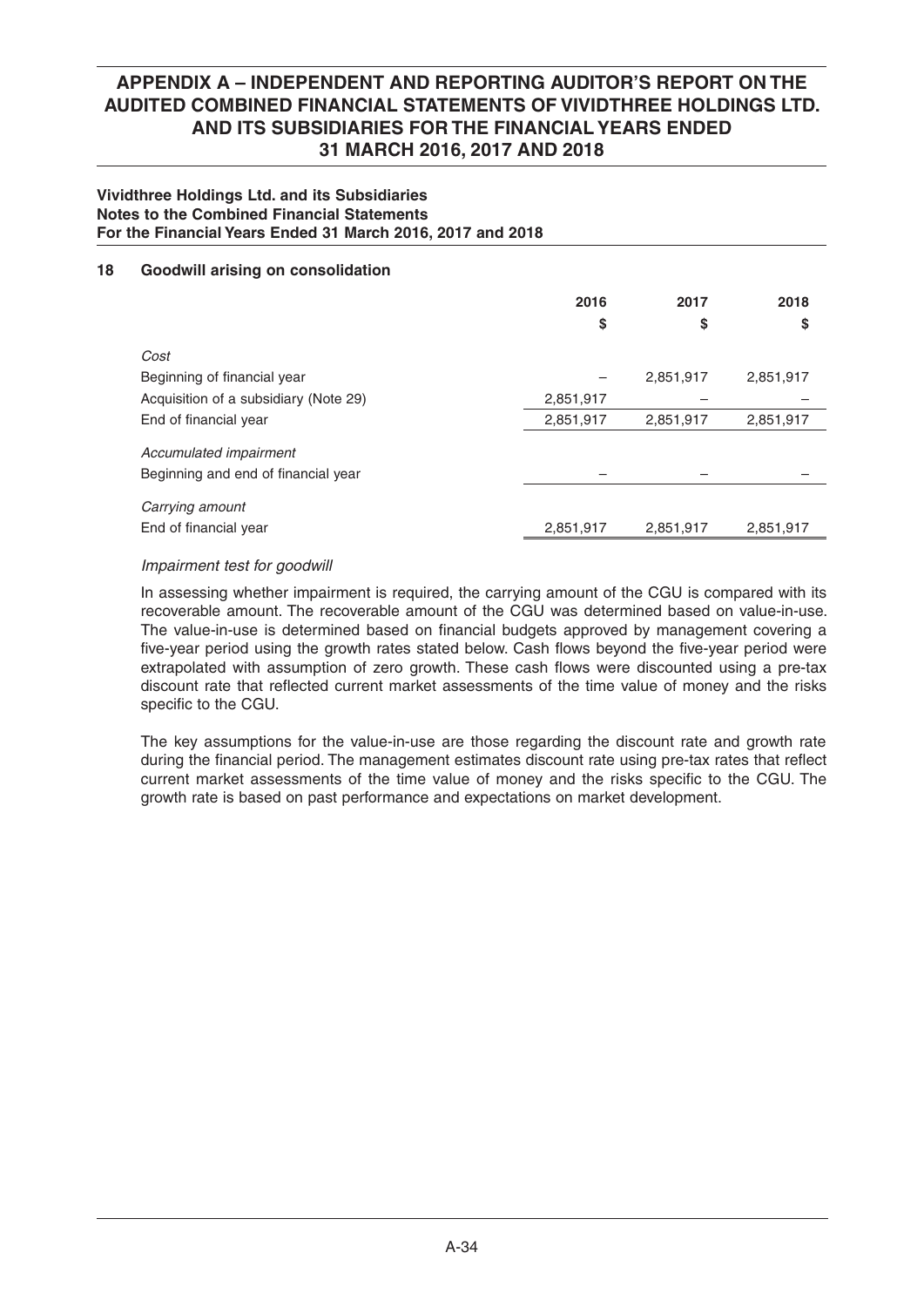### **Vividthree Holdings Ltd. and its Subsidiaries Notes to the Combined Financial Statements For the Financial Years Ended 31 March 2016, 2017 and 2018**

## **18 Goodwill arising on consolidation**

|                                       | 2016<br>\$ | 2017<br>\$ | 2018<br>\$ |
|---------------------------------------|------------|------------|------------|
| Cost                                  |            |            |            |
| Beginning of financial year           |            | 2,851,917  | 2,851,917  |
| Acquisition of a subsidiary (Note 29) | 2,851,917  |            |            |
| End of financial year                 | 2,851,917  | 2,851,917  | 2,851,917  |
| Accumulated impairment                |            |            |            |
| Beginning and end of financial year   |            |            |            |
| Carrying amount                       |            |            |            |
| End of financial year                 | 2,851,917  | 2,851,917  | 2,851,917  |

### *Impairment test for goodwill*

 In assessing whether impairment is required, the carrying amount of the CGU is compared with its recoverable amount. The recoverable amount of the CGU was determined based on value-in-use. The value-in-use is determined based on financial budgets approved by management covering a five-year period using the growth rates stated below. Cash flows beyond the five-year period were extrapolated with assumption of zero growth. These cash flows were discounted using a pre-tax discount rate that reflected current market assessments of the time value of money and the risks specific to the CGU.

 The key assumptions for the value-in-use are those regarding the discount rate and growth rate during the financial period. The management estimates discount rate using pre-tax rates that reflect current market assessments of the time value of money and the risks specific to the CGU. The growth rate is based on past performance and expectations on market development.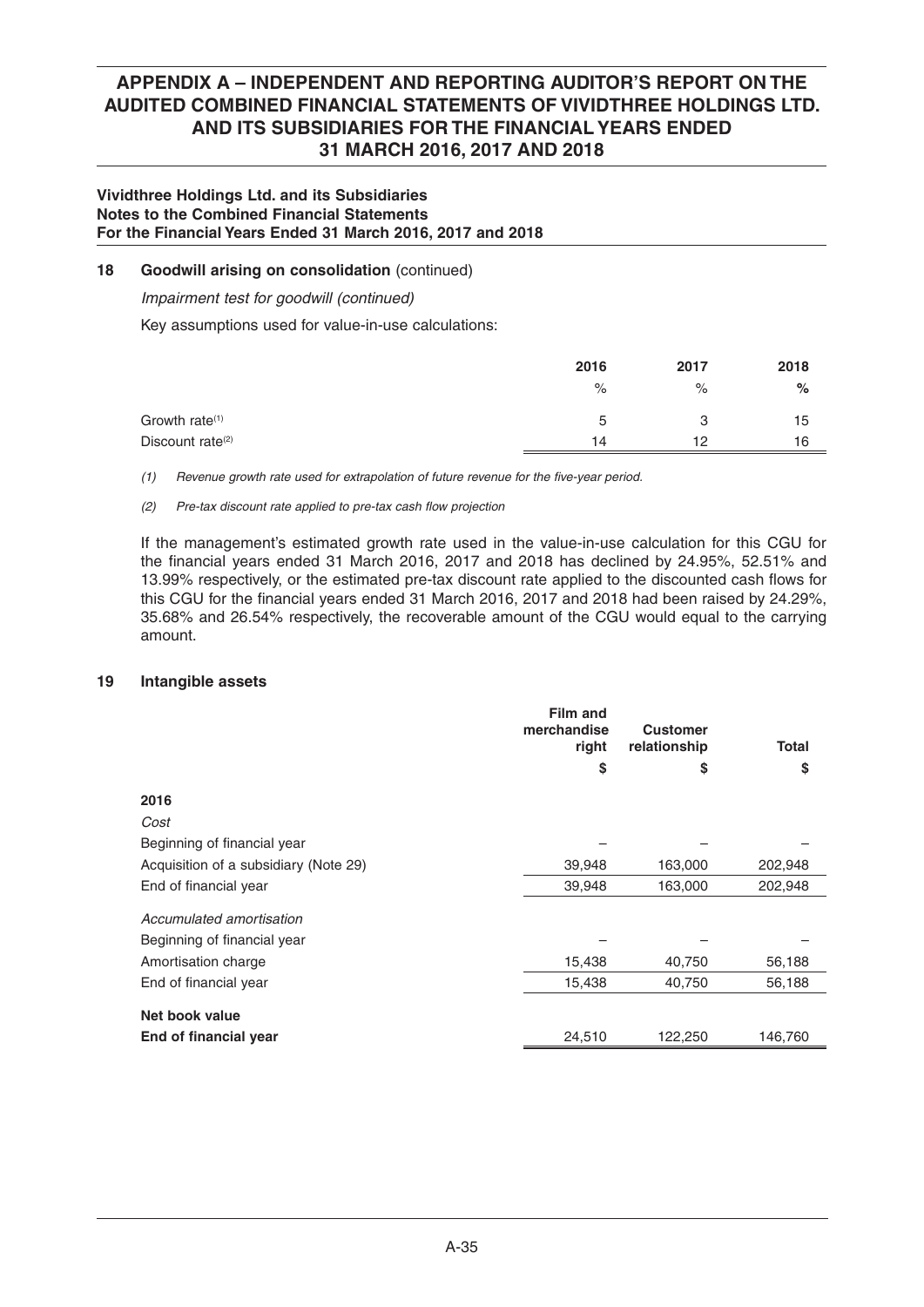### **Vividthree Holdings Ltd. and its Subsidiaries Notes to the Combined Financial Statements For the Financial Years Ended 31 March 2016, 2017 and 2018**

## **18 Goodwill arising on consolidation** (continued)

 *Impairment test for goodwill (continued)*

Key assumptions used for value-in-use calculations:

|                              | 2016        | 2017 | 2018 |
|------------------------------|-------------|------|------|
|                              | $\%$        | $\%$ | $\%$ |
| Growth rate <sup>(1)</sup>   | $\mathbf b$ | 3    | 15   |
| Discount rate <sup>(2)</sup> | 14          | 12   | 16   |

*(1) Revenue growth rate used for extrapolation of future revenue for the five-year period.* 

### *(2) Pre-tax discount rate applied to pre-tax cash flow projection*

 If the management's estimated growth rate used in the value-in-use calculation for this CGU for the financial years ended 31 March 2016, 2017 and 2018 has declined by  $24.95\%$ , 52.51% and 13.99% respectively, or the estimated pre-tax discount rate applied to the discounted cash flows for this CGU for the financial years ended 31 March 2016, 2017 and 2018 had been raised by 24.29%, 35.68% and 26.54% respectively, the recoverable amount of the CGU would equal to the carrying amount.

### **19 Intangible assets**

|                                       | <b>Film and</b><br>merchandise<br>right | <b>Customer</b><br>relationship | <b>Total</b> |
|---------------------------------------|-----------------------------------------|---------------------------------|--------------|
|                                       | \$                                      | S                               | \$           |
| 2016                                  |                                         |                                 |              |
| Cost                                  |                                         |                                 |              |
| Beginning of financial year           |                                         |                                 |              |
| Acquisition of a subsidiary (Note 29) | 39,948                                  | 163,000                         | 202,948      |
| End of financial year                 | 39,948                                  | 163,000                         | 202,948      |
| Accumulated amortisation              |                                         |                                 |              |
| Beginning of financial year           |                                         |                                 |              |
| Amortisation charge                   | 15,438                                  | 40,750                          | 56,188       |
| End of financial year                 | 15,438                                  | 40,750                          | 56,188       |
| Net book value                        |                                         |                                 |              |
| End of financial year                 | 24,510                                  | 122,250                         | 146,760      |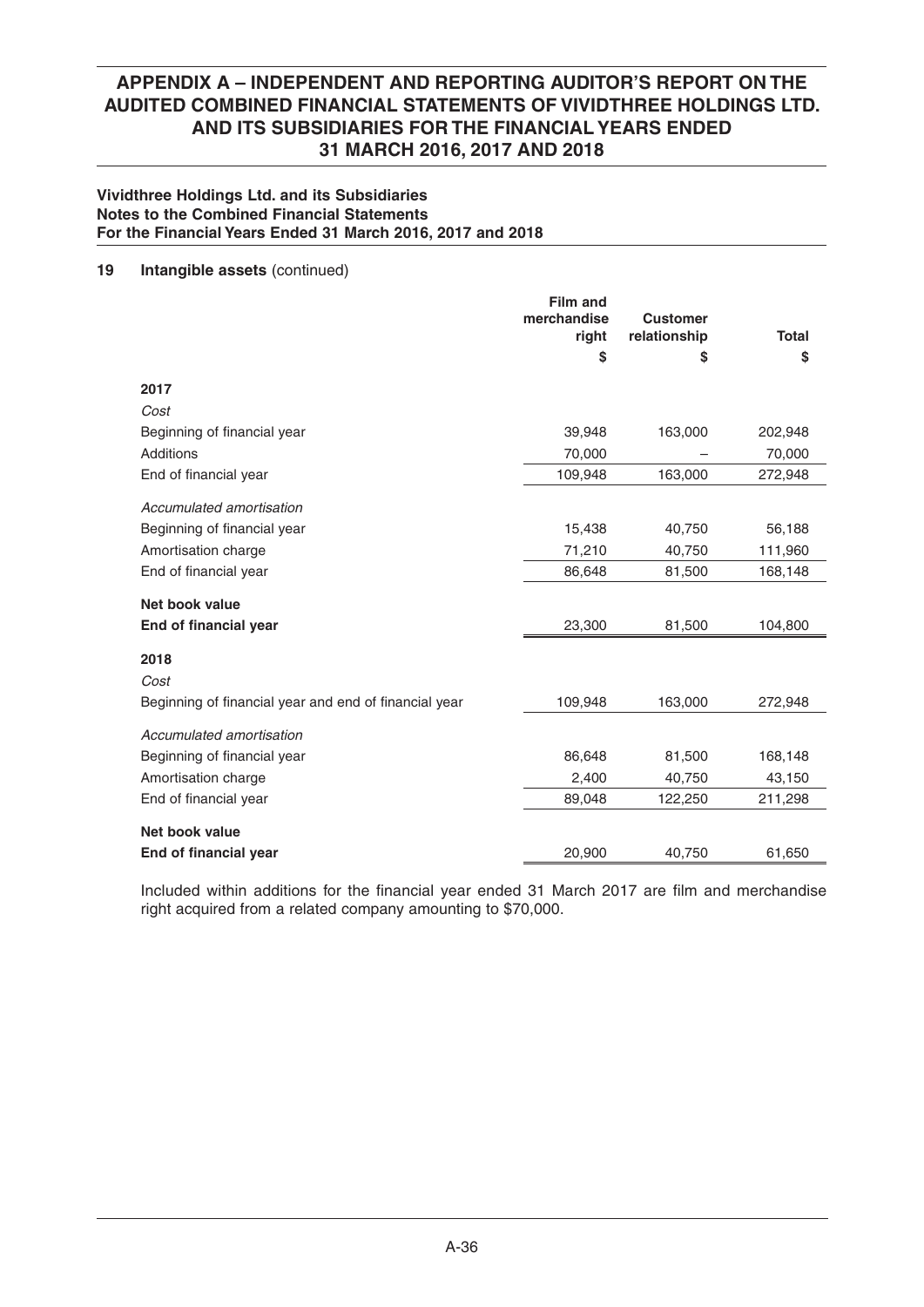### **Vividthree Holdings Ltd. and its Subsidiaries Notes to the Combined Financial Statements For the Financial Years Ended 31 March 2016, 2017 and 2018**

### **19 Intangible assets** (continued)

|                                                       | <b>Film and</b><br>merchandise<br>right<br>\$ | <b>Customer</b><br>relationship<br>\$ | <b>Total</b><br>\$ |
|-------------------------------------------------------|-----------------------------------------------|---------------------------------------|--------------------|
| 2017                                                  |                                               |                                       |                    |
| Cost                                                  |                                               |                                       |                    |
| Beginning of financial year                           | 39,948                                        | 163,000                               | 202,948            |
| Additions                                             | 70,000                                        |                                       | 70,000             |
| End of financial year                                 | 109,948                                       | 163,000                               | 272,948            |
| Accumulated amortisation                              |                                               |                                       |                    |
| Beginning of financial year                           | 15,438                                        | 40,750                                | 56,188             |
| Amortisation charge                                   | 71,210                                        | 40,750                                | 111,960            |
| End of financial year                                 | 86,648                                        | 81,500                                | 168,148            |
| Net book value                                        |                                               |                                       |                    |
| End of financial year                                 | 23,300                                        | 81,500                                | 104,800            |
| 2018<br>Cost                                          |                                               |                                       |                    |
| Beginning of financial year and end of financial year | 109,948                                       | 163,000                               | 272,948            |
| Accumulated amortisation                              |                                               |                                       |                    |
| Beginning of financial year                           | 86,648                                        | 81,500                                | 168,148            |
| Amortisation charge                                   | 2,400                                         | 40,750                                | 43,150             |
| End of financial year                                 | 89,048                                        | 122,250                               | 211,298            |
| Net book value                                        |                                               |                                       |                    |
| End of financial year                                 | 20,900                                        | 40,750                                | 61,650             |

Included within additions for the financial year ended 31 March 2017 are film and merchandise right acquired from a related company amounting to \$70,000.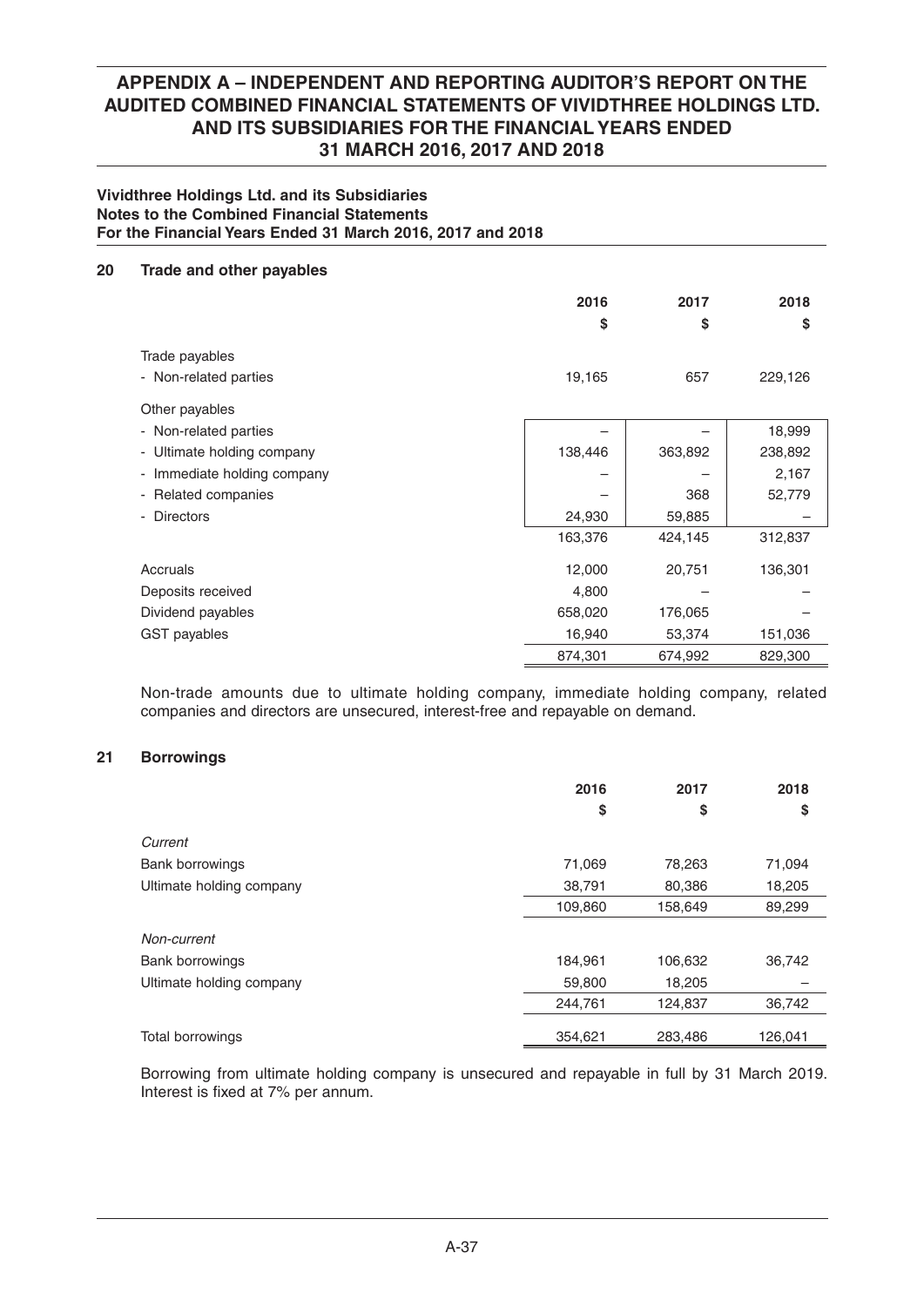### **Vividthree Holdings Ltd. and its Subsidiaries Notes to the Combined Financial Statements For the Financial Years Ended 31 March 2016, 2017 and 2018**

### **20 Trade and other payables**

|                             | 2016<br>\$ | 2017<br>\$ | 2018<br>S |
|-----------------------------|------------|------------|-----------|
| Trade payables              |            |            |           |
| - Non-related parties       | 19,165     | 657        | 229,126   |
| Other payables              |            |            |           |
| - Non-related parties       |            |            | 18,999    |
| - Ultimate holding company  | 138,446    | 363,892    | 238,892   |
| - Immediate holding company |            |            | 2,167     |
| - Related companies         |            | 368        | 52,779    |
| - Directors                 | 24,930     | 59,885     |           |
|                             | 163,376    | 424,145    | 312,837   |
| Accruals                    | 12,000     | 20,751     | 136,301   |
| Deposits received           | 4,800      |            |           |
| Dividend payables           | 658,020    | 176,065    |           |
| GST payables                | 16,940     | 53,374     | 151,036   |
|                             | 874,301    | 674,992    | 829,300   |

 Non-trade amounts due to ultimate holding company, immediate holding company, related companies and directors are unsecured, interest-free and repayable on demand.

## **21 Borrowings**

|                          | 2016    | 2017    | 2018    |
|--------------------------|---------|---------|---------|
|                          | \$      | \$      | \$      |
| Current                  |         |         |         |
| <b>Bank borrowings</b>   | 71,069  | 78,263  | 71,094  |
| Ultimate holding company | 38,791  | 80,386  | 18,205  |
|                          | 109,860 | 158,649 | 89,299  |
| Non-current              |         |         |         |
| <b>Bank borrowings</b>   | 184,961 | 106,632 | 36,742  |
| Ultimate holding company | 59,800  | 18,205  |         |
|                          | 244,761 | 124,837 | 36,742  |
| <b>Total borrowings</b>  | 354,621 | 283,486 | 126,041 |

 Borrowing from ultimate holding company is unsecured and repayable in full by 31 March 2019. Interest is fixed at 7% per annum.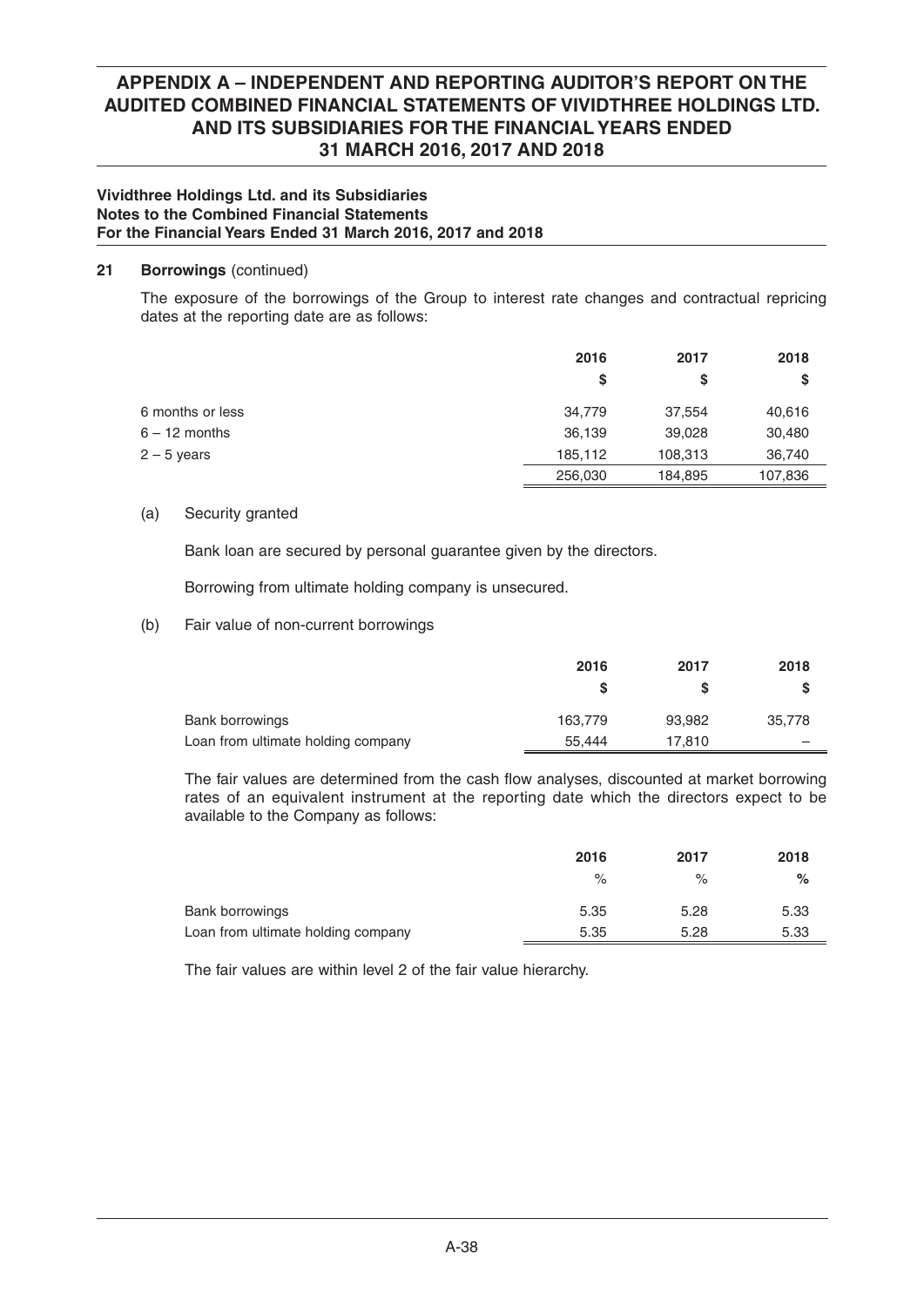## **Vividthree Holdings Ltd. and its Subsidiaries Notes to the Combined Financial Statements For the Financial Years Ended 31 March 2016, 2017 and 2018**

## **21 Borrowings** (continued)

 The exposure of the borrowings of the Group to interest rate changes and contractual repricing dates at the reporting date are as follows:

|                  | 2016    | 2017    | 2018    |
|------------------|---------|---------|---------|
|                  | S       | S       | S       |
| 6 months or less | 34,779  | 37,554  | 40,616  |
| $6 - 12$ months  | 36,139  | 39,028  | 30,480  |
| $2 - 5$ years    | 185,112 | 108,313 | 36,740  |
|                  | 256,030 | 184,895 | 107,836 |

## (a) Security granted

Bank loan are secured by personal guarantee given by the directors.

Borrowing from ultimate holding company is unsecured.

## (b) Fair value of non-current borrowings

|                                    | 2016    | 2017   | 2018   |
|------------------------------------|---------|--------|--------|
|                                    |         |        |        |
| Bank borrowings                    | 163.779 | 93.982 | 35,778 |
| Loan from ultimate holding company | 55.444  | 17.810 |        |

The fair values are determined from the cash flow analyses, discounted at market borrowing rates of an equivalent instrument at the reporting date which the directors expect to be available to the Company as follows:

|                                    | 2016 | 2017 | 2018 |
|------------------------------------|------|------|------|
|                                    | $\%$ | $\%$ | %    |
| Bank borrowings                    | 5.35 | 5.28 | 5.33 |
| Loan from ultimate holding company | 5.35 | 5.28 | 5.33 |

The fair values are within level 2 of the fair value hierarchy.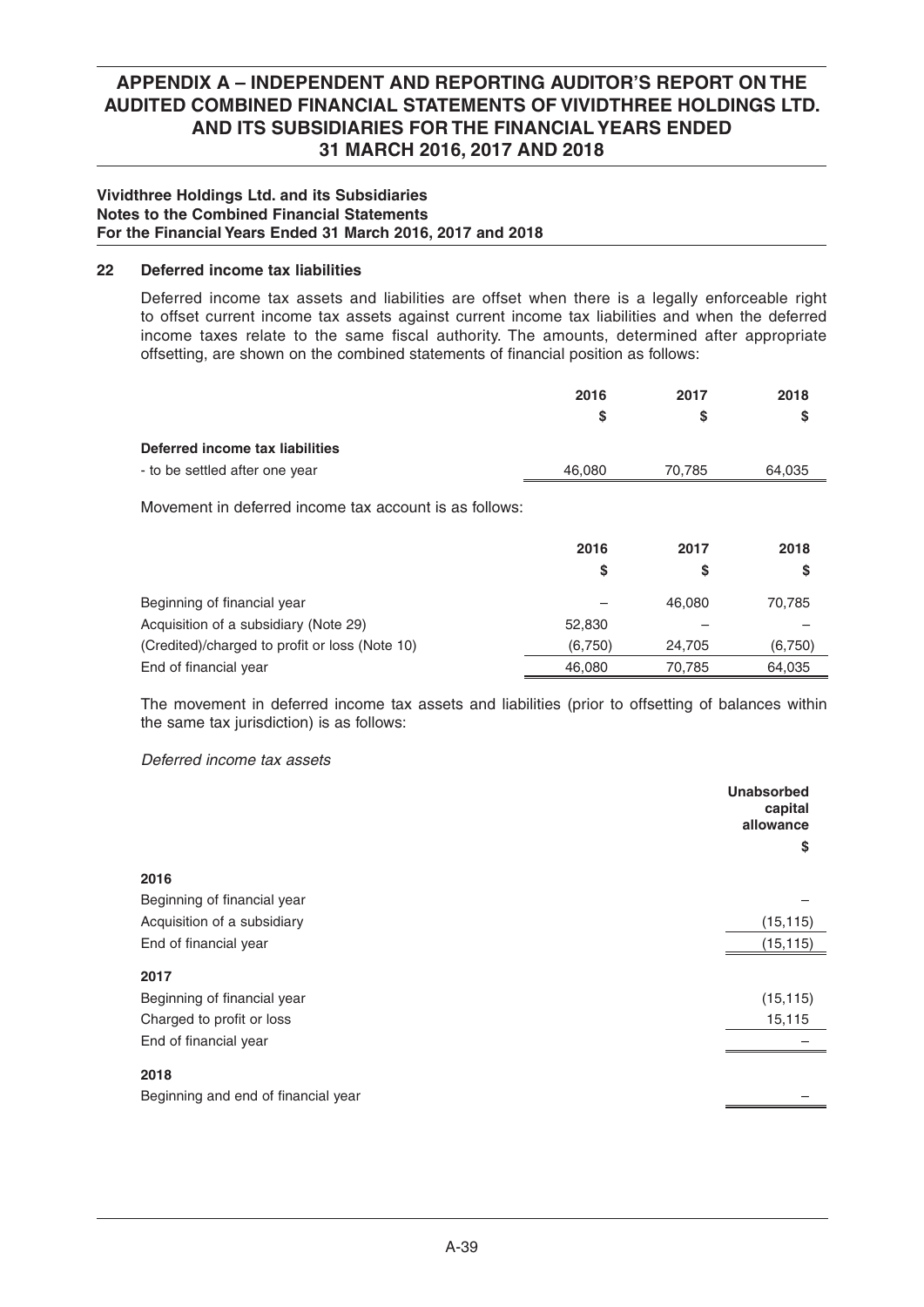### **Vividthree Holdings Ltd. and its Subsidiaries Notes to the Combined Financial Statements For the Financial Years Ended 31 March 2016, 2017 and 2018**

## **22 Deferred income tax liabilities**

 Deferred income tax assets and liabilities are offset when there is a legally enforceable right to offset current income tax assets against current income tax liabilities and when the deferred income taxes relate to the same fiscal authority. The amounts, determined after appropriate offsetting, are shown on the combined statements of financial position as follows:

|                                                        | 2016    | 2017   | 2018    |
|--------------------------------------------------------|---------|--------|---------|
|                                                        | \$      | \$     | S       |
| Deferred income tax liabilities                        |         |        |         |
| - to be settled after one year                         | 46,080  | 70,785 | 64,035  |
| Movement in deferred income tax account is as follows: |         |        |         |
|                                                        | 2016    | 2017   | 2018    |
|                                                        | \$      | \$     | S       |
| Beginning of financial year                            |         | 46,080 | 70,785  |
| Acquisition of a subsidiary (Note 29)                  | 52,830  |        |         |
| (Credited)/charged to profit or loss (Note 10)         | (6,750) | 24,705 | (6,750) |
| End of financial year                                  | 46,080  | 70,785 | 64,035  |

 The movement in deferred income tax assets and liabilities (prior to offsetting of balances within the same tax jurisdiction) is as follows:

## *Deferred income tax assets*

|                                     | <b>Unabsorbed</b><br>capital<br>allowance |
|-------------------------------------|-------------------------------------------|
|                                     | \$                                        |
| 2016                                |                                           |
| Beginning of financial year         |                                           |
| Acquisition of a subsidiary         | (15, 115)                                 |
| End of financial year               | (15, 115)                                 |
| 2017                                |                                           |
| Beginning of financial year         | (15, 115)                                 |
| Charged to profit or loss           | 15,115                                    |
| End of financial year               |                                           |
| 2018                                |                                           |
| Beginning and end of financial year |                                           |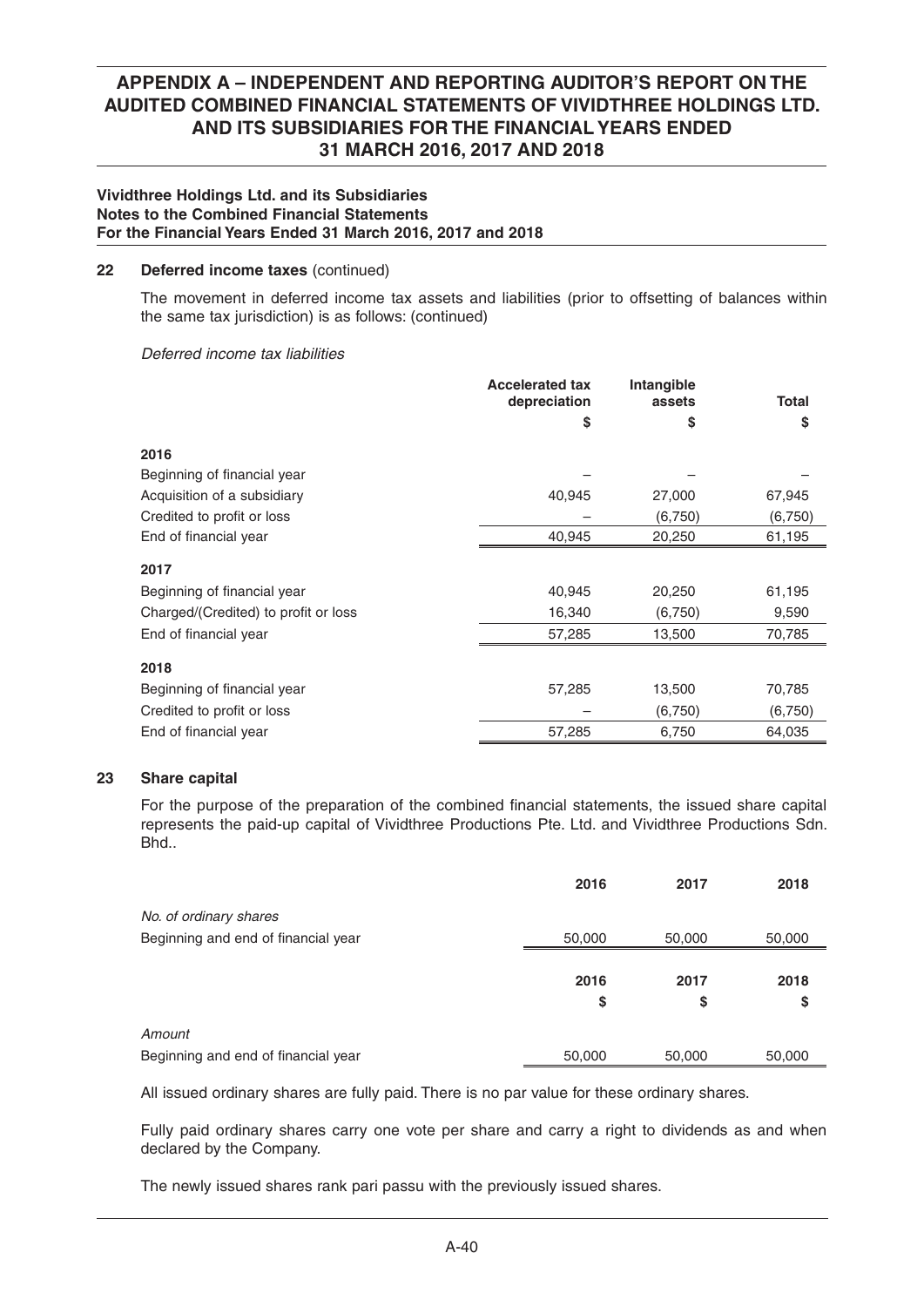### **Vividthree Holdings Ltd. and its Subsidiaries Notes to the Combined Financial Statements For the Financial Years Ended 31 March 2016, 2017 and 2018**

### **22 Deferred income taxes** (continued)

 The movement in deferred income tax assets and liabilities (prior to offsetting of balances within the same tax jurisdiction) is as follows: (continued)

### *Deferred income tax liabilities*

|                                      | <b>Accelerated tax</b><br>depreciation | <b>Intangible</b><br>assets | <b>Total</b> |
|--------------------------------------|----------------------------------------|-----------------------------|--------------|
|                                      | \$                                     | \$                          | \$           |
|                                      |                                        |                             |              |
| 2016                                 |                                        |                             |              |
| Beginning of financial year          |                                        |                             |              |
| Acquisition of a subsidiary          | 40,945                                 | 27,000                      | 67,945       |
| Credited to profit or loss           |                                        | (6,750)                     | (6,750)      |
| End of financial year                | 40,945                                 | 20,250                      | 61,195       |
| 2017                                 |                                        |                             |              |
| Beginning of financial year          | 40,945                                 | 20,250                      | 61,195       |
| Charged/(Credited) to profit or loss | 16,340                                 | (6,750)                     | 9,590        |
| End of financial year                | 57,285                                 | 13,500                      | 70,785       |
| 2018                                 |                                        |                             |              |
| Beginning of financial year          | 57,285                                 | 13,500                      | 70,785       |
| Credited to profit or loss           |                                        | (6,750)                     | (6,750)      |
| End of financial year                | 57,285                                 | 6,750                       | 64,035       |

## **23 Share capital**

For the purpose of the preparation of the combined financial statements, the issued share capital represents the paid-up capital of Vividthree Productions Pte. Ltd. and Vividthree Productions Sdn. Bhd..

|                                     | 2016   | 2017   | 2018   |
|-------------------------------------|--------|--------|--------|
| No. of ordinary shares              |        |        |        |
| Beginning and end of financial year | 50,000 | 50,000 | 50,000 |
|                                     |        |        |        |
|                                     | 2016   | 2017   | 2018   |
|                                     | \$     | \$     | \$     |
| Amount                              |        |        |        |
| Beginning and end of financial year | 50,000 | 50,000 | 50,000 |

All issued ordinary shares are fully paid. There is no par value for these ordinary shares.

 Fully paid ordinary shares carry one vote per share and carry a right to dividends as and when declared by the Company.

The newly issued shares rank pari passu with the previously issued shares.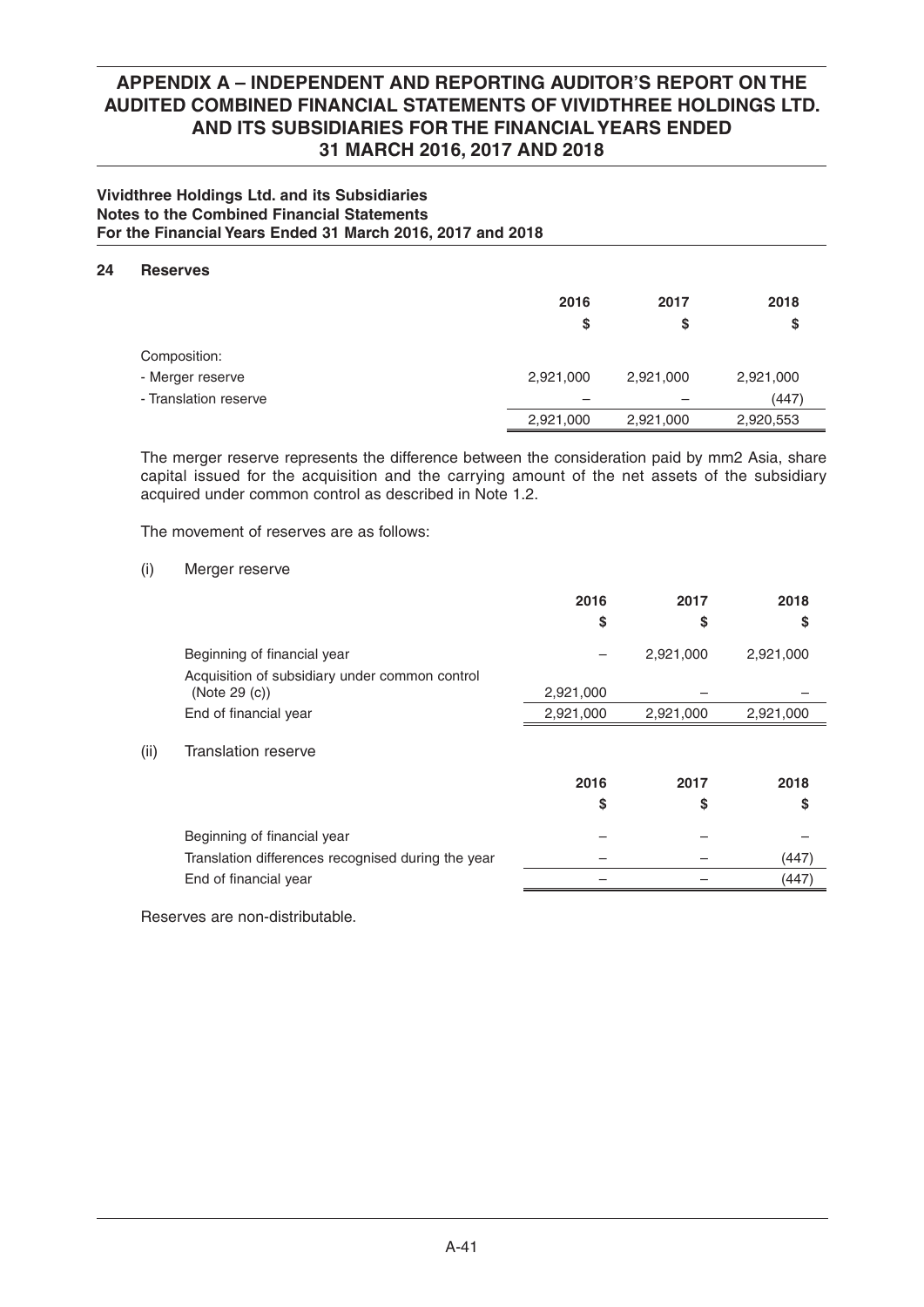## **Vividthree Holdings Ltd. and its Subsidiaries Notes to the Combined Financial Statements For the Financial Years Ended 31 March 2016, 2017 and 2018**

### **24 Reserves**

| .                     |           |           |           |
|-----------------------|-----------|-----------|-----------|
|                       | 2016      | 2017      | 2018      |
|                       | \$        | \$        | \$        |
| Composition:          |           |           |           |
| - Merger reserve      | 2,921,000 | 2,921,000 | 2,921,000 |
| - Translation reserve |           |           | (447)     |
|                       | 2,921,000 | 2,921,000 | 2,920,553 |
|                       |           |           |           |

 The merger reserve represents the difference between the consideration paid by mm2 Asia, share capital issued for the acquisition and the carrying amount of the net assets of the subsidiary acquired under common control as described in Note 1.2.

The movement of reserves are as follows:

(i) Merger reserve

|      |                                                    | 2016      | 2017      | 2018      |
|------|----------------------------------------------------|-----------|-----------|-----------|
|      |                                                    | S         | S         | S         |
|      | Beginning of financial year                        |           | 2,921,000 | 2,921,000 |
|      | Acquisition of subsidiary under common control     |           |           |           |
|      | (Note 29 (c))                                      | 2,921,000 |           |           |
|      | End of financial year                              | 2,921,000 | 2,921,000 | 2,921,000 |
| (ii) | Translation reserve                                |           |           |           |
|      |                                                    | 2016      | 2017      | 2018      |
|      |                                                    | S         | S         | \$        |
|      | Beginning of financial year                        |           |           |           |
|      | Translation differences recognised during the year |           |           | (447)     |
|      | End of financial year                              |           |           | (447)     |

Reserves are non-distributable.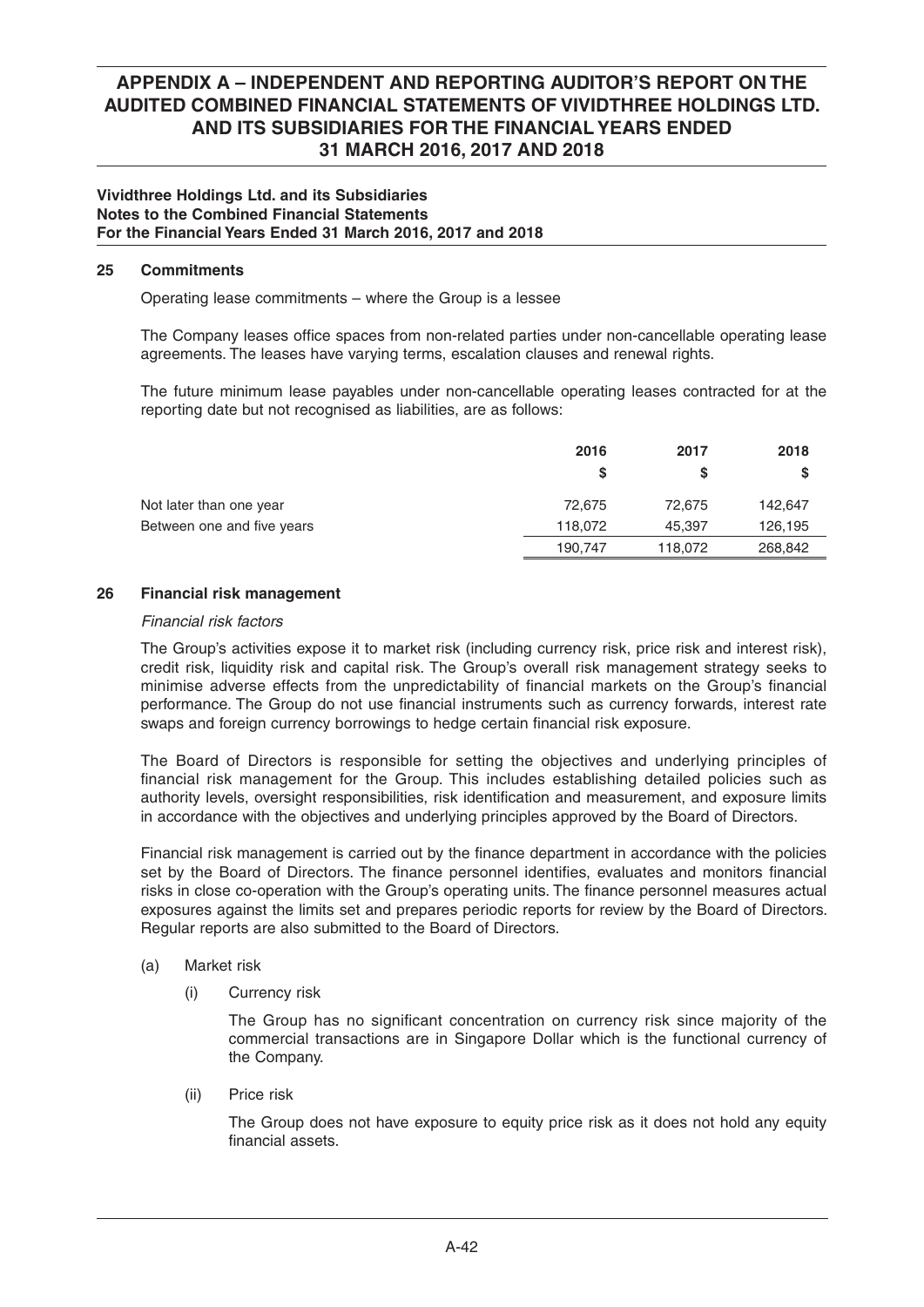### **Vividthree Holdings Ltd. and its Subsidiaries Notes to the Combined Financial Statements For the Financial Years Ended 31 March 2016, 2017 and 2018**

### **25 Commitments**

Operating lease commitments – where the Group is a lessee

The Company leases office spaces from non-related parties under non-cancellable operating lease agreements. The leases have varying terms, escalation clauses and renewal rights.

 The future minimum lease payables under non-cancellable operating leases contracted for at the reporting date but not recognised as liabilities, are as follows:

|                            | 2016    | 2017    | 2018    |
|----------------------------|---------|---------|---------|
|                            | S       | S       | S       |
| Not later than one year    | 72.675  | 72.675  | 142,647 |
| Between one and five years | 118,072 | 45.397  | 126,195 |
|                            | 190,747 | 118,072 | 268,842 |

### **26 Financial risk management**

### *Financial risk factors*

 The Group's activities expose it to market risk (including currency risk, price risk and interest risk), credit risk, liquidity risk and capital risk. The Group's overall risk management strategy seeks to minimise adverse effects from the unpredictability of financial markets on the Group's financial performance. The Group do not use financial instruments such as currency forwards, interest rate swaps and foreign currency borrowings to hedge certain financial risk exposure.

 The Board of Directors is responsible for setting the objectives and underlying principles of financial risk management for the Group. This includes establishing detailed policies such as authority levels, oversight responsibilities, risk identification and measurement, and exposure limits in accordance with the objectives and underlying principles approved by the Board of Directors.

Financial risk management is carried out by the finance department in accordance with the policies set by the Board of Directors. The finance personnel identifies, evaluates and monitors financial risks in close co-operation with the Group's operating units. The finance personnel measures actual exposures against the limits set and prepares periodic reports for review by the Board of Directors. Regular reports are also submitted to the Board of Directors.

- (a) Market risk
	- (i) Currency risk

The Group has no significant concentration on currency risk since majority of the commercial transactions are in Singapore Dollar which is the functional currency of the Company.

(ii) Price risk

 The Group does not have exposure to equity price risk as it does not hold any equity financial assets.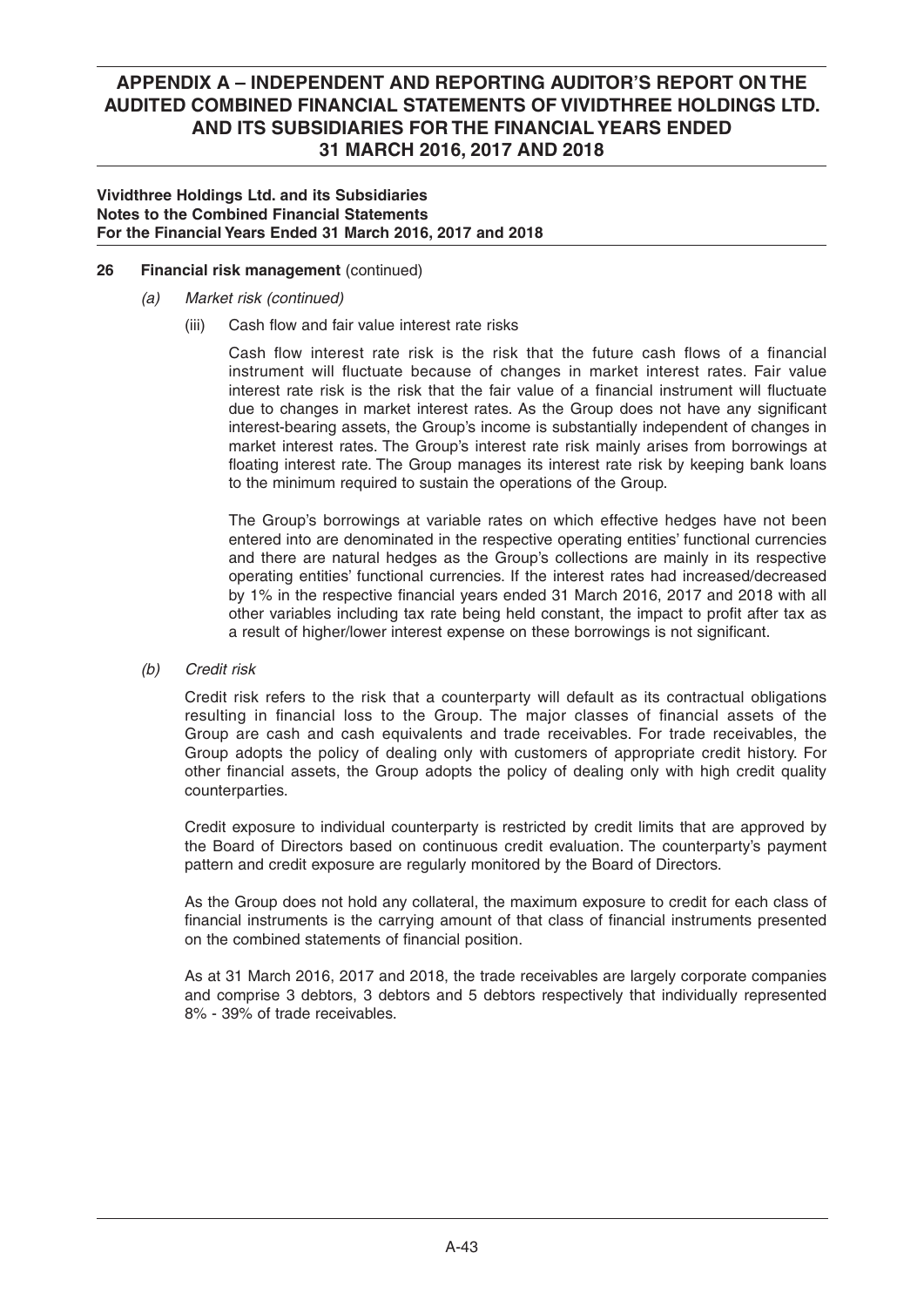### **Vividthree Holdings Ltd. and its Subsidiaries Notes to the Combined Financial Statements For the Financial Years Ended 31 March 2016, 2017 and 2018**

## **26 Financial risk management** (continued)

- *(a) Market risk (continued)*
	- (iii) Cash flow and fair value interest rate risks

Cash flow interest rate risk is the risk that the future cash flows of a financial instrument will fluctuate because of changes in market interest rates. Fair value interest rate risk is the risk that the fair value of a financial instrument will fluctuate due to changes in market interest rates. As the Group does not have any significant interest-bearing assets, the Group's income is substantially independent of changes in market interest rates. The Group's interest rate risk mainly arises from borrowings at floating interest rate. The Group manages its interest rate risk by keeping bank loans to the minimum required to sustain the operations of the Group.

 The Group's borrowings at variable rates on which effective hedges have not been entered into are denominated in the respective operating entities' functional currencies and there are natural hedges as the Group's collections are mainly in its respective operating entities' functional currencies. If the interest rates had increased/decreased by 1% in the respective financial years ended 31 March 2016, 2017 and 2018 with all other variables including tax rate being held constant, the impact to profit after tax as a result of higher/lower interest expense on these borrowings is not significant.

 *(b) Credit risk*

 Credit risk refers to the risk that a counterparty will default as its contractual obligations resulting in financial loss to the Group. The major classes of financial assets of the Group are cash and cash equivalents and trade receivables. For trade receivables, the Group adopts the policy of dealing only with customers of appropriate credit history. For other financial assets, the Group adopts the policy of dealing only with high credit quality counterparties.

 Credit exposure to individual counterparty is restricted by credit limits that are approved by the Board of Directors based on continuous credit evaluation. The counterparty's payment pattern and credit exposure are regularly monitored by the Board of Directors.

 As the Group does not hold any collateral, the maximum exposure to credit for each class of financial instruments is the carrying amount of that class of financial instruments presented on the combined statements of financial position.

 As at 31 March 2016, 2017 and 2018, the trade receivables are largely corporate companies and comprise 3 debtors, 3 debtors and 5 debtors respectively that individually represented 8% - 39% of trade receivables.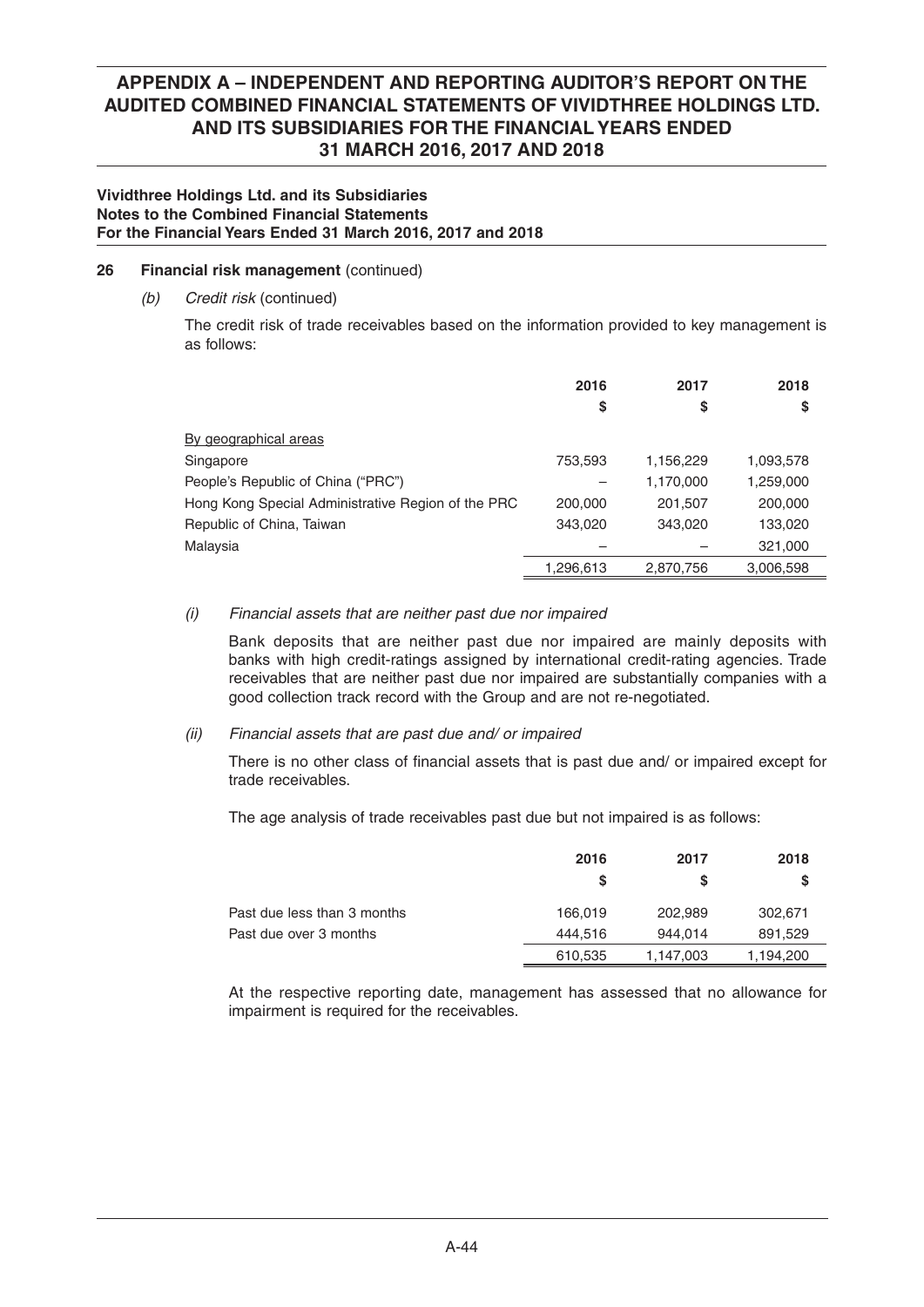### **Vividthree Holdings Ltd. and its Subsidiaries Notes to the Combined Financial Statements For the Financial Years Ended 31 March 2016, 2017 and 2018**

## **26 Financial risk management** (continued)

 *(b) Credit risk* (continued)

 The credit risk of trade receivables based on the information provided to key management is as follows:

|                                                    | 2016<br>\$ | 2017<br>\$ | 2018<br>\$ |
|----------------------------------------------------|------------|------------|------------|
| By geographical areas                              |            |            |            |
| Singapore                                          | 753,593    | 1,156,229  | 1,093,578  |
| People's Republic of China ("PRC")                 |            | 1,170,000  | 1,259,000  |
| Hong Kong Special Administrative Region of the PRC | 200,000    | 201,507    | 200,000    |
| Republic of China, Taiwan                          | 343,020    | 343,020    | 133,020    |
| Malaysia                                           |            |            | 321,000    |
|                                                    | 1,296,613  | 2.870.756  | 3,006,598  |

## *(i) Financial assets that are neither past due nor impaired*

 Bank deposits that are neither past due nor impaired are mainly deposits with banks with high credit-ratings assigned by international credit-rating agencies. Trade receivables that are neither past due nor impaired are substantially companies with a good collection track record with the Group and are not re-negotiated.

### *(ii) Financial assets that are past due and/ or impaired*

There is no other class of financial assets that is past due and/ or impaired except for trade receivables.

The age analysis of trade receivables past due but not impaired is as follows:

|                             | 2016<br><b>S</b> | 2017<br>S | 2018<br>S |
|-----------------------------|------------------|-----------|-----------|
| Past due less than 3 months | 166.019          | 202.989   | 302,671   |
| Past due over 3 months      | 444.516          | 944.014   | 891.529   |
|                             | 610,535          | 1,147,003 | 1,194,200 |

 At the respective reporting date, management has assessed that no allowance for impairment is required for the receivables.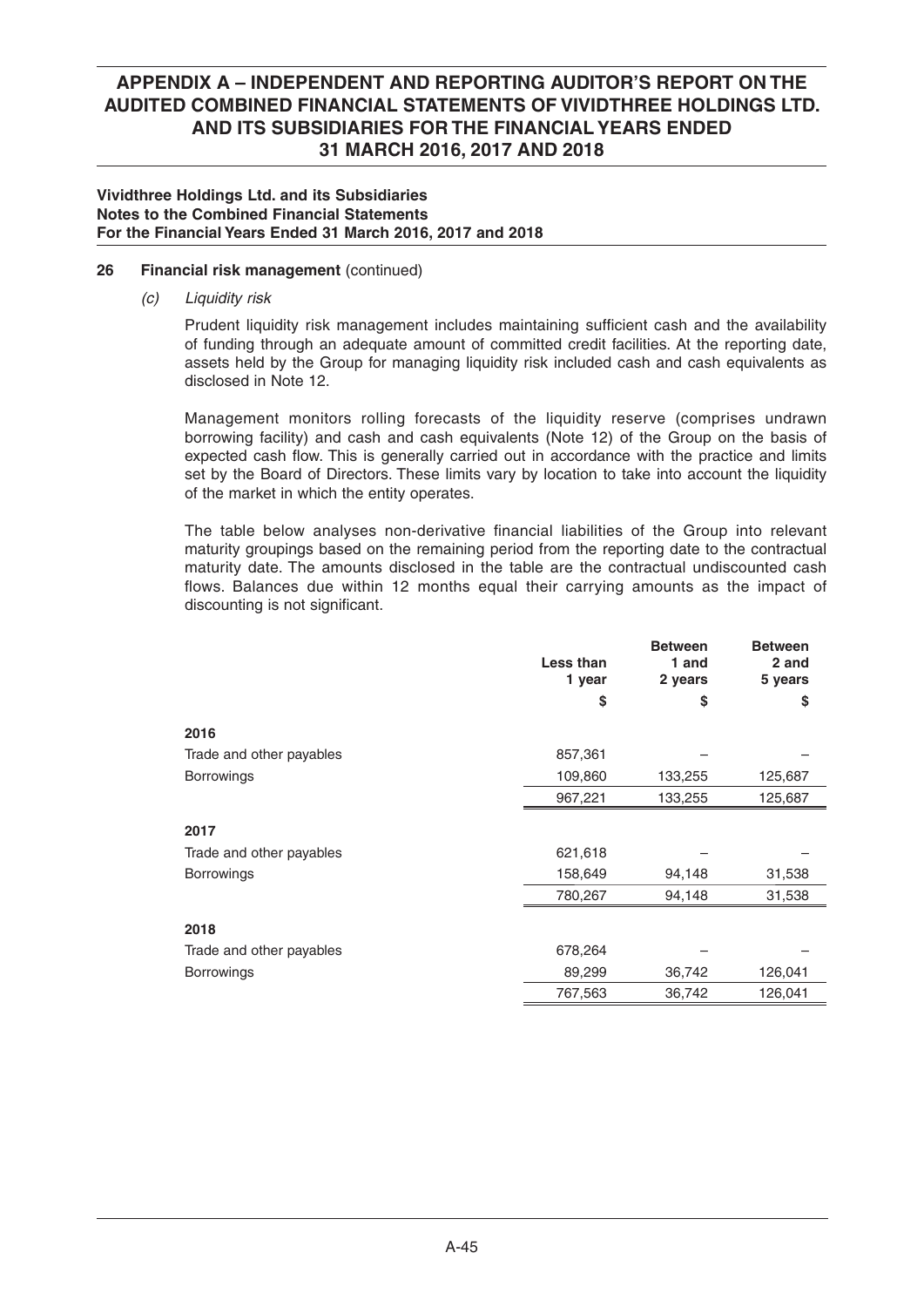### **Vividthree Holdings Ltd. and its Subsidiaries Notes to the Combined Financial Statements For the Financial Years Ended 31 March 2016, 2017 and 2018**

## **26 Financial risk management** (continued)

 *(c) Liquidity risk*

Prudent liquidity risk management includes maintaining sufficient cash and the availability of funding through an adequate amount of committed credit facilities. At the reporting date, assets held by the Group for managing liquidity risk included cash and cash equivalents as disclosed in Note 12.

 Management monitors rolling forecasts of the liquidity reserve (comprises undrawn borrowing facility) and cash and cash equivalents (Note 12) of the Group on the basis of expected cash flow. This is generally carried out in accordance with the practice and limits set by the Board of Directors. These limits vary by location to take into account the liquidity of the market in which the entity operates.

The table below analyses non-derivative financial liabilities of the Group into relevant maturity groupings based on the remaining period from the reporting date to the contractual maturity date. The amounts disclosed in the table are the contractual undiscounted cash flows. Balances due within 12 months equal their carrying amounts as the impact of discounting is not significant.

|                          | Less than<br>1 year | <b>Between</b><br>1 and<br>2 years | <b>Between</b><br>2 and<br>5 years |
|--------------------------|---------------------|------------------------------------|------------------------------------|
|                          | \$                  | \$                                 | \$                                 |
| 2016                     |                     |                                    |                                    |
| Trade and other payables | 857,361             |                                    |                                    |
| Borrowings               | 109,860             | 133,255                            | 125,687                            |
|                          | 967,221             | 133,255                            | 125,687                            |
| 2017                     |                     |                                    |                                    |
| Trade and other payables | 621,618             |                                    |                                    |
| <b>Borrowings</b>        | 158,649             | 94,148                             | 31,538                             |
|                          | 780,267             | 94,148                             | 31,538                             |
| 2018                     |                     |                                    |                                    |
| Trade and other payables | 678,264             |                                    |                                    |
| Borrowings               | 89,299              | 36,742                             | 126,041                            |
|                          | 767,563             | 36,742                             | 126,041                            |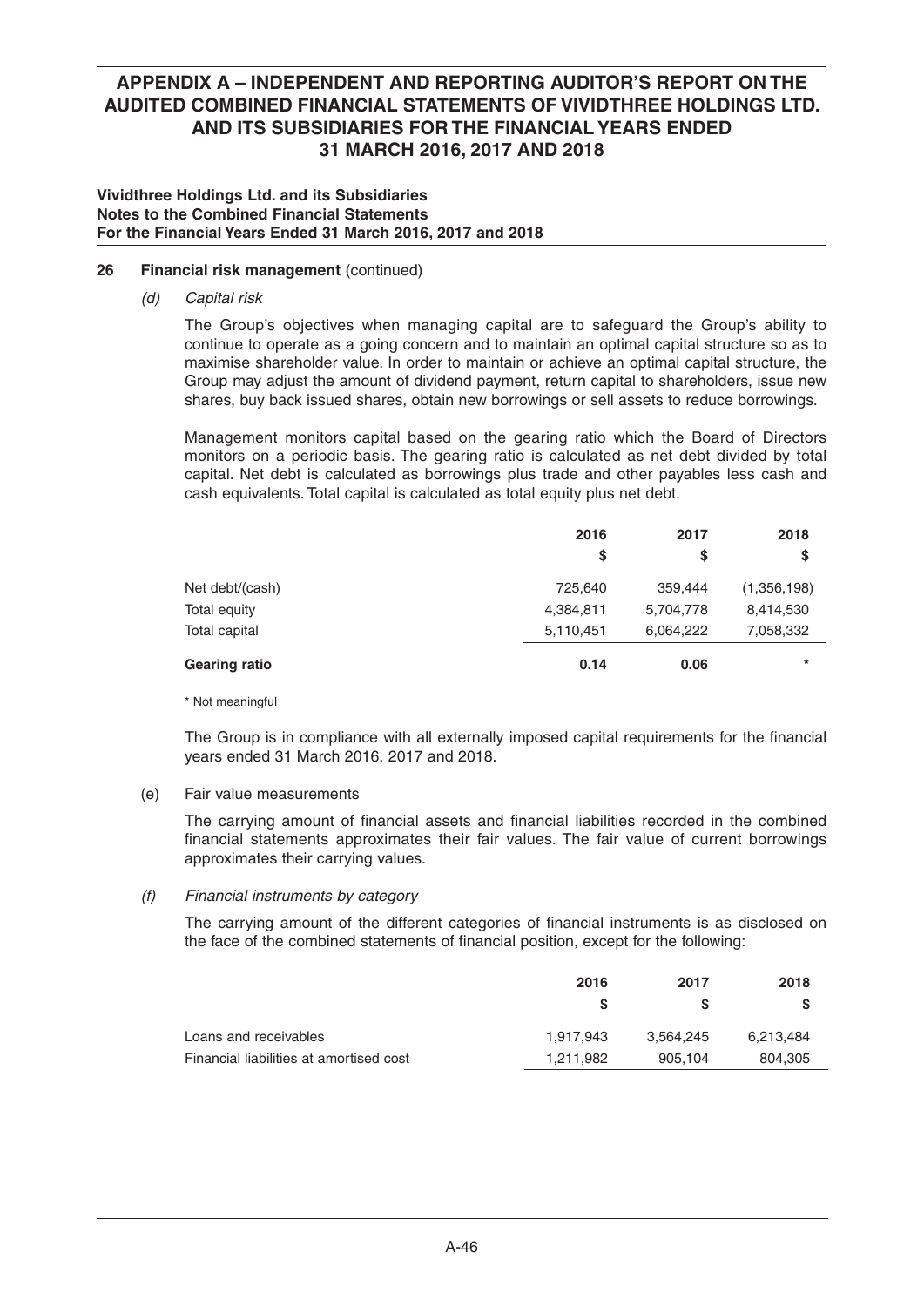### **Vividthree Holdings Ltd. and its Subsidiaries Notes to the Combined Financial Statements For the Financial Years Ended 31 March 2016, 2017 and 2018**

## **26 Financial risk management** (continued)

 *(d) Capital risk*

 The Group's objectives when managing capital are to safeguard the Group's ability to continue to operate as a going concern and to maintain an optimal capital structure so as to maximise shareholder value. In order to maintain or achieve an optimal capital structure, the Group may adjust the amount of dividend payment, return capital to shareholders, issue new shares, buy back issued shares, obtain new borrowings or sell assets to reduce borrowings.

 Management monitors capital based on the gearing ratio which the Board of Directors monitors on a periodic basis. The gearing ratio is calculated as net debt divided by total capital. Net debt is calculated as borrowings plus trade and other payables less cash and cash equivalents. Total capital is calculated as total equity plus net debt.

|                      | 2016      | 2017      | 2018        |
|----------------------|-----------|-----------|-------------|
|                      | S         | S         | S           |
| Net debt/(cash)      | 725,640   | 359,444   | (1,356,198) |
| Total equity         | 4,384,811 | 5,704,778 | 8,414,530   |
| Total capital        | 5,110,451 | 6,064,222 | 7,058,332   |
| <b>Gearing ratio</b> | 0.14      | 0.06      | $\ast$      |

\* Not meaningful

The Group is in compliance with all externally imposed capital requirements for the financial years ended 31 March 2016, 2017 and 2018.

### (e) Fair value measurements

The carrying amount of financial assets and financial liabilities recorded in the combined financial statements approximates their fair values. The fair value of current borrowings approximates their carrying values.

### *(f) Financial instruments by category*

The carrying amount of the different categories of financial instruments is as disclosed on the face of the combined statements of financial position, except for the following:

|                                         | 2016      | 2017      | 2018      |
|-----------------------------------------|-----------|-----------|-----------|
|                                         |           |           |           |
| Loans and receivables                   | 1.917.943 | 3.564.245 | 6,213,484 |
| Financial liabilities at amortised cost | 1,211,982 | 905,104   | 804,305   |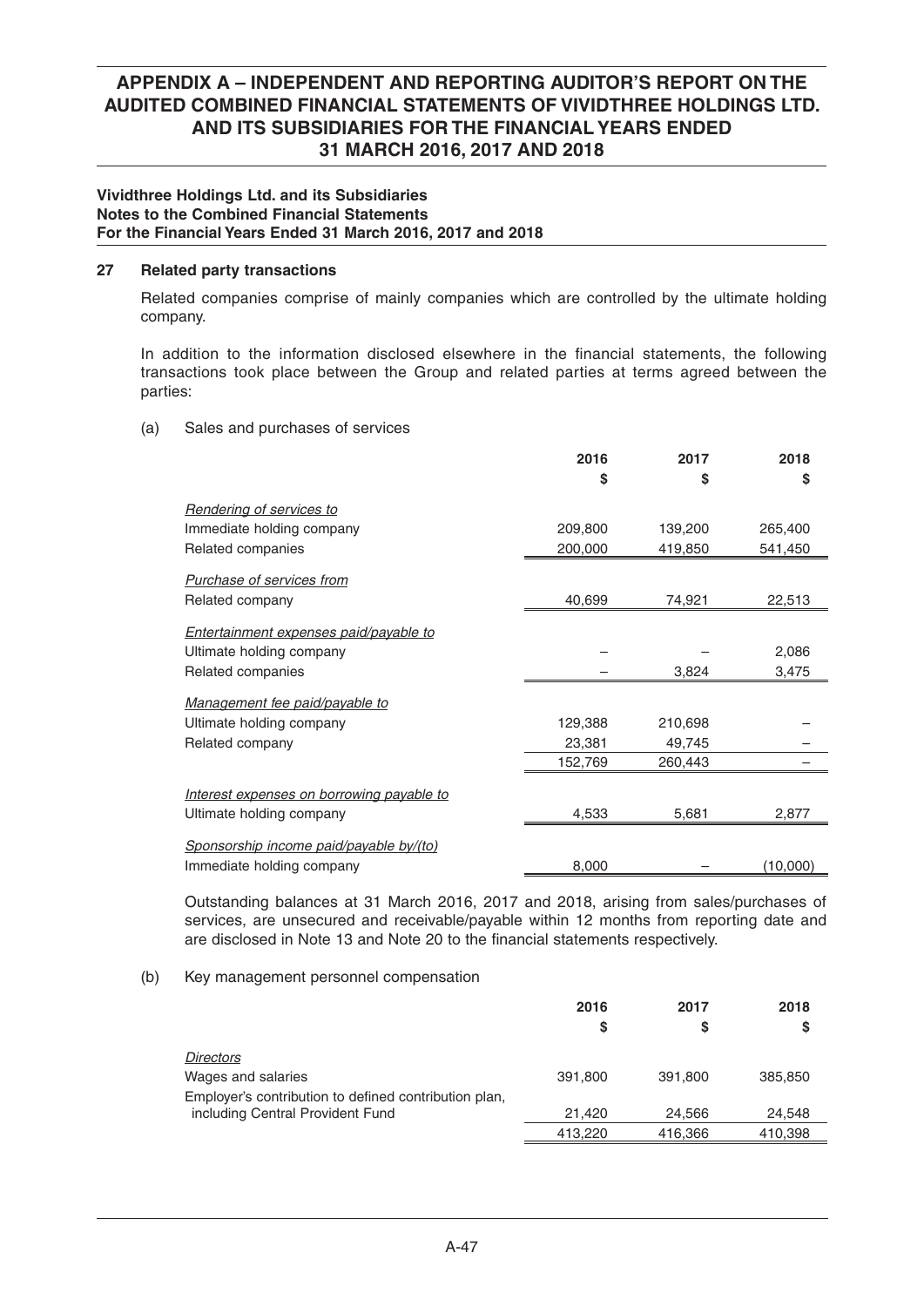### **Vividthree Holdings Ltd. and its Subsidiaries Notes to the Combined Financial Statements For the Financial Years Ended 31 March 2016, 2017 and 2018**

### **27 Related party transactions**

 Related companies comprise of mainly companies which are controlled by the ultimate holding company.

In addition to the information disclosed elsewhere in the financial statements, the following transactions took place between the Group and related parties at terms agreed between the parties:

(a) Sales and purchases of services

|                                           | 2016    | 2017    | 2018     |
|-------------------------------------------|---------|---------|----------|
|                                           | S       | \$      | \$       |
| <b>Rendering of services to</b>           |         |         |          |
| Immediate holding company                 | 209,800 | 139,200 | 265,400  |
| Related companies                         | 200,000 | 419,850 | 541,450  |
| Purchase of services from                 |         |         |          |
| Related company                           | 40,699  | 74,921  | 22,513   |
| Entertainment expenses paid/payable to    |         |         |          |
| Ultimate holding company                  |         |         | 2,086    |
| Related companies                         |         | 3,824   | 3,475    |
| Management fee paid/payable to            |         |         |          |
| Ultimate holding company                  | 129,388 | 210,698 |          |
| Related company                           | 23,381  | 49,745  |          |
|                                           | 152,769 | 260,443 |          |
| Interest expenses on borrowing payable to |         |         |          |
| Ultimate holding company                  | 4,533   | 5,681   | 2,877    |
| Sponsorship income paid/payable by/(to)   |         |         |          |
| Immediate holding company                 | 8,000   |         | (10,000) |

 Outstanding balances at 31 March 2016, 2017 and 2018, arising from sales/purchases of services, are unsecured and receivable/payable within 12 months from reporting date and are disclosed in Note 13 and Note 20 to the financial statements respectively.

### (b) Key management personnel compensation

|                                                       | 2016    | 2017    | 2018    |
|-------------------------------------------------------|---------|---------|---------|
|                                                       | S       | S       | S       |
| <i>Directors</i>                                      |         |         |         |
| Wages and salaries                                    | 391.800 | 391.800 | 385,850 |
| Employer's contribution to defined contribution plan, |         |         |         |
| including Central Provident Fund                      | 21.420  | 24.566  | 24.548  |
|                                                       | 413.220 | 416,366 | 410,398 |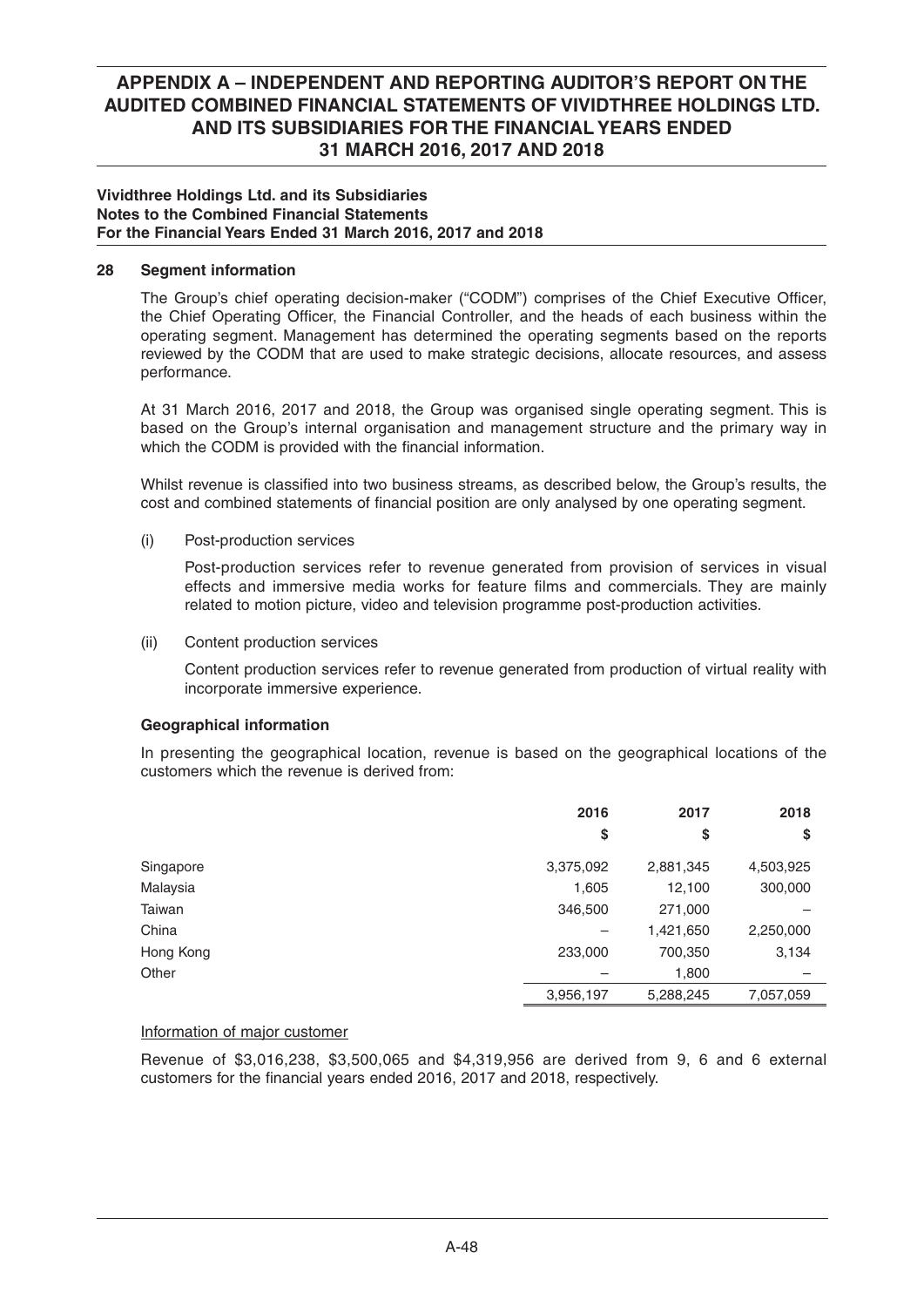### **Vividthree Holdings Ltd. and its Subsidiaries Notes to the Combined Financial Statements For the Financial Years Ended 31 March 2016, 2017 and 2018**

## **28 Segment information**

The Group's chief operating decision-maker ("CODM") comprises of the Chief Executive Officer, the Chief Operating Officer, the Financial Controller, and the heads of each business within the operating segment. Management has determined the operating segments based on the reports reviewed by the CODM that are used to make strategic decisions, allocate resources, and assess performance.

 At 31 March 2016, 2017 and 2018, the Group was organised single operating segment. This is based on the Group's internal organisation and management structure and the primary way in which the CODM is provided with the financial information.

Whilst revenue is classified into two business streams, as described below, the Group's results, the cost and combined statements of financial position are only analysed by one operating segment.

(i) Post-production services

 Post-production services refer to revenue generated from provision of services in visual effects and immersive media works for feature films and commercials. They are mainly related to motion picture, video and television programme post-production activities.

(ii) Content production services

 Content production services refer to revenue generated from production of virtual reality with incorporate immersive experience.

### **Geographical information**

 In presenting the geographical location, revenue is based on the geographical locations of the customers which the revenue is derived from:

|           | 2016      | 2017      | 2018      |
|-----------|-----------|-----------|-----------|
|           | \$        | \$        | \$        |
| Singapore | 3,375,092 | 2,881,345 | 4,503,925 |
| Malaysia  | 1,605     | 12,100    | 300,000   |
| Taiwan    | 346,500   | 271,000   |           |
| China     |           | 1,421,650 | 2,250,000 |
| Hong Kong | 233,000   | 700,350   | 3,134     |
| Other     |           | 1,800     |           |
|           | 3,956,197 | 5,288,245 | 7,057,059 |

### Information of major customer

 Revenue of \$3,016,238, \$3,500,065 and \$4,319,956 are derived from 9, 6 and 6 external customers for the financial years ended 2016, 2017 and 2018, respectively.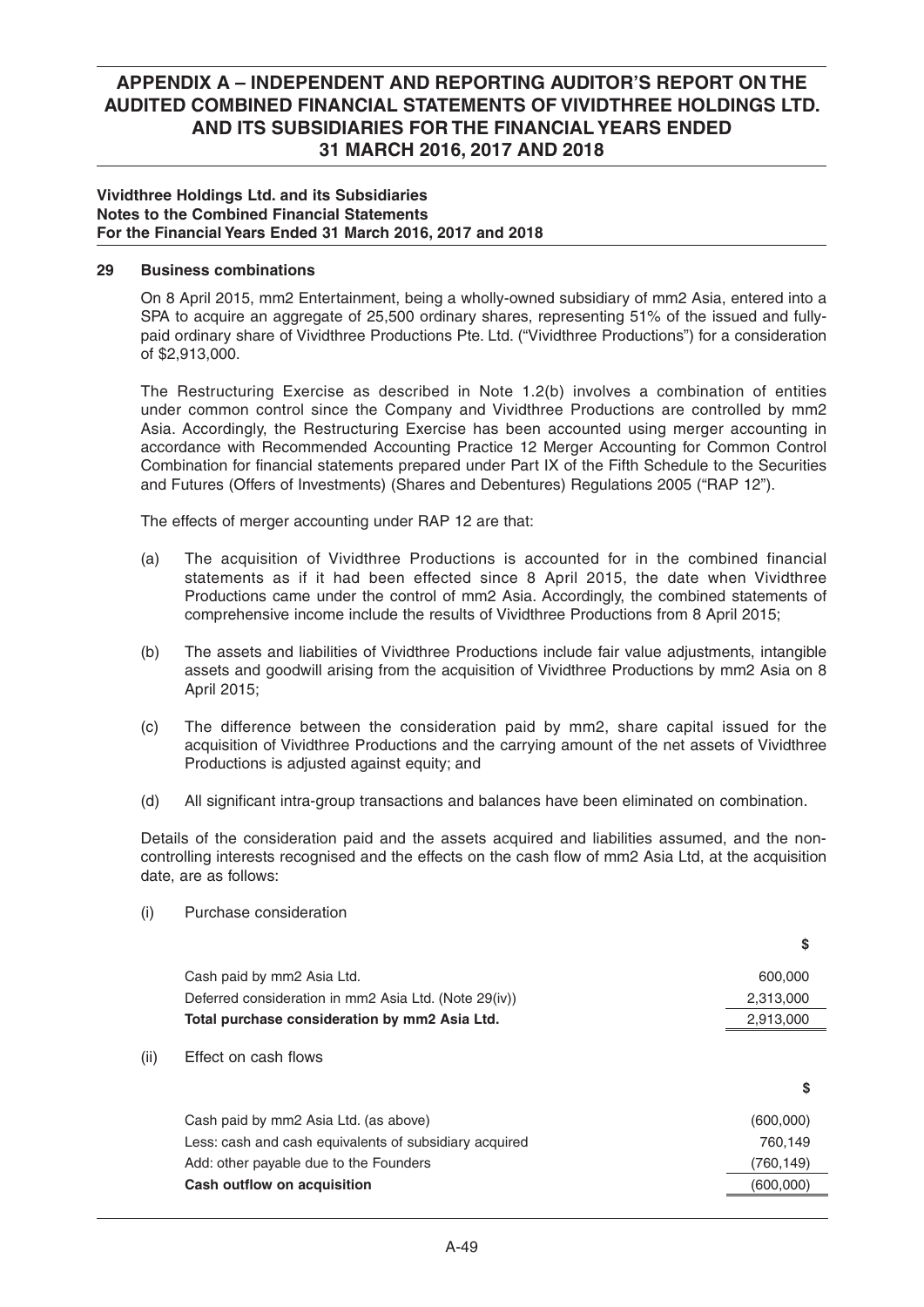### **Vividthree Holdings Ltd. and its Subsidiaries Notes to the Combined Financial Statements For the Financial Years Ended 31 March 2016, 2017 and 2018**

## **29 Business combinations**

 On 8 April 2015, mm2 Entertainment, being a wholly-owned subsidiary of mm2 Asia, entered into a SPA to acquire an aggregate of 25,500 ordinary shares, representing 51% of the issued and fullypaid ordinary share of Vividthree Productions Pte. Ltd. ("Vividthree Productions") for a consideration of \$2,913,000.

 The Restructuring Exercise as described in Note 1.2(b) involves a combination of entities under common control since the Company and Vividthree Productions are controlled by mm2 Asia. Accordingly, the Restructuring Exercise has been accounted using merger accounting in accordance with Recommended Accounting Practice 12 Merger Accounting for Common Control Combination for financial statements prepared under Part IX of the Fifth Schedule to the Securities and Futures (Offers of Investments) (Shares and Debentures) Regulations 2005 ("RAP 12").

The effects of merger accounting under RAP 12 are that:

- (a) The acquisition of Vividthree Productions is accounted for in the combined financial statements as if it had been effected since 8 April 2015, the date when Vividthree Productions came under the control of mm2 Asia. Accordingly, the combined statements of comprehensive income include the results of Vividthree Productions from 8 April 2015;
- (b) The assets and liabilities of Vividthree Productions include fair value adjustments, intangible assets and goodwill arising from the acquisition of Vividthree Productions by mm2 Asia on 8 April 2015;
- (c) The difference between the consideration paid by mm2, share capital issued for the acquisition of Vividthree Productions and the carrying amount of the net assets of Vividthree Productions is adjusted against equity; and
- (d) All significant intra-group transactions and balances have been eliminated on combination.

 Details of the consideration paid and the assets acquired and liabilities assumed, and the noncontrolling interests recognised and the effects on the cash flow of mm2 Asia Ltd, at the acquisition date, are as follows:

(i) Purchase consideration

|      |                                                        | \$         |
|------|--------------------------------------------------------|------------|
|      | Cash paid by mm2 Asia Ltd.                             | 600,000    |
|      | Deferred consideration in mm2 Asia Ltd. (Note 29(iv))  | 2,313,000  |
|      | Total purchase consideration by mm2 Asia Ltd.          | 2,913,000  |
| (ii) | Effect on cash flows                                   | S          |
|      | Cash paid by mm2 Asia Ltd. (as above)                  | (600,000)  |
|      | Less: cash and cash equivalents of subsidiary acquired | 760.149    |
|      | Add: other payable due to the Founders                 | (760, 149) |
|      | Cash outflow on acquisition                            | (600,000)  |
|      |                                                        |            |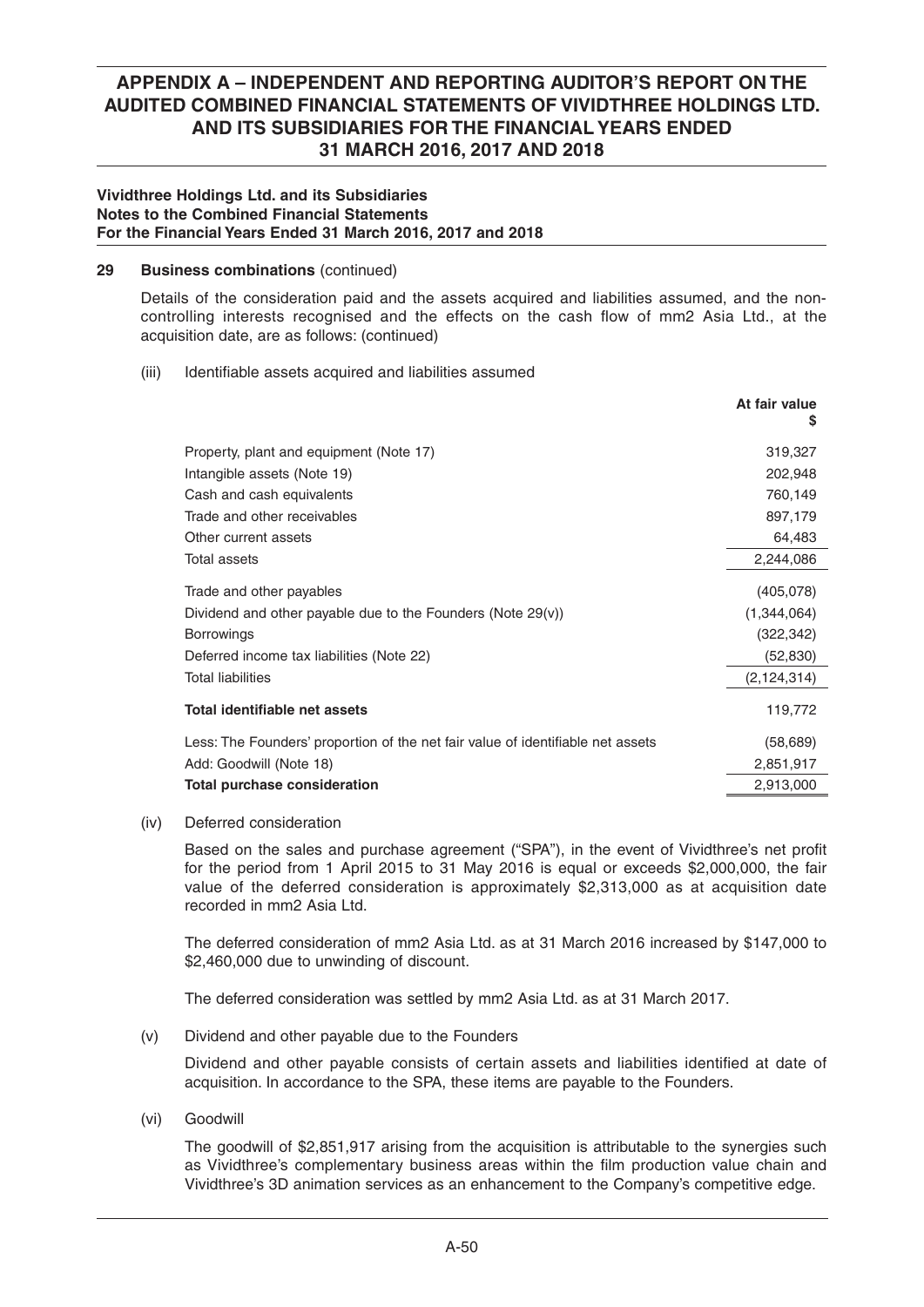### **Vividthree Holdings Ltd. and its Subsidiaries Notes to the Combined Financial Statements For the Financial Years Ended 31 March 2016, 2017 and 2018**

### **29 Business combinations** (continued)

 Details of the consideration paid and the assets acquired and liabilities assumed, and the noncontrolling interests recognised and the effects on the cash flow of mm2 Asia Ltd., at the acquisition date, are as follows: (continued)

### (iii) Identifiable assets acquired and liabilities assumed

|                                                                                 | At fair value<br>S |
|---------------------------------------------------------------------------------|--------------------|
| Property, plant and equipment (Note 17)                                         | 319,327            |
| Intangible assets (Note 19)                                                     | 202,948            |
| Cash and cash equivalents                                                       | 760,149            |
| Trade and other receivables                                                     | 897,179            |
| Other current assets                                                            | 64,483             |
| Total assets                                                                    | 2,244,086          |
| Trade and other payables                                                        | (405,078)          |
| Dividend and other payable due to the Founders (Note $29(v)$ )                  | (1, 344, 064)      |
| <b>Borrowings</b>                                                               | (322, 342)         |
| Deferred income tax liabilities (Note 22)                                       | (52,830)           |
| <b>Total liabilities</b>                                                        | (2, 124, 314)      |
| Total identifiable net assets                                                   | 119,772            |
| Less: The Founders' proportion of the net fair value of identifiable net assets | (58, 689)          |
| Add: Goodwill (Note 18)                                                         | 2,851,917          |
| <b>Total purchase consideration</b>                                             | 2,913,000          |

### (iv) Deferred consideration

Based on the sales and purchase agreement ("SPA"), in the event of Vividthree's net profit for the period from 1 April 2015 to 31 May 2016 is equal or exceeds \$2,000,000, the fair value of the deferred consideration is approximately \$2,313,000 as at acquisition date recorded in mm2 Asia Ltd.

 The deferred consideration of mm2 Asia Ltd. as at 31 March 2016 increased by \$147,000 to \$2,460,000 due to unwinding of discount.

The deferred consideration was settled by mm2 Asia Ltd. as at 31 March 2017.

(v) Dividend and other payable due to the Founders

Dividend and other payable consists of certain assets and liabilities identified at date of acquisition. In accordance to the SPA, these items are payable to the Founders.

(vi) Goodwill

 The goodwill of \$2,851,917 arising from the acquisition is attributable to the synergies such as Vividthree's complementary business areas within the film production value chain and Vividthree's 3D animation services as an enhancement to the Company's competitive edge.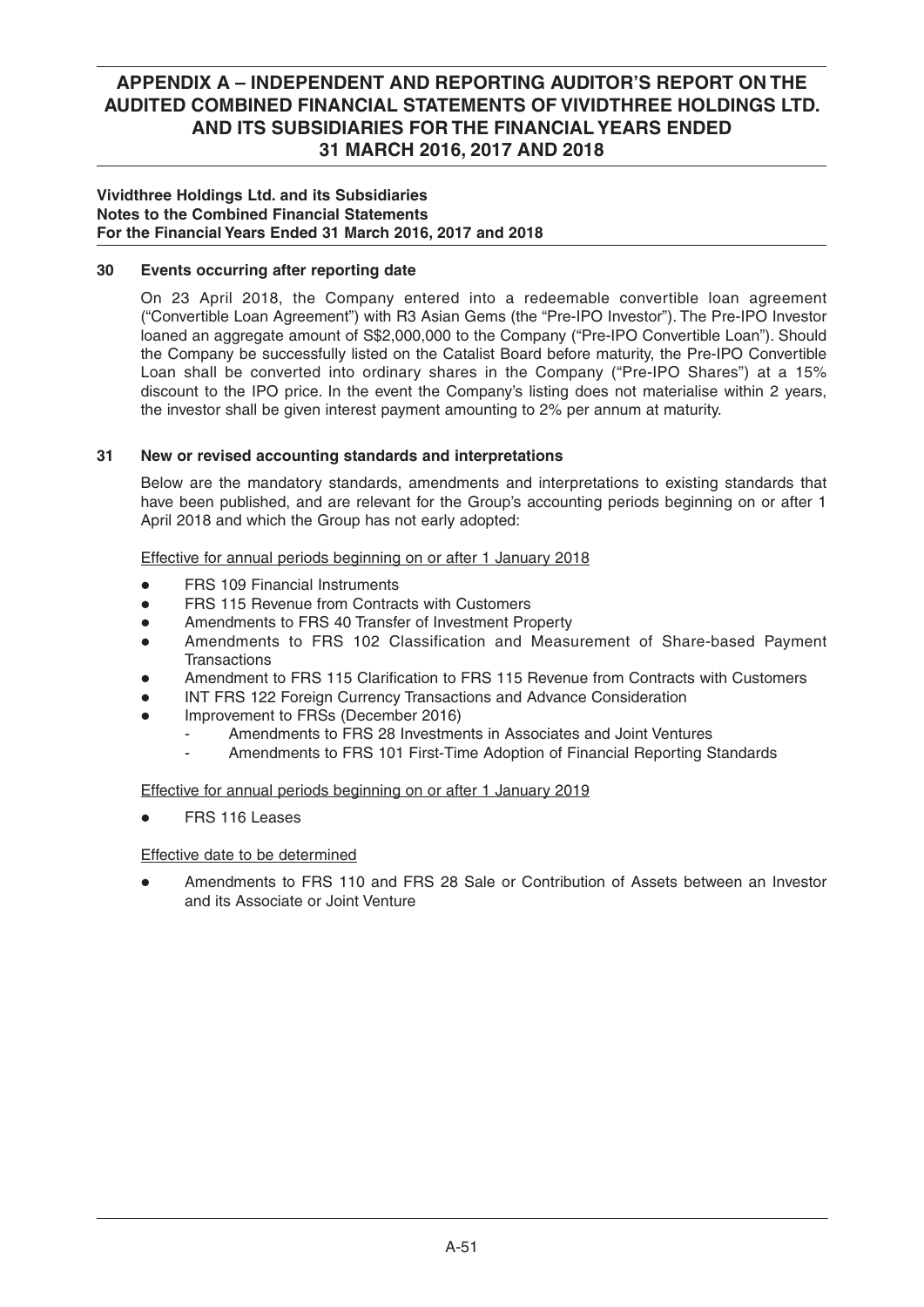### **Vividthree Holdings Ltd. and its Subsidiaries Notes to the Combined Financial Statements For the Financial Years Ended 31 March 2016, 2017 and 2018**

## **30 Events occurring after reporting date**

On 23 April 2018, the Company entered into a redeemable convertible loan agreement ("Convertible Loan Agreement") with R3 Asian Gems (the "Pre-IPO Investor"). The Pre-IPO Investor loaned an aggregate amount of S\$2,000,000 to the Company ("Pre-IPO Convertible Loan"). Should the Company be successfully listed on the Catalist Board before maturity, the Pre-IPO Convertible Loan shall be converted into ordinary shares in the Company ("Pre-IPO Shares") at a 15% discount to the IPO price. In the event the Company's listing does not materialise within 2 years, the investor shall be given interest payment amounting to 2% per annum at maturity.

## **31 New or revised accounting standards and interpretations**

 Below are the mandatory standards, amendments and interpretations to existing standards that have been published, and are relevant for the Group's accounting periods beginning on or after 1 April 2018 and which the Group has not early adopted:

Effective for annual periods beginning on or after 1 January 2018

- **FRS 109 Financial Instruments**
- FRS 115 Revenue from Contracts with Customers
- Amendments to FRS 40 Transfer of Investment Property
- Amendments to FRS 102 Classification and Measurement of Share-based Payment **Transactions**
- Amendment to FRS 115 Clarification to FRS 115 Revenue from Contracts with Customers
- INT FRS 122 Foreign Currency Transactions and Advance Consideration
- Improvement to FRSs (December 2016)
	- Amendments to FRS 28 Investments in Associates and Joint Ventures
	- Amendments to FRS 101 First-Time Adoption of Financial Reporting Standards

Effective for annual periods beginning on or after 1 January 2019

• FRS 116 Leases

### Effective date to be determined

• Amendments to FRS 110 and FRS 28 Sale or Contribution of Assets between an Investor and its Associate or Joint Venture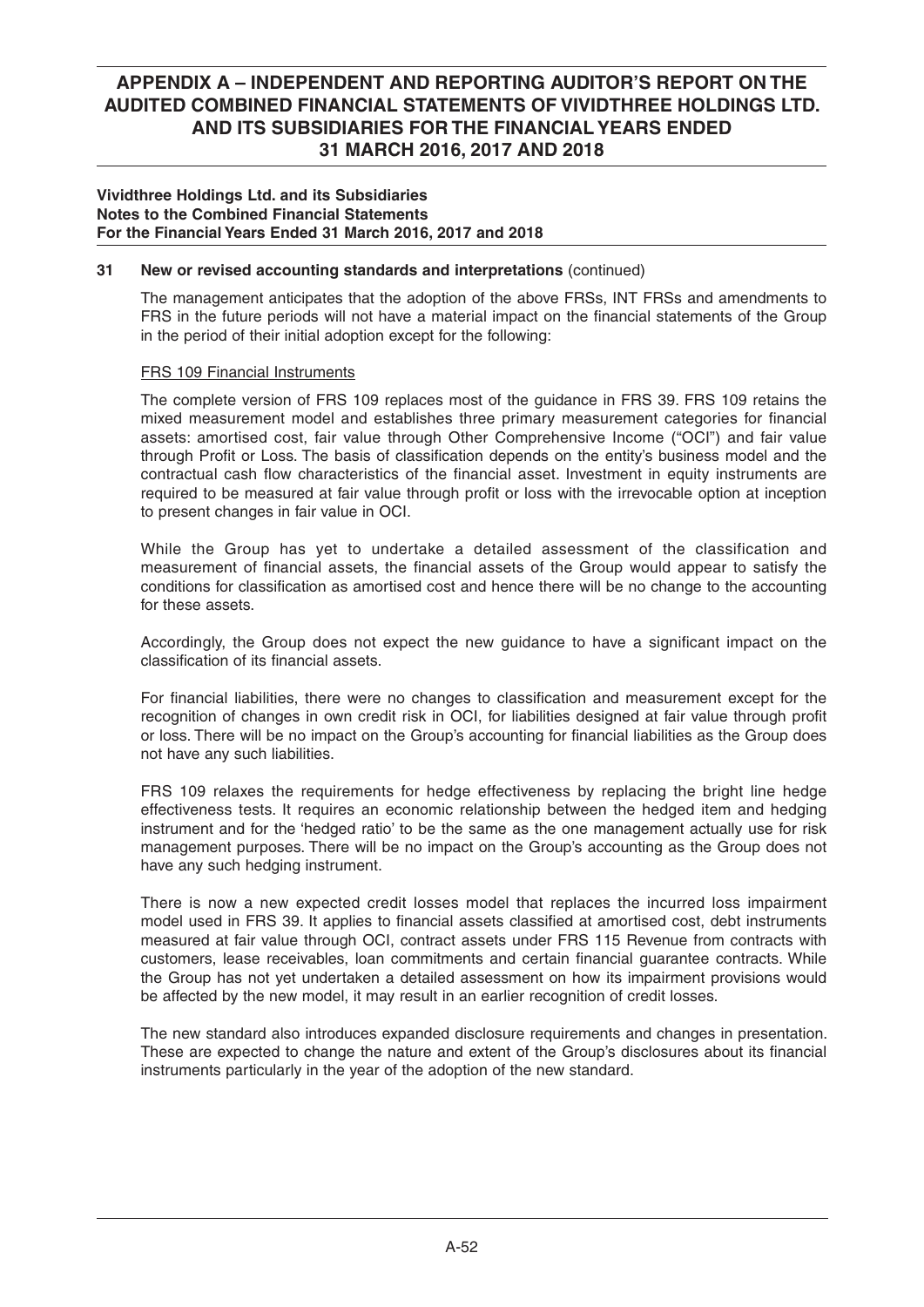### **Vividthree Holdings Ltd. and its Subsidiaries Notes to the Combined Financial Statements For the Financial Years Ended 31 March 2016, 2017 and 2018**

## **31 New or revised accounting standards and interpretations** (continued)

 The management anticipates that the adoption of the above FRSs, INT FRSs and amendments to FRS in the future periods will not have a material impact on the financial statements of the Group in the period of their initial adoption except for the following:

## FRS 109 Financial Instruments

 The complete version of FRS 109 replaces most of the guidance in FRS 39. FRS 109 retains the mixed measurement model and establishes three primary measurement categories for financial assets: amortised cost, fair value through Other Comprehensive Income ("OCI") and fair value through Profit or Loss. The basis of classification depends on the entity's business model and the contractual cash flow characteristics of the financial asset. Investment in equity instruments are required to be measured at fair value through profit or loss with the irrevocable option at inception to present changes in fair value in OCI.

 While the Group has yet to undertake a detailed assessment of the classification and measurement of financial assets, the financial assets of the Group would appear to satisfy the conditions for classification as amortised cost and hence there will be no change to the accounting for these assets.

Accordingly, the Group does not expect the new guidance to have a significant impact on the classification of its financial assets

For financial liabilities, there were no changes to classification and measurement except for the recognition of changes in own credit risk in OCI, for liabilities designed at fair value through profit or loss. There will be no impact on the Group's accounting for financial liabilities as the Group does not have any such liabilities.

 FRS 109 relaxes the requirements for hedge effectiveness by replacing the bright line hedge effectiveness tests. It requires an economic relationship between the hedged item and hedging instrument and for the 'hedged ratio' to be the same as the one management actually use for risk management purposes. There will be no impact on the Group's accounting as the Group does not have any such hedging instrument.

 There is now a new expected credit losses model that replaces the incurred loss impairment model used in FRS 39. It applies to financial assets classified at amortised cost, debt instruments measured at fair value through OCI, contract assets under FRS 115 Revenue from contracts with customers, lease receivables, loan commitments and certain financial guarantee contracts. While the Group has not yet undertaken a detailed assessment on how its impairment provisions would be affected by the new model, it may result in an earlier recognition of credit losses.

 The new standard also introduces expanded disclosure requirements and changes in presentation. These are expected to change the nature and extent of the Group's disclosures about its financial instruments particularly in the year of the adoption of the new standard.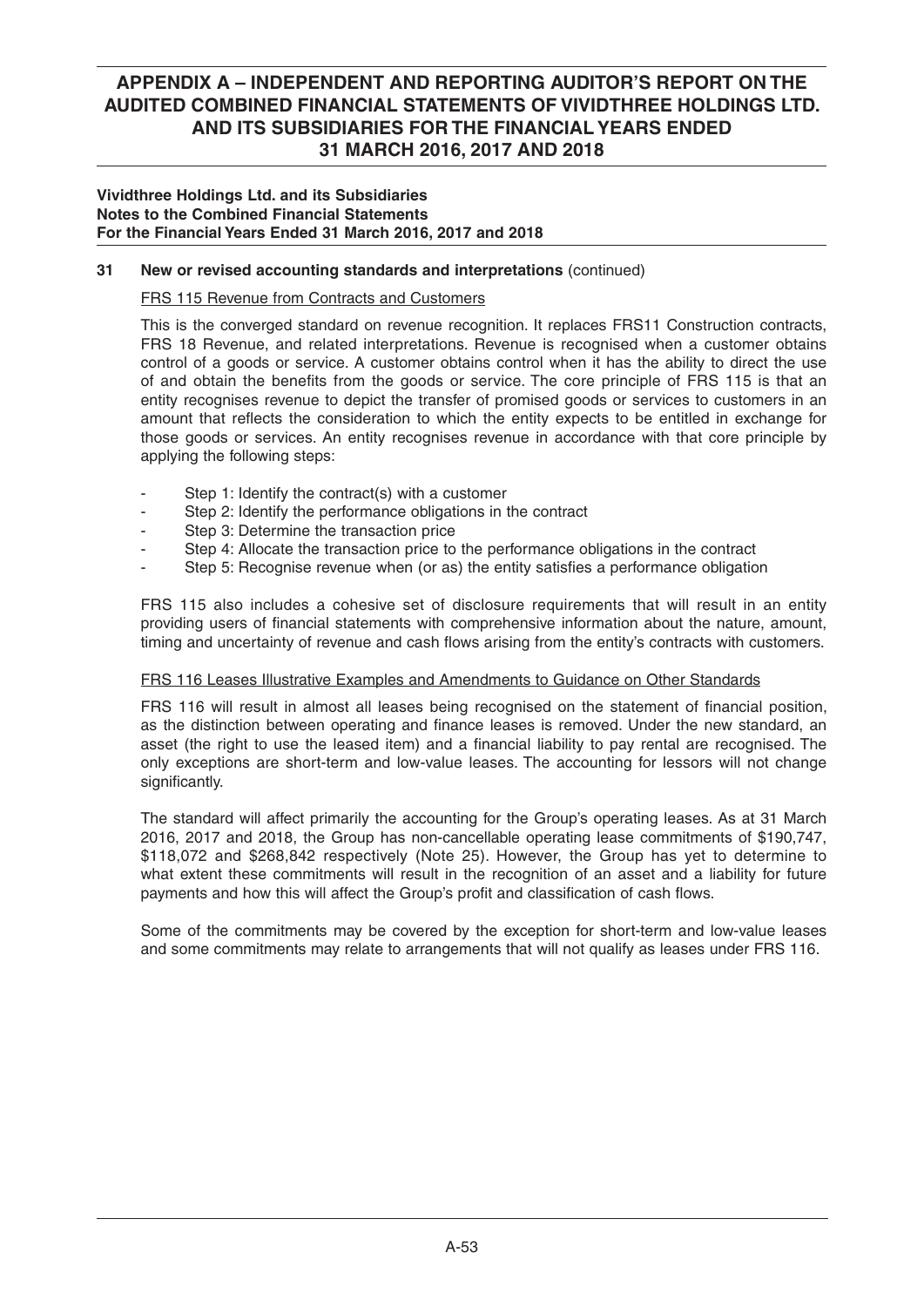### **Vividthree Holdings Ltd. and its Subsidiaries Notes to the Combined Financial Statements For the Financial Years Ended 31 March 2016, 2017 and 2018**

## **31 New or revised accounting standards and interpretations** (continued)

## FRS 115 Revenue from Contracts and Customers

 This is the converged standard on revenue recognition. It replaces FRS11 Construction contracts, FRS 18 Revenue, and related interpretations. Revenue is recognised when a customer obtains control of a goods or service. A customer obtains control when it has the ability to direct the use of and obtain the benefits from the goods or service. The core principle of FRS 115 is that an entity recognises revenue to depict the transfer of promised goods or services to customers in an amount that reflects the consideration to which the entity expects to be entitled in exchange for those goods or services. An entity recognises revenue in accordance with that core principle by applying the following steps:

- Step 1: Identify the contract(s) with a customer
- Step 2: Identify the performance obligations in the contract
- Step 3: Determine the transaction price
- Step 4: Allocate the transaction price to the performance obligations in the contract
- Step 5: Recognise revenue when (or as) the entity satisfies a performance obligation

 FRS 115 also includes a cohesive set of disclosure requirements that will result in an entity providing users of financial statements with comprehensive information about the nature, amount, timing and uncertainty of revenue and cash flows arising from the entity's contracts with customers.

### FRS 116 Leases Illustrative Examples and Amendments to Guidance on Other Standards

FRS 116 will result in almost all leases being recognised on the statement of financial position, as the distinction between operating and finance leases is removed. Under the new standard, an asset (the right to use the leased item) and a financial liability to pay rental are recognised. The only exceptions are short-term and low-value leases. The accounting for lessors will not change significantly.

 The standard will affect primarily the accounting for the Group's operating leases. As at 31 March 2016, 2017 and 2018, the Group has non-cancellable operating lease commitments of \$190,747, \$118,072 and \$268,842 respectively (Note 25). However, the Group has yet to determine to what extent these commitments will result in the recognition of an asset and a liability for future payments and how this will affect the Group's profit and classification of cash flows.

 Some of the commitments may be covered by the exception for short-term and low-value leases and some commitments may relate to arrangements that will not qualify as leases under FRS 116.